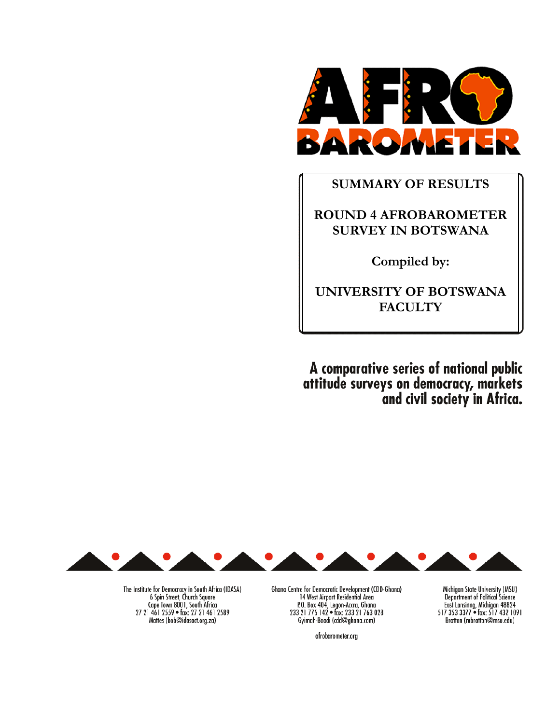

# **SUMMARY OF RESULTS**

# **ROUND 4 AFROBAROMETER SURVEY IN BOTSWANA**

**Compiled by:** 

**UNIVERSITY OF BOTSWANA FACULTY** 

A comparative series of national public<br>attitude surveys on democracy, markets<br>and civil society in Africa.



The Institute for Democracy in South Africa (IDASA)<br>6 Spin Street, Church Square<br>Cape Town 8001, South Africa<br>27 21 461 2559 • fax: 27 21 461 2589 Mattes (bob@idasact.org.za)

Ghana Centre for Democratic Development (CDD-Ghana) 14 West Airport Residential Area<br>
14 West Airport Residential Area<br>
233 21 776 142 • fax: 233 21 763 028<br>
Gyimah-Boadi (cdd@ghana.com)

afrobarometer.org

Michigan State University (MSU) Department of Political Science<br>East Lansinng, Michigan 48824<br>517 353 3377 • fax: 517 432 1091 Bratton (mbratton@msu.edu)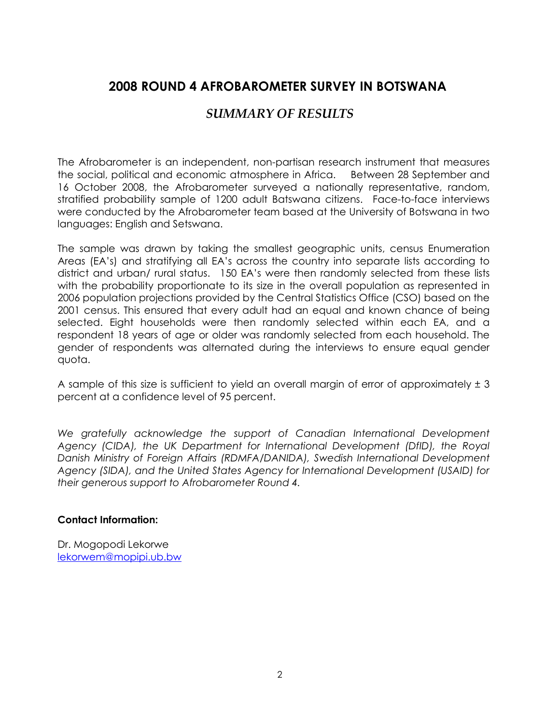# **2008 ROUND 4 AFROBAROMETER SURVEY IN BOTSWANA**

# *SUMMARY OF RESULTS*

The Afrobarometer is an independent, non-partisan research instrument that measures the social, political and economic atmosphere in Africa. Between 28 September and 16 October 2008, the Afrobarometer surveyed a nationally representative, random, stratified probability sample of 1200 adult Batswana citizens. Face-to-face interviews were conducted by the Afrobarometer team based at the University of Botswana in two languages: English and Setswana.

The sample was drawn by taking the smallest geographic units, census Enumeration Areas (EA's) and stratifying all EA's across the country into separate lists according to district and urban/ rural status. 150 EA's were then randomly selected from these lists with the probability proportionate to its size in the overall population as represented in 2006 population projections provided by the Central Statistics Office (CSO) based on the 2001 census. This ensured that every adult had an equal and known chance of being selected. Eight households were then randomly selected within each EA, and a respondent 18 years of age or older was randomly selected from each household. The gender of respondents was alternated during the interviews to ensure equal gender quota.

A sample of this size is sufficient to yield an overall margin of error of approximately  $\pm 3$ percent at a confidence level of 95 percent.

We gratefully acknowledge the support of Canadian International Development *Agency (CIDA), the UK Department for International Development (DfID), the Royal Danish Ministry of Foreign Affairs (RDMFA/DANIDA), Swedish International Development Agency (SIDA), and the United States Agency for International Development (USAID) for their generous support to Afrobarometer Round 4.* 

# **Contact Information:**

Dr. Mogopodi Lekorwe lekorwem@mopipi.ub.bw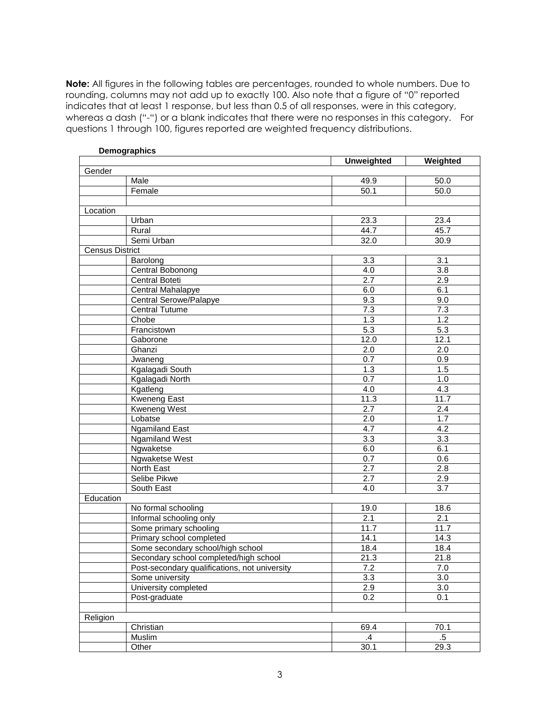**Note:** All figures in the following tables are percentages, rounded to whole numbers. Due to rounding, columns may not add up to exactly 100. Also note that a figure of "0" reported indicates that at least 1 response, but less than 0.5 of all responses, were in this category, whereas a dash ("-") or a blank indicates that there were no responses in this category. For questions 1 through 100, figures reported are weighted frequency distributions.

|                        |                                               | <b>Unweighted</b> | Weighted         |
|------------------------|-----------------------------------------------|-------------------|------------------|
| Gender                 |                                               |                   |                  |
|                        | Male                                          | 49.9              | 50.0             |
|                        | Female                                        | 50.1              | 50.0             |
|                        |                                               |                   |                  |
| Location               |                                               |                   |                  |
|                        | Urban                                         | 23.3              | 23.4             |
|                        | Rural                                         | 44.7              | 45.7             |
|                        | Semi Urban                                    | 32.0              | 30.9             |
| <b>Census District</b> |                                               |                   |                  |
|                        | Barolong                                      | 3.3               | $\overline{3.1}$ |
|                        | Central Bobonong                              | $\overline{4.0}$  | 3.8              |
|                        | Central Boteti                                | 2.7               | 2.9              |
|                        | Central Mahalapye                             | 6.0               | 6.1              |
|                        | Central Serowe/Palapye                        | 9.3               | 9.0              |
|                        | <b>Central Tutume</b>                         | 7.3               | 7.3              |
|                        | Chobe                                         | 1.3               | 1.2              |
|                        | Francistown                                   | $\overline{5.3}$  | 5.3              |
|                        | Gaborone                                      | 12.0              | 12.1             |
|                        | Ghanzi                                        | 2.0               | 2.0              |
|                        | Jwaneng                                       | 0.7               | 0.9              |
|                        | Kgalagadi South                               | 1.3               | 1.5              |
|                        | Kgalagadi North                               | 0.7               | 1.0              |
|                        | Kgatleng                                      | 4.0               | 4.3              |
|                        | <b>Kweneng East</b>                           | 11.3              | 11.7             |
|                        | Kweneng West                                  | 2.7               | 2.4              |
|                        | Lobatse                                       | $\overline{2.0}$  | 1.7              |
|                        | <b>Ngamiland East</b>                         | 4.7               | 4.2              |
|                        | <b>Ngamiland West</b>                         | $\overline{3.3}$  | 3.3              |
|                        | Ngwaketse                                     | 6.0               | 6.1              |
|                        | Ngwaketse West                                | 0.7               | 0.6              |
|                        | North East                                    | 2.7               | $\overline{2.8}$ |
|                        | Selibe Pikwe                                  | 2.7               | 2.9              |
|                        | South East                                    | 4.0               | 3.7              |
| Education              |                                               |                   |                  |
|                        | No formal schooling                           | 19.0              | 18.6             |
|                        | Informal schooling only                       | $\overline{2.1}$  | 2.1              |
|                        | Some primary schooling                        | 11.7              | 11.7             |
|                        | Primary school completed                      | 14.1              | 14.3             |
|                        | Some secondary school/high school             | 18.4              | 18.4             |
|                        | Secondary school completed/high school        | 21.3              | 21.8             |
|                        | Post-secondary qualifications, not university | 7.2               | 7.0              |
|                        | Some university                               | 3.3               | 3.0              |
|                        | University completed                          | $\overline{2.9}$  | 3.0              |
|                        | Post-graduate                                 | 0.2               | 0.1              |
|                        |                                               |                   |                  |
| Religion               |                                               |                   |                  |
|                        | Christian                                     | 69.4              | 70.1             |
|                        | Muslim                                        | $\cdot$           | $.5\,$           |
|                        | Other                                         | 30.1              | 29.3             |

# **Demographics**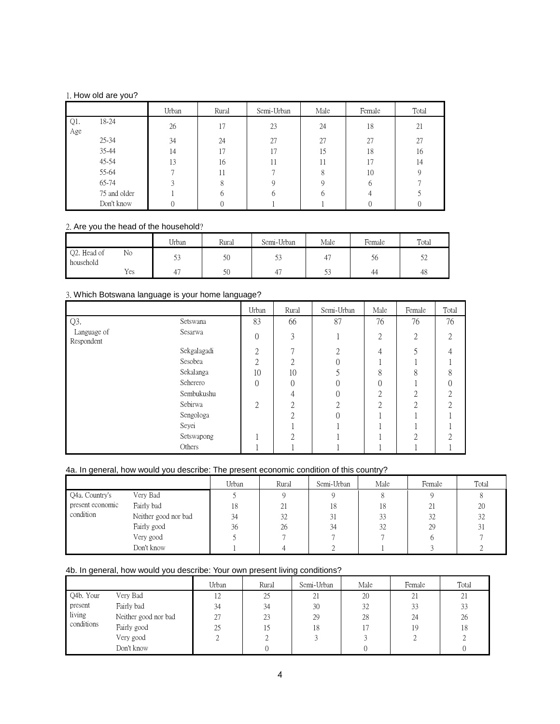# 1. How old are you?

|            |              | Urban | Rural          | Semi-Urban | Male | Female | Total |
|------------|--------------|-------|----------------|------------|------|--------|-------|
| Q1.<br>Age | 18-24        | 26    | 17             | 23         | 24   | 18     | 21    |
|            | $25 - 34$    | 34    | 24             | 27         | 27   | 27     | 27    |
|            | 35-44        | 14    | $\overline{ }$ |            | 15   | 18     | 16    |
|            | 45-54        | 13    | 16             | 11         |      | 17     | 14    |
|            | 55-64        |       |                |            | 8    | 10     |       |
|            | 65-74        |       |                |            |      | h      |       |
|            | 75 and older |       |                |            | h    |        |       |
|            | Don't know   |       |                |            |      |        |       |

# 2. Are you the head of the household?

|                          |     | <b>TT 1</b><br>Urban | Rural | Semi-Urban | Male | Female | Total      |
|--------------------------|-----|----------------------|-------|------------|------|--------|------------|
| Q2. Head of<br>household | No  | ں ر                  | 50    | ں ر        |      | C.     | ہ س<br>ے ر |
|                          | Yes |                      | 50    |            | ں ر  | 44     | 48         |

# 3. Which Botswana language is your home language?

|                           |             | Urban    | Rural    | Semi-Urban | Male          | Female | Total |
|---------------------------|-------------|----------|----------|------------|---------------|--------|-------|
| Q3.                       | Setswana    | 83       | 66       | 87         | 76            | 76     | 76    |
| Language of<br>Respondent | Sesarwa     | $\theta$ | 3        |            | 2             | 2      | ◠     |
|                           | Sekgalagadi | ∩        |          | ◠          |               |        |       |
|                           | Sesobea     | ∩        | ∩        |            |               |        |       |
|                           | Sekalanga   | 10       | 10       |            | $\Omega$<br>⌒ | O      |       |
|                           | Seherero    | $\Omega$ | $\Omega$ |            |               |        |       |
|                           | Sembukushu  |          |          |            | ◠             | ∩      |       |
|                           | Sebirwa     | 2        | ◠        |            |               | ◠      |       |
|                           | Sengologa   |          | ◠        |            |               |        |       |
|                           | Seyei       |          |          |            |               |        |       |
|                           | Setswapong  |          |          |            |               | ◠      |       |
|                           | Others      |          |          |            |               |        |       |

# 4a. In general, how would you describe: The present economic condition of this country?

|                  |                      | Urban | Rural | Semi-Urban | Male | Female | Total |
|------------------|----------------------|-------|-------|------------|------|--------|-------|
| Q4a. Country's   | Very Bad             |       |       |            |      |        |       |
| present economic | Fairly bad           | 18    | 21    | 18         | 18   | 21     | 20    |
| condition        | Neither good nor bad | 34    | 32    | 31         | 33   | 32     | 32    |
|                  | Fairly good          | 36    | 26    | 34         | 32   | 29     | 31    |
|                  | Very good            |       |       |            |      |        |       |
|                  | Don't know           |       |       |            |      |        |       |

# 4b. In general, how would you describe: Your own present living conditions?

|            |                      | Urban | Rural | Semi-Urban | Male | Female | Total |
|------------|----------------------|-------|-------|------------|------|--------|-------|
| Q4b. Your  | Very Bad             | 12    | 25    | 21         | 20   | 21     | 21    |
| present    | Fairly bad           | 34    | 34    | 30         | 32   | 33     | 33    |
| living     | Neither good nor bad | 27    | 23    | 29         | 28   | 24     | 26    |
| conditions | Fairly good          | 25    |       | 18         |      | 19     | 18    |
|            | Very good            |       |       |            |      |        |       |
|            | Don't know           |       |       |            |      |        |       |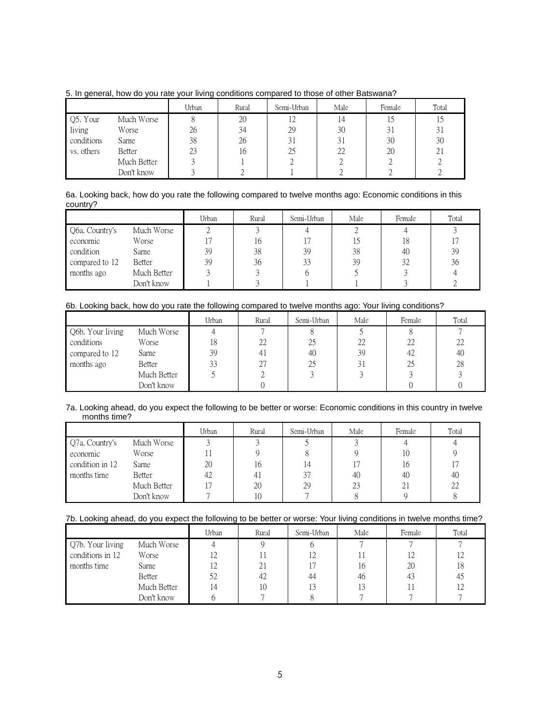|            |               | Urban | Rural | Semi-Urban | Male | Female | Total |
|------------|---------------|-------|-------|------------|------|--------|-------|
| Q5. Your   | Much Worse    |       | 20    | 12         |      |        |       |
| living     | Worse         | 26    | 34    | 29         | 30   |        | 31    |
| conditions | Same          | 38    | 26    | 31         |      | 30     | 30    |
| vs. others | <b>Better</b> | 23    | 16    | 25         | 22   | 20     | 21    |
|            | Much Better   |       |       |            |      |        |       |
|            | Don't know    |       |       |            |      |        |       |

5. In general, how do you rate your living conditions compared to those of other Batswana?

# 6a. Looking back, how do you rate the following compared to twelve months ago: Economic conditions in this country?

|                |               | Urban | Rural | Semi-Urban | Male | Female | Total |
|----------------|---------------|-------|-------|------------|------|--------|-------|
| Q6a. Country's | Much Worse    |       |       |            |      |        |       |
| economic       | Worse         |       | 16    |            |      | 18     |       |
| condition      | Same          | 39    | 38    | 39         | 38   | 40     | 39    |
| compared to 12 | <b>Better</b> | 39    | 36    | 33         | 39   | 32     | 36    |
| months ago     | Much Better   |       |       |            |      |        |       |
|                | Don't know    |       |       |            |      |        |       |

# 6b. Looking back, how do you rate the following compared to twelve months ago: Your living conditions?

|                  |             | Urban | Rural          | Semi-Urban | Male | Female | Total |
|------------------|-------------|-------|----------------|------------|------|--------|-------|
| Q6b. Your living | Much Worse  |       |                |            |      |        |       |
| conditions       | Worse       | 18    | 22             | 25         | 22   | 22     | 22    |
| compared to 12   | Same        | 39    | 4 <sub>1</sub> | 40         | 39   | 42     | 40    |
| months ago       | Better      | 33    | 27             | 25         | 31   | 25     | 28    |
|                  | Much Better |       |                |            |      |        |       |
|                  | Don't know  |       |                |            |      |        |       |

#### 7a. Looking ahead, do you expect the following to be better or worse: Economic conditions in this country in twelve months time?

|                 |             | Urban | Rural | Semi-Urban | Male | Female | Total |
|-----------------|-------------|-------|-------|------------|------|--------|-------|
| Q7a. Country's  | Much Worse  |       |       |            |      |        |       |
| economic        | Worse       |       |       |            |      | 10     |       |
| condition in 12 | Same        | 20    | 16    | , 4        |      | 16     |       |
| months time     | Better      | 42    | -41   | 37         | 40   | 40     | 40    |
|                 | Much Better |       | 20    | 29         | 23   | 21     | 22    |
|                 | Don't know  |       | 10    |            |      |        |       |

# 7b. Looking ahead, do you expect the following to be better or worse: Your living conditions in twelve months time?

|                  |               | Urban | Rural | Semi-Urban | Male | Female | Total        |
|------------------|---------------|-------|-------|------------|------|--------|--------------|
| Q7b. Your living | Much Worse    |       |       |            |      |        |              |
| conditions in 12 | Worse         | 12    |       | 12         |      | 12     |              |
| months time      | Same          | 12    | 21    | 17         | 16   | 20     | 18           |
|                  | <b>Better</b> | 52    | 42    | 44         | 46   | 43     | $4^{\prime}$ |
|                  | Much Better   | 14    | 10    | 13         | 13   |        |              |
|                  | Don't know    |       |       |            |      |        |              |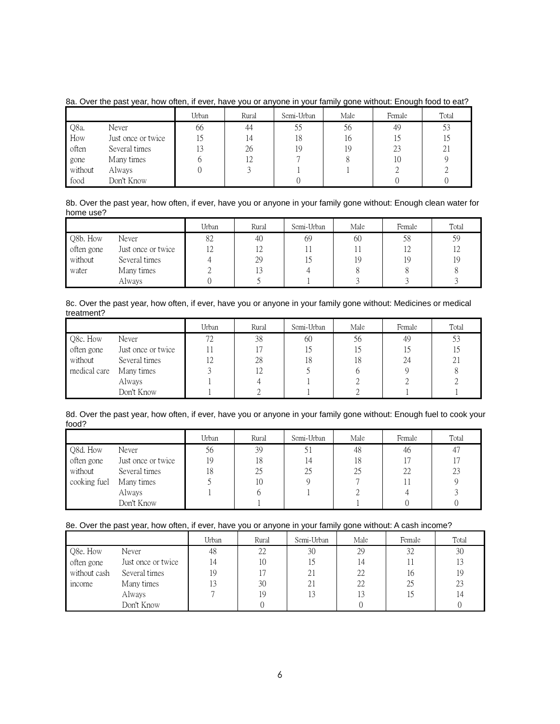|         |                    | Urban          | Rural | Semi-Urban | Male | Female | Total |
|---------|--------------------|----------------|-------|------------|------|--------|-------|
| Q8a.    | Never              | 66             | 44    | 55         | 56   | 49     | 53    |
| How     | Just once or twice |                | 14    | 18         | 16   |        |       |
| often   | Several times      | 1 <sub>0</sub> | 26    | 19         | 19   | 23     | 21    |
| gone    | Many times         |                | 12    |            |      | 10     |       |
| without | Always             |                |       |            |      |        |       |
| food    | Don't Know         |                |       |            |      |        |       |

# 8a. Over the past year, how often, if ever, have you or anyone in your family gone without: Enough food to eat?

#### 8b. Over the past year, how often, if ever, have you or anyone in your family gone without: Enough clean water for home use?

|            |                    | Urban | Rural          | Semi-Urban | Male | Female | Total |
|------------|--------------------|-------|----------------|------------|------|--------|-------|
| Q8b. How   | Never              | 82    | 40             | 69         | 60   | 58     | 59    |
| often gone | Just once or twice | 12    | $\overline{1}$ |            |      |        | 12    |
| without    | Several times      |       | 29             |            | 19   | 19     | 19    |
| water      | Many times         |       |                |            |      |        |       |
|            | Always             |       |                |            |      |        |       |

# 8c. Over the past year, how often, if ever, have you or anyone in your family gone without: Medicines or medical treatment?

|              |                    | Urban | Rural | Semi-Urban | Male | Female | Total |
|--------------|--------------------|-------|-------|------------|------|--------|-------|
| Q8c. How     | Never              | 72    | 38    | 60         | 56   | 49     | 53    |
| often gone   | Just once or twice |       |       |            |      |        |       |
| without      | Several times      | 12    | 28    | ι8         | 18   | 24     | 21    |
| medical care | Many times         |       | 12    |            |      |        |       |
|              | Always             |       |       |            |      |        |       |
|              | Don't Know         |       |       |            |      |        |       |

#### 8d. Over the past year, how often, if ever, have you or anyone in your family gone without: Enough fuel to cook your food?

|              |                    | Urban | Rural | Semi-Urban | Male | Female | Total |
|--------------|--------------------|-------|-------|------------|------|--------|-------|
| Q8d. How     | Never              | 56    | 39    |            | 48   | 46     | 47    |
| often gone   | Just once or twice | 19    | 18    | 14         | 18   |        | 17    |
| without      | Several times      | 18    | 25    | 25         | 25   | 22     | 23    |
| cooking fuel | Many times         |       | 10    |            |      |        |       |
|              | Always             |       |       |            |      |        |       |
|              | Don't Know         |       |       |            |      |        |       |

# 8e. Over the past year, how often, if ever, have you or anyone in your family gone without: A cash income?

|              |                    | Urban | Rural | Semi-Urban | Male | Female | Total |
|--------------|--------------------|-------|-------|------------|------|--------|-------|
| Q8e. How     | Never              | 48    | 22    | 30         | 29   | 32     | 30    |
| often gone   | Just once or twice | 14    | 10    | 15         | 4    |        |       |
| without cash | Several times      | 19    |       | 21         | 22   | 16     | 19    |
| income       | Many times         | 13    | 30    | 21         |      | 25     | 23    |
|              | Always             |       | 19    | 13         |      |        | 14    |
|              | Don't Know         |       |       |            |      |        |       |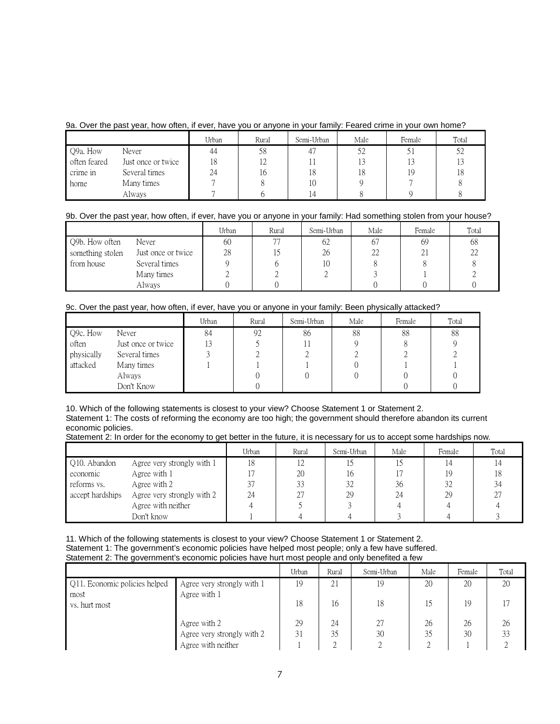# 9a. Over the past year, how often, if ever, have you or anyone in your family: Feared crime in your own home?

|              |                    | Urban | Rural | Semi-Urban | Male | Female | Total |
|--------------|--------------------|-------|-------|------------|------|--------|-------|
| Q9a. How     | Never              | 44    | 58    | 47         | 52   |        | 52    |
| often feared | Just once or twice | 18    | 12    |            |      | 13     |       |
| crime in     | Several times      | 24    | 16    | 18         |      | 19     | 18    |
| home         | Many times         |       |       | 10         |      |        |       |
|              | Always             |       |       | . 4        |      |        |       |

# 9b. Over the past year, how often, if ever, have you or anyone in your family: Had something stolen from your house?

|                  |                    | Urban | Rural | Semi-Urban | Male | Female | Total |
|------------------|--------------------|-------|-------|------------|------|--------|-------|
| Q9b. How often   | Never              | 60    | 77    | 62         | 67   | 69     | 68    |
| something stolen | Just once or twice | 28    |       | 26         | 22   | 21     | 22    |
| from house       | Several times      |       |       | 10         |      |        |       |
|                  | Many times         |       |       |            |      |        |       |
|                  | Always             |       |       |            |      |        |       |

# 9c. Over the past year, how often, if ever, have you or anyone in your family: Been physically attacked?

|            |                    | Urban | Rural | Semi-Urban | Male | Female | Total |
|------------|--------------------|-------|-------|------------|------|--------|-------|
| Q9c. How   | Never              | 84    | 92    | 86         | 88   | 88     | 88    |
| often      | Just once or twice |       |       |            |      |        |       |
| physically | Several times      |       |       |            |      |        |       |
| attacked   | Many times         |       |       |            |      |        |       |
|            | Always             |       |       |            |      |        |       |
|            | Don't Know         |       |       |            |      |        |       |

10. Which of the following statements is closest to your view? Choose Statement 1 or Statement 2. Statement 1: The costs of reforming the economy are too high; the government should therefore abandon its current economic policies.

Statement 2: In order for the economy to get better in the future, it is necessary for us to accept some hardships now.

|                  |                            | Urban | Rural | Semi-Urban | Male | Female | Total |
|------------------|----------------------------|-------|-------|------------|------|--------|-------|
| Q10. Abandon     | Agree very strongly with 1 | 18    |       |            |      |        |       |
| economic         | Agree with 1               |       | 20    | 16         |      |        |       |
| reforms vs.      | Agree with 2               | 37    | 33    | 32         | 36   | 32     |       |
| accept hardships | Agree very strongly with 2 | 24    | 27    | 29         | 24   | 29     |       |
|                  | Agree with neither         |       |       |            |      |        |       |
|                  | Don't know                 |       |       |            |      |        |       |

11. Which of the following statements is closest to your view? Choose Statement 1 or Statement 2. Statement 1: The government's economic policies have helped most people; only a few have suffered. Statement 2: The government's economic policies have hurt most people and only benefited a few

|                                       |                                            | Urban | Rural | Semi-Urban | Male | Female | Total |
|---------------------------------------|--------------------------------------------|-------|-------|------------|------|--------|-------|
| Q11. Economic policies helped<br>most | Agree very strongly with 1<br>Agree with 1 | 19    | 21    | 19         | 20   | 20     | 20    |
| vs. hurt most                         |                                            | 18    | 16    | 18         |      | 19     |       |
|                                       | Agree with 2                               | 29    | 24    | 27         | 26   | 26     | 26    |
|                                       | Agree very strongly with 2                 | 31    | 35    | 30         | 35   | 30     | 33    |
|                                       | Agree with neither                         |       |       |            |      |        |       |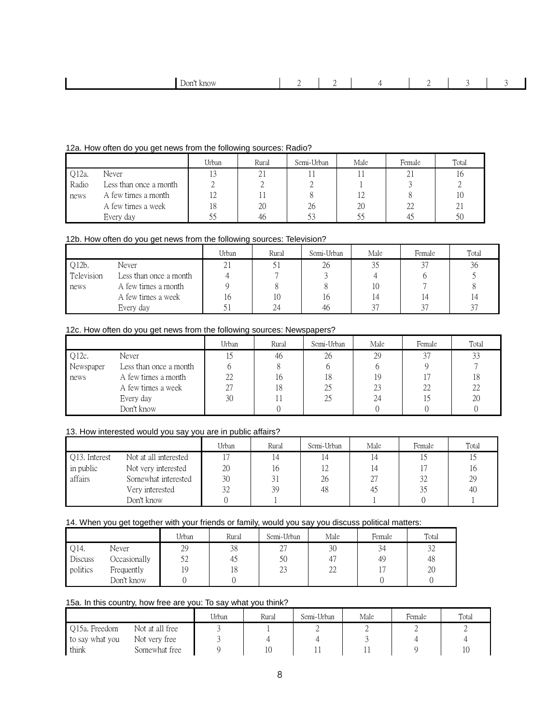|  |  | Jon'<br>know |  |  |  |  |  |  |
|--|--|--------------|--|--|--|--|--|--|
|--|--|--------------|--|--|--|--|--|--|

# 12a. How often do you get news from the following sources: Radio?

|       |                        | Urban | Rural | Semi-Urban | Male | Female       | Total      |
|-------|------------------------|-------|-------|------------|------|--------------|------------|
| Q12a. | Never                  | 13    | ΖI    |            |      | $^{\circ}$ 1 |            |
| Radio | Less than once a month |       |       |            |      |              |            |
| news  | A few times a month    | 12    |       |            |      |              |            |
|       | A few times a week     | 18    | 20    | 26         | 20   | 22           | $\angle$ . |
|       | Every day              | ں ر   | 46    |            |      |              | 50         |

# 12b. How often do you get news from the following sources: Television?

|            |                        | Urban                    | Rural | Semi-Urban | Male   | Female | Total |
|------------|------------------------|--------------------------|-------|------------|--------|--------|-------|
| Q12b.      | Never                  | $^{\circ}$ 1<br>$\sim$ 1 |       | 26         |        | $\cap$ | 36    |
| Television | Less than once a month |                          |       |            |        |        |       |
| news       | A few times a month    |                          |       |            | 10     |        |       |
|            | A few times a week     | 10                       | 10    | ı b        | , 4    | 14     |       |
|            | Every day              |                          | 24    | 46         | $\cap$ | $\cap$ | 37    |

# 12c. How often do you get news from the following sources: Newspapers?

|           |                        | Urban | Rural | Semi-Urban | Male | Female | Total |
|-----------|------------------------|-------|-------|------------|------|--------|-------|
| Q12c.     | Never                  |       | 46    | 26         | 29   |        | 33    |
| Newspaper | Less than once a month |       |       |            |      |        |       |
| news      | A few times a month    | 22    | 16    | 18         | 19   |        | 18    |
|           | A few times a week     | 27    | 18    | 25         | 23   | 22     | 22    |
|           | Every day              | 30    |       | 25         | 24   |        | 20    |
|           | Don't know             |       |       |            |      |        |       |

# 13. How interested would you say you are in public affairs?

|               |                       | Urban | Rural | Semi-Urban     | Male | Female | Total |
|---------------|-----------------------|-------|-------|----------------|------|--------|-------|
| Q13. Interest | Not at all interested |       | ، 4   |                |      |        |       |
| in public     | Not very interested   | 20    | 16    | $\overline{1}$ |      |        | 10    |
| affairs       | Somewhat interested   | 30    | 31    | 26             |      | 32     | 29    |
|               | Very interested       | 32    | 39    | 48             | 45   |        | 40    |
|               | Don't know            |       |       |                |      |        |       |

# 14. When you get together with your friends or family, would you say you discuss political matters:

|          |              | Urban | Rural | Semi-Urban        | Male            | Female | Total |
|----------|--------------|-------|-------|-------------------|-----------------|--------|-------|
| Q14.     | Never        | 29    | 38    | $\sqrt{2}$<br>، ت | 30              | 34     | 32    |
| Discuss  | Occasionally | 52    | 40    | 50                |                 | 49     | 48    |
| politics | Frequently   |       | 18    | $\cap$<br>23      | $\bigcap$<br>∠∠ |        | 20    |
|          | Don't know   |       |       |                   |                 |        |       |

# 15a. In this country, how free are you: To say what you think?

|                 |                 | Urban | Rural | Semi-Urban | Male | Female | Total |
|-----------------|-----------------|-------|-------|------------|------|--------|-------|
| O15a. Freedom   | Not at all free |       |       | ∸          |      |        |       |
| to say what you | Not very free   |       |       |            |      |        |       |
| think           | Somewhat free   |       |       |            |      |        |       |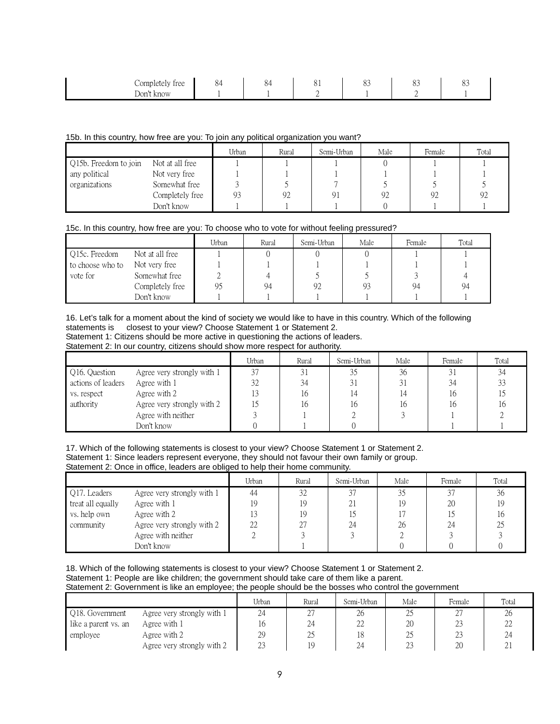| Completely free<br>$\overline{ }$ | $\sim$<br>$\sim$ | -<br>$\omega$<br>04 | O T | $\cap$<br>$\sim$ | ~~<br>$\cup$ | $\sim$<br>്റ |
|-----------------------------------|------------------|---------------------|-----|------------------|--------------|--------------|
| Don't<br>know                     |                  |                     |     |                  |              |              |

#### 15b. In this country, how free are you: To join any political organization you want?

|                       |                 | Urban | Rural | Semi-Urban | Male | Female | Total |
|-----------------------|-----------------|-------|-------|------------|------|--------|-------|
| Q15b. Freedom to join | Not at all free |       |       |            |      |        |       |
| any political         | Not very free   |       |       |            |      |        |       |
| organizations         | Somewhat free   |       |       |            |      |        |       |
|                       | Completely free | 93    | 92    |            | 92   | 92     | 92    |
|                       | Don't know      |       |       |            |      |        |       |

#### 15c. In this country, how free are you: To choose who to vote for without feeling pressured?

|                  |                 | Urban | Rural | Semi-Urban | Male | Female | Total |
|------------------|-----------------|-------|-------|------------|------|--------|-------|
| Q15c. Freedom    | Not at all free |       |       |            |      |        |       |
| to choose who to | Not very free   |       |       |            |      |        |       |
| vote for         | Somewhat free   |       |       |            |      |        |       |
|                  | Completely free | 95    | 94    | 92         | 93   | 94     | 94    |
|                  | Don't know      |       |       |            |      |        |       |

16. Let's talk for a moment about the kind of society we would like to have in this country. Which of the following statements is closest to your view? Choose Statement 1 or Statement 2.

Statement 1: Citizens should be more active in questioning the actions of leaders.

Statement 2: In our country, citizens should show more respect for authority.

|                    |                            | Urban | Rural | Semi-Urban | Male | Female | Total |
|--------------------|----------------------------|-------|-------|------------|------|--------|-------|
| Q16. Question      | Agree very strongly with 1 | 37    | 31    | 35         | 36   | 31     | 34    |
| actions of leaders | Agree with 1               | 32    | 34    | 31         |      | 34     | 33    |
| vs. respect        | Agree with 2               |       | 16    |            |      | It     |       |
| authority          | Agree very strongly with 2 |       | 16    | 16         | 1¢   | It     | 16    |
|                    | Agree with neither         |       |       |            |      |        |       |
|                    | Don't know                 |       |       |            |      |        |       |

17. Which of the following statements is closest to your view? Choose Statement 1 or Statement 2. Statement 1: Since leaders represent everyone, they should not favour their own family or group. Statement 2: Once in office, leaders are obliged to help their home community.

|                   |                            | Urban | Rural | Semi-Urban | Male | Female | Total |
|-------------------|----------------------------|-------|-------|------------|------|--------|-------|
| Q17. Leaders      | Agree very strongly with 1 | 44    | 32    | 37         | 35   | 37     | 36    |
| treat all equally | Agree with 1               | 19    | 19    | 21         | 19   | 20     |       |
| vs. help own      | Agree with 2               |       | 19    |            |      |        |       |
| community         | Agree very strongly with 2 | 22    | -27   | 24         | 26   | 24     |       |
|                   | Agree with neither         |       |       |            |      |        |       |
|                   | Don't know                 |       |       |            |      |        |       |

18. Which of the following statements is closest to your view? Choose Statement 1 or Statement 2. Statement 1: People are like children; the government should take care of them like a parent.

Statement 2: Government is like an employee; the people should be the bosses who control the government

|                      |                            | Urban  | Rural             | Semi-Urban   | Male   | Female     | Total |
|----------------------|----------------------------|--------|-------------------|--------------|--------|------------|-------|
| Q18. Government      | Agree very strongly with 1 | 24     | $\sqrt{ }$<br>، ت | 26           | ∠J     | ∠          | 26    |
| like a parent vs. an | Agree with 1               |        | 24                | $\cap$<br>LL | 20     | <u>L.,</u> | ∠∠    |
| employee             | Agree with 2               | 29     | 25                | 18           | L.,    | <u>L.</u>  | 24    |
|                      | Agree very strongly with 2 | $\cap$ |                   | 24           | $\cap$ | ንቦ<br>۷J.  | Δ.    |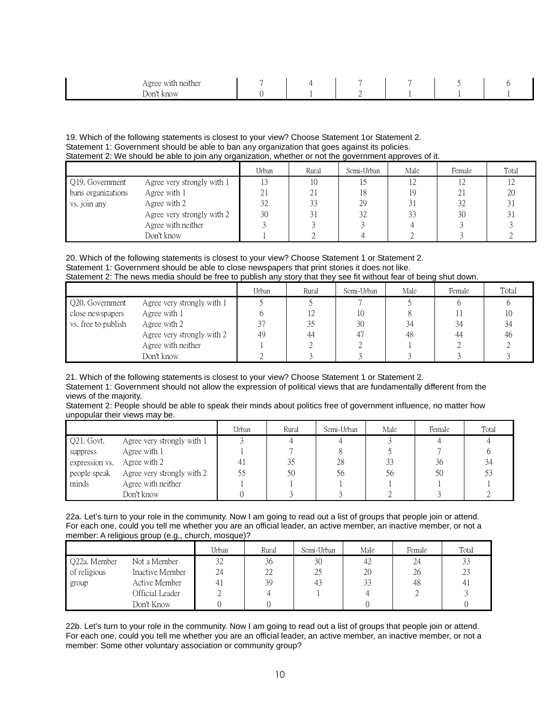| Agree with<br>with neither |  |  |  |
|----------------------------|--|--|--|
| Don't know                 |  |  |  |

19. Which of the following statements is closest to your view? Choose Statement 1or Statement 2. Statement 1: Government should be able to ban any organization that goes against its policies. Statement 2: We should be able to join any organization, whether or not the government approves of it.

|                    |                            | Urban | Rural               | Semi-Urban | Male | Female | Total |
|--------------------|----------------------------|-------|---------------------|------------|------|--------|-------|
| Q19. Government    | Agree very strongly with 1 |       | 10                  |            | ∡∠   |        |       |
| bans organizations | Agree with 1               |       | $^{\circ}$ 1        | 18         | 19   |        | 20    |
| vs. join any       | Agree with 2               | 32    | 33                  | 29         |      | $\cap$ | 31    |
|                    | Agree very strongly with 2 | 30    | $^{\circ}$ 1<br>4 I | 32         | 33   | 30     |       |
|                    | Agree with neither         |       |                     |            |      |        |       |
|                    | Don't know                 |       |                     |            |      |        |       |

20. Which of the following statements is closest to your view? Choose Statement 1 or Statement 2. Statement 1: Government should be able to close newspapers that print stories it does not like. Statement 2: The news media should be free to publish any story that they see fit without fear of being shut down.

|                     |                            | Urban  | Rural | Semi-Urban | Male | Female | Total |
|---------------------|----------------------------|--------|-------|------------|------|--------|-------|
| Q20. Government     | Agree very strongly with 1 |        |       |            |      |        |       |
| close newspapers    | Agree with 1               |        |       | 10         |      |        | 10    |
| vs. free to publish | Agree with 2               | $\cap$ |       | 30         | 34   | 34     | 34    |
|                     | Agree very strongly with 2 | 49     | 44    |            | 48   | 44     | 46    |
|                     | Agree with neither         |        |       |            |      |        |       |
|                     | Don't know                 |        |       |            |      |        |       |

21. Which of the following statements is closest to your view? Choose Statement 1 or Statement 2. Statement 1: Government should not allow the expression of political views that are fundamentally different from the views of the majority.

Statement 2: People should be able to speak their minds about politics free of government influence, no matter how unpopular their views may be.

|                |                            | Urban | Rural | Semi-Urban | Male | Female | Total |
|----------------|----------------------------|-------|-------|------------|------|--------|-------|
| Q21. Govt.     | Agree very strongly with 1 |       |       |            |      |        |       |
| suppress       | Agree with 1               |       |       |            |      |        |       |
| expression vs. | Agree with 2               |       |       | 28         | 33   | 36     | 34    |
| people speak   | Agree very strongly with 2 | 55    | 50    | 56         | 56   | 50     |       |
| minds          | Agree with neither         |       |       |            |      |        |       |
|                | Don't know                 |       |       |            |      |        |       |

22a. Let's turn to your role in the community. Now I am going to read out a list of groups that people join or attend. For each one, could you tell me whether you are an official leader, an active member, an inactive member, or not a member: A religious group (e.g., church, mosque)?

|              |                 | Urban          | Rural | Semi-Urban | Male | Female | Total |
|--------------|-----------------|----------------|-------|------------|------|--------|-------|
| O22a. Member | Not a Member    | 32             | 36    | 30         | 42   | 24     | 33    |
| of religious | Inactive Member | 24             | 22    | 25         | 20   | 26     | 23    |
| group        | Active Member   | 4 <sub>1</sub> | 39    | 43         | 33   | 48     |       |
|              | Official Leader |                |       |            |      |        |       |
|              | Don't Know      |                |       |            |      |        |       |

22b. Let's turn to your role in the community. Now I am going to read out a list of groups that people join or attend. For each one, could you tell me whether you are an official leader, an active member, an inactive member, or not a member: Some other voluntary association or community group?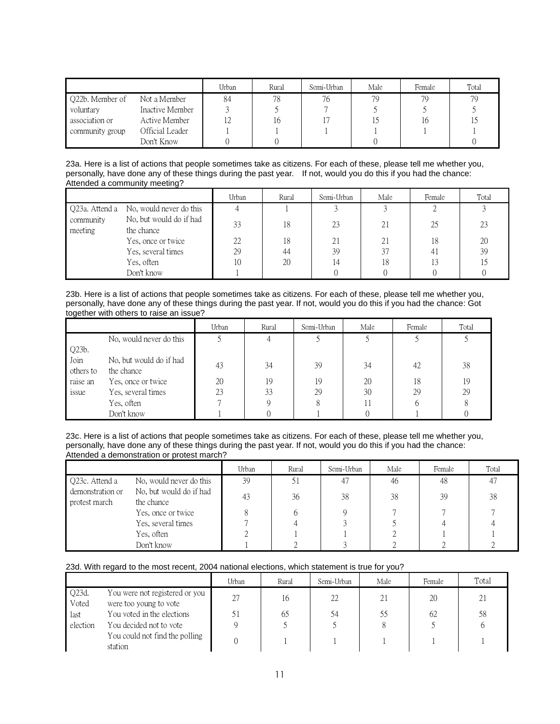|                 |                 | Urban | Rural | Semi-Urban | Male | Female | Total |
|-----------------|-----------------|-------|-------|------------|------|--------|-------|
| Q22b. Member of | Not a Member    | 84    | 78    | 76         | 79   | 79     | 79    |
| voluntary       | Inactive Member |       |       |            |      |        |       |
| association or  | Active Member   | 12    | 16    |            |      | 16     |       |
| community group | Official Leader |       |       |            |      |        |       |
|                 | Don't Know      |       |       |            |      |        |       |

23a. Here is a list of actions that people sometimes take as citizens. For each of these, please tell me whether you, personally, have done any of these things during the past year. If not, would you do this if you had the chance: Attended a community meeting?

|                      |                                        | Urban | Rural | Semi-Urban | Male | Female | Total |
|----------------------|----------------------------------------|-------|-------|------------|------|--------|-------|
|                      | Q23a. Attend a No, would never do this |       |       |            |      |        |       |
| community<br>meeting | No, but would do if had<br>the chance  | 33    | 18    | 23         | 21   | 25     | 23    |
|                      | Yes, once or twice                     | 22    | 18    | 21         | 21   | 18     | 20    |
|                      | Yes, several times                     | 29    | 44    | 39         | 37   | 41     | 39    |
|                      | Yes, often                             | 10    | 20    |            | 18   | 13     |       |
|                      | Don't know                             |       |       |            |      |        |       |

23b. Here is a list of actions that people sometimes take as citizens. For each of these, please tell me whether you, personally, have done any of these things during the past year. If not, would you do this if you had the chance: Got together with others to raise an issue?

|                   |                                       | Urban | Rural | Semi-Urban | Male | Female | Total |
|-------------------|---------------------------------------|-------|-------|------------|------|--------|-------|
|                   | No, would never do this               |       |       |            |      |        |       |
| Q23b.             |                                       |       |       |            |      |        |       |
| Join<br>others to | No, but would do if had<br>the chance | 43    | 34    | 39         | 34   | 42     | 38    |
| raise an          | Yes, once or twice                    | 20    | 19    | 19         | 20   | 18     | 19    |
| issue             | Yes, several times                    | 23    | 33    | 29         | 30   | 29     | 29    |
|                   | Yes, often                            |       |       |            |      | h      |       |
|                   | Don't know                            |       |       |            |      |        |       |

23c. Here is a list of actions that people sometimes take as citizens. For each of these, please tell me whether you, personally, have done any of these things during the past year. If not, would you do this if you had the chance: Attended a demonstration or protest march?

|                                   |                                       | Urban | Rural | Semi-Urban | Male | Female | Total |
|-----------------------------------|---------------------------------------|-------|-------|------------|------|--------|-------|
| Q23c. Attend a                    | No, would never do this               | 39    |       | 47         | 46   | 48     | 47    |
| demonstration or<br>protest march | No, but would do if had<br>the chance | 43    | 36    | 38         | 38   | 39     | 38    |
|                                   | Yes, once or twice                    |       |       |            |      |        |       |
|                                   | Yes, several times                    |       |       |            |      |        |       |
|                                   | Yes, often                            |       |       |            |      |        |       |
|                                   | Don't know                            |       |       |            |      |        |       |

#### 23d. With regard to the most recent, 2004 national elections, which statement is true for you?

|                |                                                          | Urban | Rural | Semi-Urban | Male | Female | Total          |
|----------------|----------------------------------------------------------|-------|-------|------------|------|--------|----------------|
| Q23d.<br>Voted | You were not registered or you<br>were too young to vote | רר    | 16    | 22         | 21   | 20     | $\overline{2}$ |
| last           | You voted in the elections                               |       | 65    | 54         | 55   | 62     | 58             |
| election       | You decided not to vote                                  |       |       |            |      |        |                |
|                | You could not find the polling<br>station                |       |       |            |      |        |                |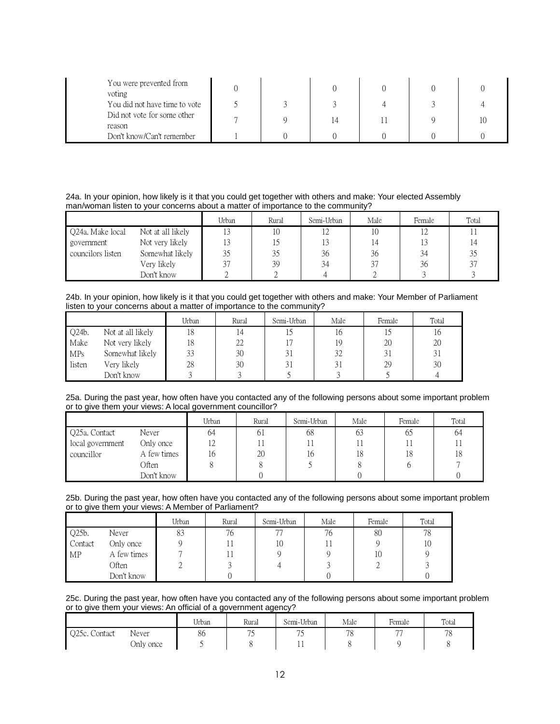| You were prevented from<br>voting     |  |  |  |
|---------------------------------------|--|--|--|
| You did not have time to vote         |  |  |  |
| Did not vote for some other<br>reason |  |  |  |
| Don't know/Can't remember             |  |  |  |

24a. In your opinion, how likely is it that you could get together with others and make: Your elected Assembly man/woman listen to your concerns about a matter of importance to the community?

|                   |                   | Urban          | Rural | Semi-Urban | Male | Female      | Total |
|-------------------|-------------------|----------------|-------|------------|------|-------------|-------|
| Q24a. Make local  | Not at all likely | 1 <sub>0</sub> | 10    |            | 10   | $1^{\circ}$ |       |
| government        | Not very likely   |                |       |            |      |             | 14    |
| councilors listen | Somewhat likely   |                | 35    | 36         | 36   | 34          | 35    |
|                   | Very likely       | $\sim$         | 39    | 34         | 37   | 36          | 37    |
|                   | Don't know        |                |       |            |      |             |       |

24b. In your opinion, how likely is it that you could get together with others and make: Your Member of Parliament listen to your concerns about a matter of importance to the community?

|        |                   | Urban | Rural | Semi-Urban | Male | Female | Total |
|--------|-------------------|-------|-------|------------|------|--------|-------|
| Q24b.  | Not at all likely | 18    | 14    |            | 16   |        | 16    |
| Make   | Not very likely   | 18    | 22    |            | 19   | 20     | 20    |
| MPs    | Somewhat likely   | 33    | 30    | 31         | 32   | 31     |       |
| listen | Very likely       | 28    | 30    | 31         |      | 29     | 30    |
|        | Don't know        |       |       |            |      |        |       |

25a. During the past year, how often have you contacted any of the following persons about some important problem or to give them your views: A local government councillor?

|                  |             | Urban | Rural          | Semi-Urban | Male | Female | Total |
|------------------|-------------|-------|----------------|------------|------|--------|-------|
| Q25a. Contact    | Never       | 64    | 6 <sub>1</sub> | 68         | 63   | 65     | 64    |
| local government | Only once   | 12    |                |            |      |        |       |
| councillor       | A few times | 16    | 20             | 10         | 18   | 18     | 18    |
|                  | Often       |       |                |            |      |        |       |
|                  | Don't know  |       |                |            |      |        |       |

|  |  | 25b. During the past year, how often have you contacted any of the following persons about some important problem |  |  |  |  |
|--|--|-------------------------------------------------------------------------------------------------------------------|--|--|--|--|
|  |  | or to give them your views: A Member of Parliament?                                                               |  |  |  |  |

|         |             | Urban | Rural | Semi-Urban | Male | Female | Total |
|---------|-------------|-------|-------|------------|------|--------|-------|
| Q25b.   | Never       | 83    | 76    | 77         | 76   | 80     | 78    |
| Contact | Only once   |       |       | 10         |      |        | 10    |
| MP      | A few times |       |       |            |      | 10     |       |
|         | Often       | ∠     |       |            |      | ∠      |       |
|         | Don't know  |       |       |            |      |        |       |

25c. During the past year, how often have you contacted any of the following persons about some important problem or to give them your views: An official of a government agency?

|               |           | $\mathbf{v}$ $\mathbf{v}$ $\mathbf{v}$<br>Urban | Rural                    | Semi-Urban  | Male          | Female         | Total    |
|---------------|-----------|-------------------------------------------------|--------------------------|-------------|---------------|----------------|----------|
| Q25c. Contact | Never     | 86                                              | $\overline{\phantom{a}}$ | $\sim$<br>, | 70<br>$\circ$ | $\overline{a}$ | 70<br>10 |
|               | Only once |                                                 |                          | . .         |               |                |          |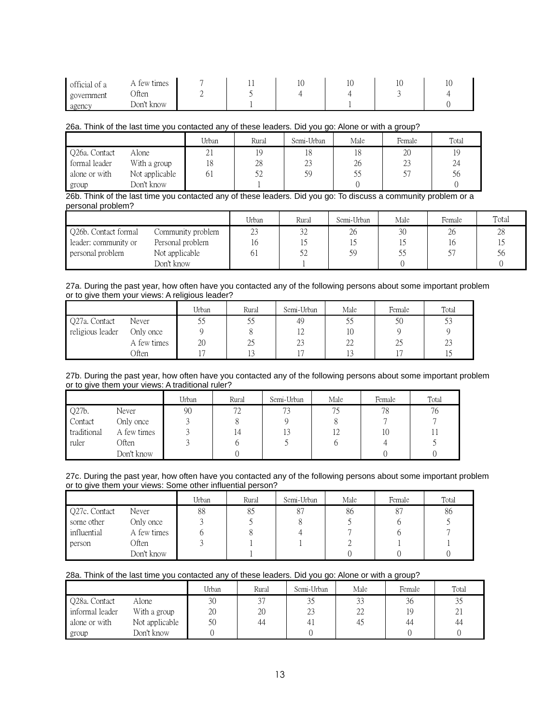| official of a | A few times | * * | ΙV | ΙV | $\sim$ |
|---------------|-------------|-----|----|----|--------|
| government    | Often       |     |    |    |        |
| agency        | Don't know  |     |    |    |        |

# 26a. Think of the last time you contacted any of these leaders. Did you go: Alone or with a group?

|               |                | Urban              | Rural | Semi-Urban | Male | Female | Total |
|---------------|----------------|--------------------|-------|------------|------|--------|-------|
| Q26a. Contact | Alone          | $^{\circ}$ 1<br>ΖI |       | 10         | 18   | 20     | 19    |
| formal leader | With a group   | 18                 | 28    | 23         | 26   | 23     | 24    |
| alone or with | Not applicable | 01                 |       | 59         |      |        | 56    |
| group         | Don't know     |                    |       |            |      |        |       |

## 26b. Think of the last time you contacted any of these leaders. Did you go: To discuss a community problem or a personal problem?

|                      |                   | Urban | Rural | Semi-Urban | Male | Female | Total |
|----------------------|-------------------|-------|-------|------------|------|--------|-------|
| Q26b. Contact formal | Community problem | 23    | 32    | 26         | 30   | 26     | 28    |
| leader: community or | Personal problem  | 16    |       |            |      |        |       |
| personal problem     | Not applicable    | 61    | 52    | 59         | 55   |        | Эb    |
|                      | Don't know        |       |       |            |      |        |       |

### 27a. During the past year, how often have you contacted any of the following persons about some important problem or to give them your views: A religious leader?

|                  |             | Urban | Rural | Semi-Urban   | Male       | Female | Total |
|------------------|-------------|-------|-------|--------------|------------|--------|-------|
| Q27a. Contact    | Never       | ب ب   | CC    | 49           | ں ر        | 50     | 53    |
| religious leader | Only once   |       |       | $L \sim$     | 10         |        |       |
|                  | A few times | 20    | 25    | $\cap$<br>23 | 22         | ر ر    | 23    |
|                  | Often       |       | *∼    |              | ר ו<br>1 J |        | ∗∽    |

#### 27b. During the past year, how often have you contacted any of the following persons about some important problem or to give them your views: A traditional ruler?

|             |             | Urban | Rural | Semi-Urban | Male | Female | Total |
|-------------|-------------|-------|-------|------------|------|--------|-------|
| Q27b.       | Never       | 90    | 72    | 73         | 75   | 78     | 76    |
| Contact     | Only once   |       |       |            |      |        |       |
| traditional | A few times |       |       | 13         | 12   | 10     |       |
| ruler       | Often       |       |       |            |      |        |       |
|             | Don't know  |       |       |            |      |        |       |

# 27c. During the past year, how often have you contacted any of the following persons about some important problem or to give them your views: Some other influential person?

|               |             | Urban | Rural | Semi-Urban | Male | Female | Total |
|---------------|-------------|-------|-------|------------|------|--------|-------|
| Q27c. Contact | Never       | 88    | 85    | 87         | 86   |        | 86    |
| some other    | Only once   |       |       |            |      |        |       |
| influential   | A few times |       |       |            |      |        |       |
| person        | Often       |       |       |            |      |        |       |
|               | Don't know  |       |       |            |      |        |       |

# 28a. Think of the last time you contacted any of these leaders. Did you go: Alone or with a group?

|                 |                | Urban | Rural      | Semi-Urban | Male | Female | Total |
|-----------------|----------------|-------|------------|------------|------|--------|-------|
| Q28a. Contact   | Alone          | 30    | $\sqrt{2}$ |            | 33   | 36     | 35    |
| informal leader | With a group   | 20    | 20         | 23         | 22   | 19     | 21    |
| alone or with   | Not applicable | 50    | 44         |            | 4.   | 44     | 44    |
| group           | Don't know     |       |            |            |      |        |       |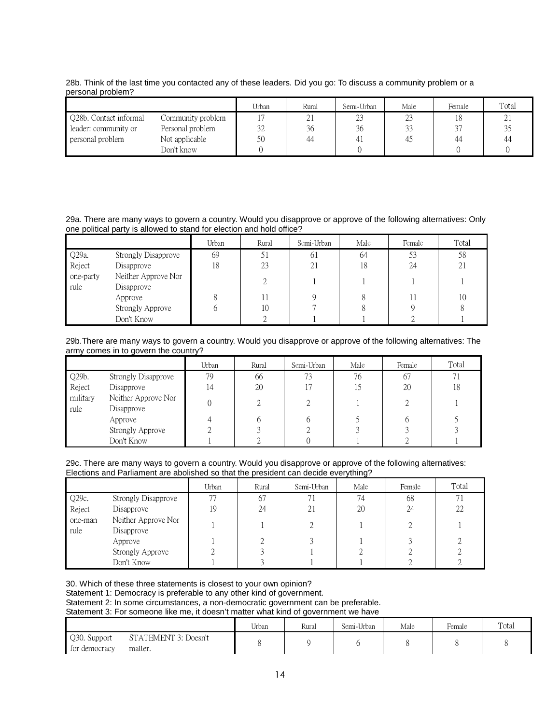|                        |                   | Urban | Rural    | Semi-Urban           | Male | Female | Total |
|------------------------|-------------------|-------|----------|----------------------|------|--------|-------|
| Q28b. Contact informal | Community problem |       | <u>L</u> | $\sim$<br><u>L.,</u> | 23   |        | 21    |
| leader: community or   | Personal problem  | 32    | 36       | 36                   | J.,  | 3.     |       |
| personal problem       | Not applicable    | 50    | 44       | 4                    | -4.  | 44     | 44    |
|                        | Don't know        |       |          |                      |      |        |       |

# 28b. Think of the last time you contacted any of these leaders. Did you go: To discuss a community problem or a personal problem?

# 29a. There are many ways to govern a country. Would you disapprove or approve of the following alternatives: Only one political party is allowed to stand for election and hold office?

|                   |                                   | Urban | Rural | Semi-Urban | Male | Female | Total |
|-------------------|-----------------------------------|-------|-------|------------|------|--------|-------|
| Q29a.             | Strongly Disapprove               | 69    | J 1   | 61         | 64   | 53     | 58    |
| Reject            | Disapprove                        | 18    | 23    | 21         | 18   | 24     | 21    |
| one-party<br>rule | Neither Approve Nor<br>Disapprove |       |       |            |      |        |       |
|                   | Approve                           | 8     |       |            |      |        | 10    |
|                   | Strongly Approve                  | O     | 10    |            |      |        |       |
|                   | Don't Know                        |       |       |            |      |        |       |

# 29b.There are many ways to govern a country. Would you disapprove or approve of the following alternatives: The army comes in to govern the country?

|                  |                                   | Urban | Rural | Semi-Urban     | Male | Female | Total |
|------------------|-----------------------------------|-------|-------|----------------|------|--------|-------|
| Q29b.            | Strongly Disapprove               | 79    | 66    | 73             | 76   | 67     | 71    |
| Reject           | Disapprove                        | 14    | 20    | 1 <sub>7</sub> | 15   | 20     | 18    |
| military<br>rule | Neither Approve Nor<br>Disapprove |       |       |                |      |        |       |
|                  | Approve                           |       |       |                |      |        |       |
|                  | Strongly Approve                  |       |       |                |      |        |       |
|                  | Don't Know                        |       |       |                |      |        |       |

#### 29c. There are many ways to govern a country. Would you disapprove or approve of the following alternatives: Elections and Parliament are abolished so that the president can decide everything?

|                 |                                   | Urban | Rural | Semi-Urban | Male | Female | Total |
|-----------------|-----------------------------------|-------|-------|------------|------|--------|-------|
| Q29c.           | <b>Strongly Disapprove</b>        | 77    | 67    |            | 74   | 68     |       |
| Reject          | Disapprove                        | 19    | 24    | 21         | 20   | 24     | 22    |
| one-man<br>rule | Neither Approve Nor<br>Disapprove |       |       |            |      |        |       |
|                 | Approve                           |       |       |            |      |        |       |
|                 | Strongly Approve                  |       |       |            |      |        |       |
|                 | Don't Know                        |       |       |            |      |        |       |

30. Which of these three statements is closest to your own opinion?

Statement 1: Democracy is preferable to any other kind of government.

Statement 2: In some circumstances, a non-democratic government can be preferable.

Statement 3: For someone like me, it doesn't matter what kind of government we have

|                                                                  | Urban | Rural | Semi-Urban | Male | Female | Total |
|------------------------------------------------------------------|-------|-------|------------|------|--------|-------|
| Q30. Support<br>STATEMENT 3: Doesn't<br>for democracy<br>matter. |       |       |            |      |        |       |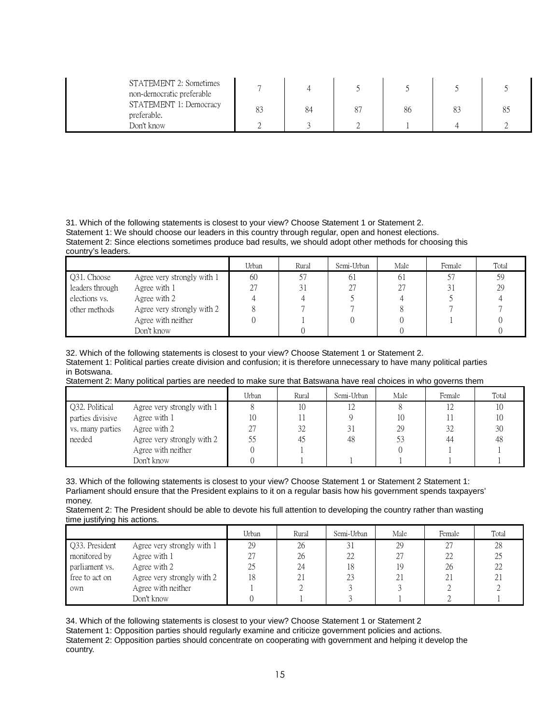| STATEMENT 2: Sometimes<br>non-democratic preferable |    |    |    |  |
|-----------------------------------------------------|----|----|----|--|
| STATEMENT 1: Democracy<br>preferable.               | 83 | 84 | 86 |  |
| Don't know                                          |    |    |    |  |

31. Which of the following statements is closest to your view? Choose Statement 1 or Statement 2. Statement 1: We should choose our leaders in this country through regular, open and honest elections. Statement 2: Since elections sometimes produce bad results, we should adopt other methods for choosing this country's leaders.

|                 |                            | Urban | Rural | Semi-Urban | Male | Female | Total |
|-----------------|----------------------------|-------|-------|------------|------|--------|-------|
| Q31. Choose     | Agree very strongly with 1 | 60    | 57    | 61         | 61   | -57    | -59   |
| leaders through | Agree with 1               | 27    | 31    | 27         | 27   | 31     | 29    |
| elections vs.   | Agree with 2               |       |       |            |      |        |       |
| other methods   | Agree very strongly with 2 |       |       |            |      |        |       |
|                 | Agree with neither         |       |       |            |      |        |       |
|                 | Don't know                 |       |       |            |      |        |       |

32. Which of the following statements is closest to your view? Choose Statement 1 or Statement 2. Statement 1: Political parties create division and confusion; it is therefore unnecessary to have many political parties in Botswana.

Statement 2: Many political parties are needed to make sure that Batswana have real choices in who governs them

|                  |                            | Urban | Rural | Semi-Urban | Male | Female | Total |
|------------------|----------------------------|-------|-------|------------|------|--------|-------|
| Q32. Political   | Agree very strongly with 1 |       | 10    | 12         |      |        |       |
| parties divisive | Agree with 1               | 10    |       |            | 10   |        |       |
| vs. many parties | Agree with 2               | 27    | 32    | 31         | 29   | 32     | 30    |
| needed           | Agree very strongly with 2 | 55    | 45    | 48         |      | 44     | 48    |
|                  | Agree with neither         |       |       |            |      |        |       |
|                  | Don't know                 |       |       |            |      |        |       |

33. Which of the following statements is closest to your view? Choose Statement 1 or Statement 2 Statement 1: Parliament should ensure that the President explains to it on a regular basis how his government spends taxpayers' money.

Statement 2: The President should be able to devote his full attention to developing the country rather than wasting time justifying his actions.

|                |                            | Urban | Rural | Semi-Urban | Male | Female | Total |
|----------------|----------------------------|-------|-------|------------|------|--------|-------|
| Q33. President | Agree very strongly with 1 | 29    | 26    | 31         | 29   | 27     | 28    |
| monitored by   | Agree with 1               | 27    | 26    | 22         | 27   | 22     |       |
| parliament vs. | Agree with 2               | 25    | 24    | 18         | 19   | 26     |       |
| free to act on | Agree very strongly with 2 | 18    | 21    | 23         | 21   | 21     | 2.    |
| own            | Agree with neither         |       |       |            |      |        |       |
|                | Don't know                 |       |       |            |      |        |       |

34. Which of the following statements is closest to your view? Choose Statement 1 or Statement 2 Statement 1: Opposition parties should regularly examine and criticize government policies and actions. Statement 2: Opposition parties should concentrate on cooperating with government and helping it develop the country.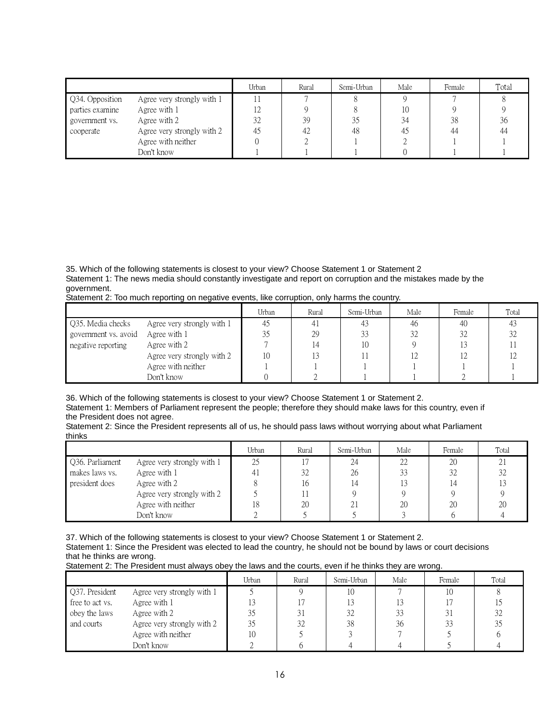|                 |                            | Urban          | Rural | Semi-Urban | Male | Female | Total |
|-----------------|----------------------------|----------------|-------|------------|------|--------|-------|
| Q34. Opposition | Agree very strongly with 1 |                |       |            |      |        |       |
| parties examine | Agree with 1               | $\overline{1}$ |       |            | 10   |        |       |
| government vs.  | Agree with 2               | 32             | 39    | 35         | 34   | 38     | 36    |
| cooperate       | Agree very strongly with 2 | 45             | -42   | 48         | 4.   | 44     | 44    |
|                 | Agree with neither         |                |       |            |      |        |       |
|                 | Don't know                 |                |       |            |      |        |       |

35. Which of the following statements is closest to your view? Choose Statement 1 or Statement 2 Statement 1: The news media should constantly investigate and report on corruption and the mistakes made by the government.

| Statement 2: Too much reporting on negative events, like corruption, only harms the country. |  |  |
|----------------------------------------------------------------------------------------------|--|--|
|                                                                                              |  |  |

|                      |                            | Urban | Rural | Semi-Urban | Male | Female | Total |
|----------------------|----------------------------|-------|-------|------------|------|--------|-------|
| Q35. Media checks    | Agree very strongly with 1 |       |       | 43         | 46   | 40     | 43    |
| government vs. avoid | Agree with 1               |       | 29    | 33         | 32   |        | 32    |
| negative reporting   | Agree with 2               |       | 14    | 10         |      |        |       |
|                      | Agree very strongly with 2 | 10    |       |            |      |        |       |
|                      | Agree with neither         |       |       |            |      |        |       |
|                      | Don't know                 |       |       |            |      |        |       |

36. Which of the following statements is closest to your view? Choose Statement 1 or Statement 2. Statement 1: Members of Parliament represent the people; therefore they should make laws for this country, even if the President does not agree.

Statement 2: Since the President represents all of us, he should pass laws without worrying about what Parliament thinks

|                 |                            | Urban | Rural | Semi-Urban | Male          | Female | Total          |
|-----------------|----------------------------|-------|-------|------------|---------------|--------|----------------|
| Q36. Parliament | Agree very strongly with 1 | 25    |       | 24         | ∠∠            | 20     | $\overline{L}$ |
| makes laws vs.  | Agree with 1               | 41    | 32    | 26         | $\sim$ $\sim$ | 32     | 32             |
| president does  | Agree with 2               |       | 16    |            |               |        |                |
|                 | Agree very strongly with 2 |       |       |            |               |        |                |
|                 | Agree with neither         | 18    | 20    | z.         | 20            | 20     | 20             |
|                 | Don't know                 |       |       |            |               |        |                |

37. Which of the following statements is closest to your view? Choose Statement 1 or Statement 2. Statement 1: Since the President was elected to lead the country, he should not be bound by laws or court decisions that he thinks are wrong.

Statement 2: The President must always obey the laws and the courts, even if he thinks they are wrong.

|                 |                            | Urban | Rural | Semi-Urban | Male | Female | Total |
|-----------------|----------------------------|-------|-------|------------|------|--------|-------|
| Q37. President  | Agree very strongly with 1 |       |       | 10         |      | 10     |       |
| free to act vs. | Agree with 1               |       |       |            |      |        |       |
| obey the laws   | Agree with 2               | 35    | 31    | 32         | 33   | 31     |       |
| and courts      | Agree very strongly with 2 | 35    | 32    | 38         | 36   | 33     |       |
|                 | Agree with neither         | 10    |       |            |      |        |       |
|                 | Don't know                 |       |       |            |      |        |       |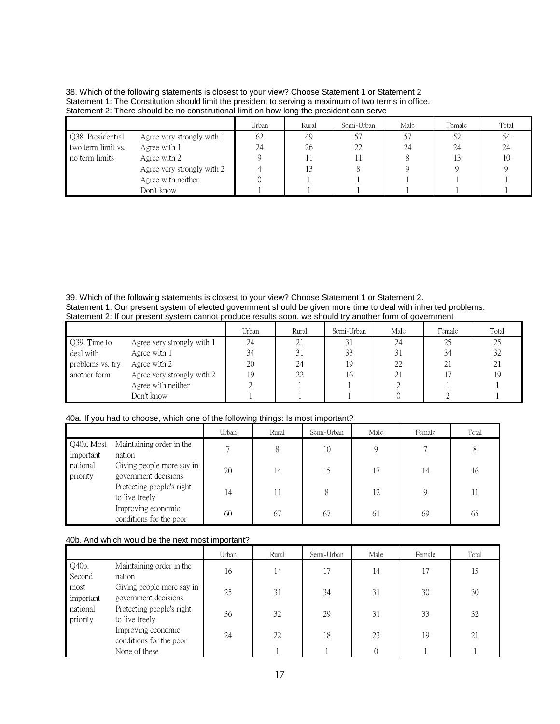| 38. Which of the following statements is closest to your view? Choose Statement 1 or Statement 2      |
|-------------------------------------------------------------------------------------------------------|
| Statement 1: The Constitution should limit the president to serving a maximum of two terms in office. |
| Statement 2: There should be no constitutional limit on how long the president can serve              |

|                    |                            | Urban | Rural | Semi-Urban | Male | Female | Total |
|--------------------|----------------------------|-------|-------|------------|------|--------|-------|
| Q38. Presidential  | Agree very strongly with 1 | 62    | 49    |            |      | 52     | 54    |
| two term limit vs. | Agree with 1               | 24    | 26    | つつ         | 24   | 24     | 24    |
| no term limits     | Agree with 2               |       |       |            |      |        | 10    |
|                    | Agree very strongly with 2 |       |       |            |      |        |       |
|                    | Agree with neither         |       |       |            |      |        |       |
|                    | Don't know                 |       |       |            |      |        |       |

39. Which of the following statements is closest to your view? Choose Statement 1 or Statement 2. Statement 1: Our present system of elected government should be given more time to deal with inherited problems. Statement 2: If our present system cannot produce results soon, we should try another form of government

|                  |                            | Urban | Rural | Semi-Urban | Male | Female | Total |
|------------------|----------------------------|-------|-------|------------|------|--------|-------|
| Q39. Time to     | Agree very strongly with 1 | 24    | 21    | 31         | 24   | 25     |       |
| deal with        | Agree with 1               | 34    | 31    | 33         | 31   | 34     | 32    |
| problems vs. try | Agree with 2               | 20    | 24    | 19         | 22   |        | 21    |
| another form     | Agree very strongly with 2 | 19    | 22    | 1¢         | 21   |        |       |
|                  | Agree with neither         |       |       |            |      |        |       |
|                  | Don't know                 |       |       |            |      |        |       |

# 40a. If you had to choose, which one of the following things: Is most important?

|                         |                                                   | Urban | Rural | Semi-Urban | Male | Female       | Total |
|-------------------------|---------------------------------------------------|-------|-------|------------|------|--------------|-------|
| Q40a. Most<br>important | Maintaining order in the<br>nation                |       | 8     | 10         |      |              | 8     |
| national<br>priority    | Giving people more say in<br>government decisions | 20    | 14    | 15         |      | 14           | 16    |
|                         | Protecting people's right<br>to live freely       | 14    | 11    |            | 12   | $\mathsf{Q}$ |       |
|                         | Improving economic<br>conditions for the poor     | 60    | 67    | 67         | 61   | 69           | 65    |

# 40b. And which would be the next most important?

|                      |                                                   | Urban | Rural | Semi-Urban | Male | Female | Total |
|----------------------|---------------------------------------------------|-------|-------|------------|------|--------|-------|
| Q40b.<br>Second      | Maintaining order in the<br>nation                | 16    | 14    | 17         | 14   | 17     | 15    |
| most<br>important    | Giving people more say in<br>government decisions | 25    | 31    | 34         | 31   | 30     | 30    |
| national<br>priority | Protecting people's right<br>to live freely       | 36    | 32    | 29         | 31   | 33     | 32    |
|                      | Improving economic<br>conditions for the poor     | 24    | 22    | 18         | 23   | 19     | 21    |
|                      | None of these                                     |       |       |            |      |        |       |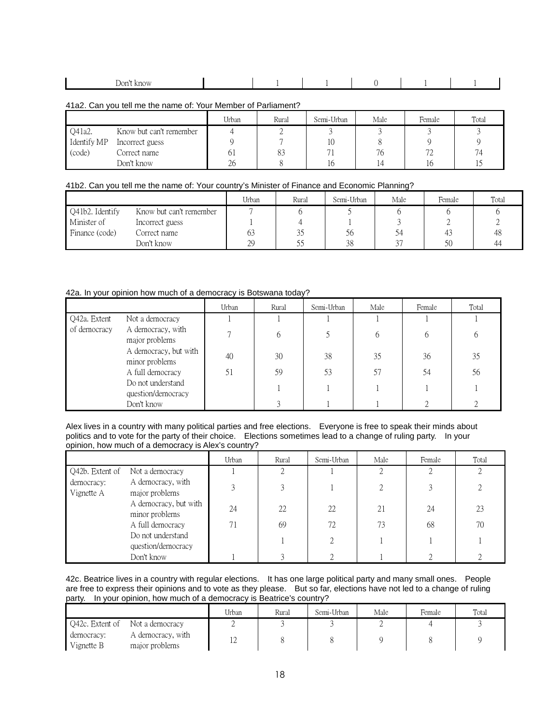| Dom <sup>o</sup><br>KNOW<br>_ _ _ _ _ _ _ |  |  |  |
|-------------------------------------------|--|--|--|

41a2. Can you tell me the name of: Your Member of Parliament?

|             |                         | Urban | Rural | Semi-Urban | Male | Female              | Total |
|-------------|-------------------------|-------|-------|------------|------|---------------------|-------|
| Q41a2.      | Know but can't remember |       |       |            |      |                     |       |
| Identify MP | Incorrect guess         |       |       |            |      |                     |       |
| (code)      | Correct name            | 61    |       |            | 76   | 70<br>$\mathcal{L}$ |       |
|             | Don't know              | 26    |       |            |      | 10                  |       |

# 41b2. Can you tell me the name of: Your country's Minister of Finance and Economic Planning?

|                 |                         | Urban | Rural     | Semi-Urban | Male   | Female | Total |
|-----------------|-------------------------|-------|-----------|------------|--------|--------|-------|
| Q41b2. Identify | Know but can't remember |       |           |            |        |        |       |
| Minister of     | Incorrect guess         |       |           |            |        |        |       |
| Finance (code)  | Correct name            | 63    | 25<br>ر ر | Эb         | 34     | 4.     | 48    |
|                 | Don't know              | 29    |           | 38         | $\sim$ | 50     | 44    |

# 42a. In your opinion how much of a democracy is Botswana today?

|              |                                         | Urban | Rural | Semi-Urban | Male | Female | Total |
|--------------|-----------------------------------------|-------|-------|------------|------|--------|-------|
| Q42a. Extent | Not a democracy                         |       |       |            |      |        |       |
| of democracy | A democracy, with<br>major problems     |       | 6     |            | 6    |        |       |
|              | A democracy, but with<br>minor problems | 40    | 30    | 38         | 35   | 36     | 35    |
|              | A full democracy                        | 51    | 59    | 53         | 57   | 54     | 56    |
|              | Do not understand<br>question/democracy |       |       |            |      |        |       |
|              | Don't know                              |       |       |            |      |        |       |

Alex lives in a country with many political parties and free elections. Everyone is free to speak their minds about politics and to vote for the party of their choice. Elections sometimes lead to a change of ruling party. In your opinion, how much of a democracy is Alex's country?

|                          |                                         | Urban          | Rural | Semi-Urban | Male | Female | Total |
|--------------------------|-----------------------------------------|----------------|-------|------------|------|--------|-------|
| Q42b. Extent of          | Not a democracy                         |                |       |            |      |        |       |
| democracy:<br>Vignette A | A democracy, with<br>major problems     | $\mathfrak{D}$ |       |            |      |        |       |
|                          | A democracy, but with<br>minor problems | 24             | 22.   | 22.        | 21   | 24     | 23    |
|                          | A full democracy                        | 71             | 69    | 72         | 73   | 68     | 70    |
|                          | Do not understand<br>question/democracy |                |       |            |      |        |       |
|                          | Don't know                              |                |       |            |      |        |       |

42c. Beatrice lives in a country with regular elections. It has one large political party and many small ones. People are free to express their opinions and to vote as they please. But so far, elections have not led to a change of ruling party. In your opinion, how much of a democracy is Beatrice's country?

|                          |                                     | Urban | Rural | Semi-Urban | Male | Female | Total |  |  |  |
|--------------------------|-------------------------------------|-------|-------|------------|------|--------|-------|--|--|--|
| O42c. Extent of          | Not a democracy                     |       |       |            |      |        |       |  |  |  |
| democracy:<br>Vignette B | A democracy, with<br>major problems |       |       |            |      |        |       |  |  |  |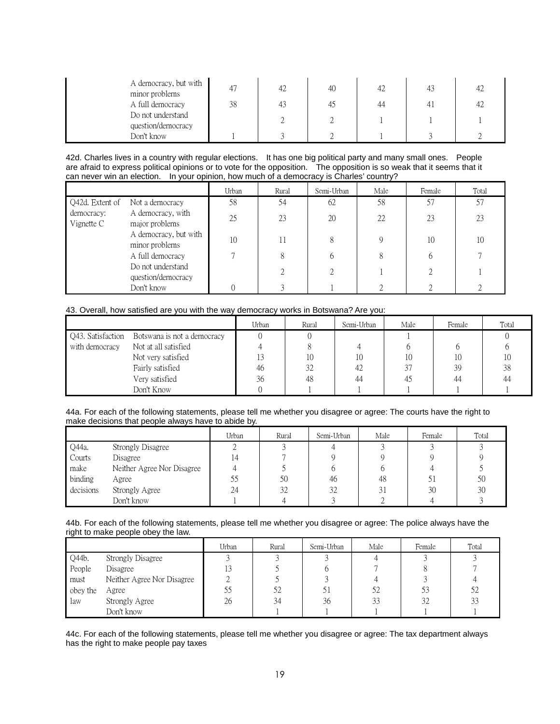| A democracy, but with<br>minor problems | 4  | 42 | 40 |    |    |  |
|-----------------------------------------|----|----|----|----|----|--|
| A full democracy                        | 38 |    | 42 | 44 | 4. |  |
| Do not understand<br>question/democracy |    |    |    |    |    |  |
| Don't know                              |    |    |    |    |    |  |

42d. Charles lives in a country with regular elections. It has one big political party and many small ones. People are afraid to express political opinions or to vote for the opposition. The opposition is so weak that it seems that it can never win an election. In your opinion, how much of a democracy is Charles' country?

|                            |                                         | Urban | Rural | Semi-Urban | Male | Female | Total |
|----------------------------|-----------------------------------------|-------|-------|------------|------|--------|-------|
| Q42d. Extent of            | Not a democracy                         | 58    | 54    | 62         | 58   | 57     | 57    |
| democracy:<br>Vignette $C$ | A democracy, with<br>major problems     | 25    | 23    | 20         | 22   | 23     | 23    |
|                            | A democracy, but with<br>minor problems | 10    |       |            | Q    | 10     | 10    |
|                            | A full democracy                        | Ξ     | 8     |            | 8    | 6      |       |
|                            | Do not understand<br>question/democracy |       |       |            |      |        |       |
|                            | Don't know                              |       |       |            |      |        |       |

#### 43. Overall, how satisfied are you with the way democracy works in Botswana? Are you:

|                   |                             | Urban | Rural | Semi-Urban | Male | Female | Total |
|-------------------|-----------------------------|-------|-------|------------|------|--------|-------|
| Q43. Satisfaction | Botswana is not a democracy |       |       |            |      |        |       |
| with democracy    | Not at all satisfied        |       |       |            |      |        |       |
|                   | Not very satisfied          |       | 10    | 10         |      | 10     | 10    |
|                   | Fairly satisfied            | 46    | 32    | 42         | 37   | 39     | 38    |
|                   | Very satisfied              | 36    | 48    | 44         | -45  | 44     | 44    |
|                   | Don't Know                  |       |       |            |      |        |       |

#### 44a. For each of the following statements, please tell me whether you disagree or agree: The courts have the right to make decisions that people always have to abide by.

|           |                            | Urban | Rural | Semi-Urban | Male | Female | Total |
|-----------|----------------------------|-------|-------|------------|------|--------|-------|
| Q44a.     | Strongly Disagree          |       |       |            |      |        |       |
| Courts    | Disagree                   |       |       |            |      |        |       |
| make      | Neither Agree Nor Disagree |       |       |            |      |        |       |
| binding   | Agree                      | 55    | 50    | 46         | 48   | 51     | 50    |
| decisions | Strongly Agree             | 24    | 32    | 32         |      | 30     | 30    |
|           | Don't know                 |       |       |            |      |        |       |

#### 44b. For each of the following statements, please tell me whether you disagree or agree: The police always have the right to make people obey the law.

|          |                            | Urban | Rural | Semi-Urban | Male | Female | Total        |
|----------|----------------------------|-------|-------|------------|------|--------|--------------|
| Q44b.    | Strongly Disagree          |       |       |            |      |        |              |
| People   | Disagree                   | 13    |       |            |      |        |              |
| must     | Neither Agree Nor Disagree |       |       |            |      |        |              |
| obey the | Agree                      | 55    | 52    |            | 52   | 53     | 52           |
| law      | Strongly Agree             | 26    | 34    | 36         | 33   | 32     | $\cap$<br>31 |
|          | Don't know                 |       |       |            |      |        |              |

44c. For each of the following statements, please tell me whether you disagree or agree: The tax department always has the right to make people pay taxes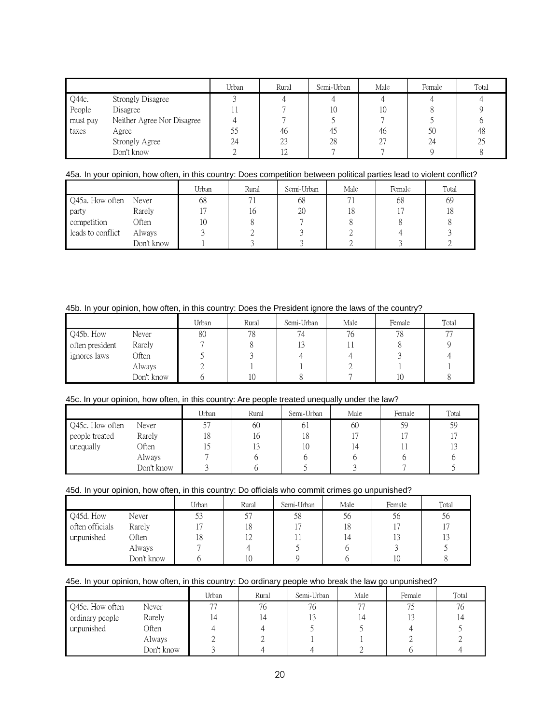|          |                            | Urban | Rural | Semi-Urban | Male | Female | Total |
|----------|----------------------------|-------|-------|------------|------|--------|-------|
| Q44c.    | Strongly Disagree          |       |       |            |      |        |       |
| People   | Disagree                   |       |       | 10         | 10   |        |       |
| must pay | Neither Agree Nor Disagree |       |       |            |      |        |       |
| taxes    | Agree                      | 55    | 46    | 42         | 46   | 50     | 48    |
|          | Strongly Agree             | 24    | 23    | 28         | ገገ   | 24     | 25    |
|          | Don't know                 |       |       |            |      |        |       |

# 45a. In your opinion, how often, in this country: Does competition between political parties lead to violent conflict?

|                   |              | Urban | Rural | Semi-Urban | Male | Female | Total |
|-------------------|--------------|-------|-------|------------|------|--------|-------|
| Q45a. How often   | Never        | 68    |       | 68         |      | 68     | 69    |
| party             | Rarely       |       | 10    | 20         | 18   |        | 18    |
| competition       | <b>Often</b> | 10    |       |            |      |        |       |
| leads to conflict | Always       |       |       |            |      |        |       |
|                   | Don't know   |       |       |            |      |        |       |

# 45b. In your opinion, how often, in this country: Does the President ignore the laws of the country?

|                 |            | Urban | Rural | Semi-Urban | Male | Female | Total |
|-----------------|------------|-------|-------|------------|------|--------|-------|
| Q45b. How       | Never      | 80    | 78    | 74         | 76   | 78     | 77    |
| often president | Rarely     |       |       |            |      |        |       |
| ignores laws    | Often      |       |       |            |      |        |       |
|                 | Always     |       |       |            |      |        |       |
|                 | Don't know |       | 10    |            |      | 10     |       |

# 45c. In your opinion, how often, in this country: Are people treated unequally under the law?

|                 |            | Urban | Rural | Semi-Urban | Male | Female | Total |
|-----------------|------------|-------|-------|------------|------|--------|-------|
| Q45c. How often | Never      |       | 60    | 61         | 60   | 59     | 59    |
| people treated  | Rarely     | 18    | 16    | 18         |      |        |       |
| unequally       | Often      |       |       | 10         | 14   |        |       |
|                 | Always     |       |       |            |      |        |       |
|                 | Don't know |       |       |            |      |        |       |

# 45d. In your opinion, how often, in this country: Do officials who commit crimes go unpunished?

|                 |            | Urban | Rural | Semi-Urban | Male | Female | Total |
|-----------------|------------|-------|-------|------------|------|--------|-------|
| Q45d. How       | Never      | 53    | רח    | 58         | 56   | 56     | 56    |
| often officials | Rarely     |       | 18    |            | 18   |        |       |
| unpunished      | Often      | 18    | ⊥∠    |            | ، 4  |        |       |
|                 | Always     |       |       |            |      |        |       |
|                 | Don't know |       | 10    |            |      | 1 V    |       |

# 45e. In your opinion, how often, in this country: Do ordinary people who break the law go unpunished?

|                 |            | Urban | Rural | Semi-Urban | Male           | Female | Total |
|-----------------|------------|-------|-------|------------|----------------|--------|-------|
| Q45e. How often | Never      | 77    | 76    | 76         | $\overline{a}$ |        | 76    |
| ordinary people | Rarely     | 14    |       |            |                |        |       |
| unpunished      | Often      | 4     |       |            |                |        |       |
|                 | Always     |       |       |            |                |        |       |
|                 | Don't know |       |       |            |                |        |       |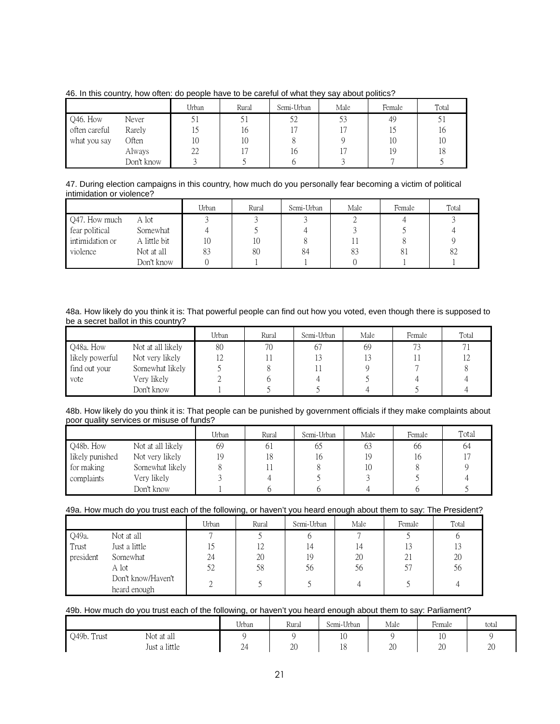|               |            | Urban | Rural | Semi-Urban | Male | Female | Total |
|---------------|------------|-------|-------|------------|------|--------|-------|
| Q46. How      | Never      |       |       | 52         |      | 49     |       |
| often careful | Rarely     | IJ    | 16    |            |      |        | 10    |
| what you say  | Often      | 10    | 10    |            |      | 10     | 10    |
|               | Always     | 22    |       | 16         |      | 19     | 18    |
|               | Don't know |       |       |            |      |        |       |

46. In this country, how often: do people have to be careful of what they say about politics?

47. During election campaigns in this country, how much do you personally fear becoming a victim of political intimidation or violence?

|                 |              | Urban | Rural | Semi-Urban | Male | Female | Total |
|-----------------|--------------|-------|-------|------------|------|--------|-------|
| Q47. How much   | A lot        |       |       |            |      |        |       |
| fear political  | Somewhat     |       |       |            |      |        |       |
| intimidation or | A little bit |       | 10    |            |      |        |       |
| violence        | Not at all   | 83    | 80    | 84         | 83   |        | 82    |
|                 | Don't know   |       |       |            |      |        |       |

48a. How likely do you think it is: That powerful people can find out how you voted, even though there is supposed to be a secret ballot in this country?

|                 |                   | Urban      | Rural | Semi-Urban | Male | Female | Total |
|-----------------|-------------------|------------|-------|------------|------|--------|-------|
| Q48a. How       | Not at all likely | 80         | 70    | 67         | 69   | 73     |       |
| likely powerful | Not very likely   | 1 <i>L</i> |       | 13         |      |        |       |
| find out your   | Somewhat likely   |            |       |            |      |        |       |
| vote            | Very likely       |            |       |            |      |        |       |
|                 | Don't know        |            |       |            |      |        |       |

48b. How likely do you think it is: That people can be punished by government officials if they make complaints about poor quality services or misuse of funds?

|                 |                   | Urban | Rural | Semi-Urban | Male | Female | Total |
|-----------------|-------------------|-------|-------|------------|------|--------|-------|
| Q48b. How       | Not at all likely | 69    | 61    | 65         | 63   | 66     | 64    |
| likely punished | Not very likely   | 19    | 18    | I C        | 19   | 16     |       |
| for making      | Somewhat likely   |       |       |            | 10   |        |       |
| complaints      | Very likely       |       |       |            |      |        |       |
|                 | Don't know        |       |       |            |      |        |       |

# 49a. How much do you trust each of the following, or haven't you heard enough about them to say: The President?

|           |                                    | Urban | Rural        | Semi-Urban | Male | Female | Total |
|-----------|------------------------------------|-------|--------------|------------|------|--------|-------|
| Q49a.     | Not at all                         |       |              |            |      |        |       |
| Trust     | Just a little                      | 15    | $1^{\prime}$ |            | 14   |        | 13    |
| president | Somewhat                           | 24    | 20           | 19         | 20   | 21     | 20    |
|           | A lot                              | 52    | 58           | 56         | 56   |        | 56    |
|           | Don't know/Haven't<br>heard enough |       |              |            |      |        |       |

# 49b. How much do you trust each of the following, or haven't you heard enough about them to say: Parliament?

|             |               | Urban                                 | Rural | Semi-Urban           | Male         | Female | total |
|-------------|---------------|---------------------------------------|-------|----------------------|--------------|--------|-------|
| Q49b. Trust | Not at all    |                                       |       | $\sim$<br>τÓ         |              | 10     |       |
|             | Just a little | $\sim$<br>$\mathcal{L}^{\mathcal{L}}$ | 20    | 1 <sub>O</sub><br>18 | $\cap$<br>20 | 20     | 20    |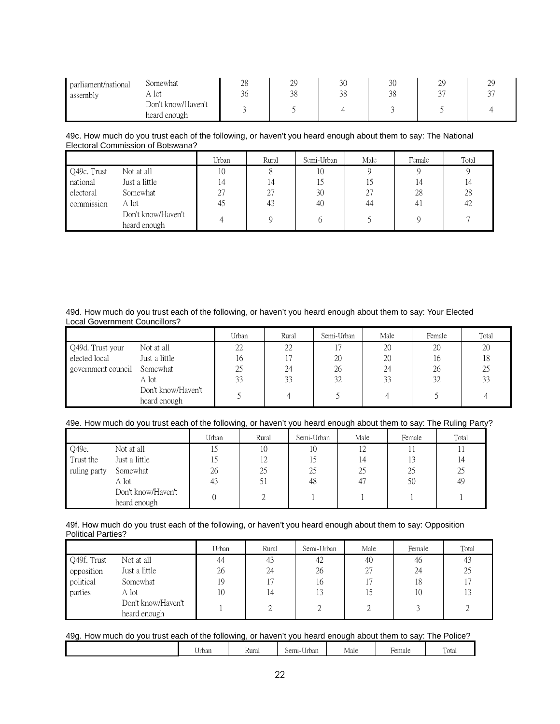| parliament/national<br>assembly | Somewhat<br>A lot                  | ററ<br>20<br>$\sim$<br>30 | $\cap$<br>29<br>38 | 30<br>38 | 2 <sup>c</sup><br>JU<br>38 | $\bigcap$<br>ر ب<br>$\checkmark$ | ر ب |
|---------------------------------|------------------------------------|--------------------------|--------------------|----------|----------------------------|----------------------------------|-----|
|                                 | Don't know/Haven't<br>heard enough |                          |                    |          |                            |                                  |     |

# 49c. How much do you trust each of the following, or haven't you heard enough about them to say: The National Electoral Commission of Botswana?

|             |                                    | Urban | Rural | Semi-Urban | Male | Female | Total |
|-------------|------------------------------------|-------|-------|------------|------|--------|-------|
| Q49c. Trust | Not at all                         | 10    |       | 10         |      |        |       |
| national    | Just a little                      |       | 14    | 15         |      | 14     |       |
| electoral   | Somewhat                           | 27    |       | 30         | 27   | 28     | 28    |
| commission  | A lot                              | 45    | 43    | 40         | 44   | 41     | 42    |
|             | Don't know/Haven't<br>heard enough |       |       |            |      |        |       |

# 49d. How much do you trust each of the following, or haven't you heard enough about them to say: Your Elected Local Government Councillors?

|                    |                                    | Urban | Rural | Semi-Urban | Male | Female | Total |
|--------------------|------------------------------------|-------|-------|------------|------|--------|-------|
| Q49d. Trust your   | Not at all                         | 22    | 22    |            | 20   | 20     | 20    |
| elected local      | Just a little                      | 16    |       | 20         | 20   | 16     | 18    |
| government council | Somewhat                           | 25    | 24    | 26         | 24   | 26     | 25    |
|                    | A lot                              | 33    | 33    | 32         | 33   | 32     | 33    |
|                    | Don't know/Haven't<br>heard enough |       |       |            |      |        |       |

# 49e. How much do you trust each of the following, or haven't you heard enough about them to say: The Ruling Party?

|              |                    | Urban | Rural | Semi-Urban | Male    | Female | Total |
|--------------|--------------------|-------|-------|------------|---------|--------|-------|
| Q49e.        | Not at all         | 12    | 10    | 10         | $\perp$ |        |       |
| Trust the    | Just a little      | 15    | 12    | 15         | 14      |        | 14    |
| ruling party | Somewhat           | 26    | 25    | 25         | 25      | 25     | 25    |
|              | A lot              | 43    |       | 48         | 47      | 50     | 49    |
|              | Don't know/Haven't |       |       |            |         |        |       |
|              | heard enough       |       |       |            |         |        |       |

#### 49f. How much do you trust each of the following, or haven't you heard enough about them to say: Opposition Political Parties?

|             |                                    | Urban | Rural | Semi-Urban | Male | Female | Total |
|-------------|------------------------------------|-------|-------|------------|------|--------|-------|
| Q49f. Trust | Not at all                         | 44    | 43    | 42         | 40   | 46     | 43    |
| opposition  | Just a little                      | 26    | 24    | 26         | 27   | 24     | 25    |
| political   | Somewhat                           | 19    |       | 16         |      | 18     |       |
| parties     | A lot                              | 10    | ι4    |            |      | 10     |       |
|             | Don't know/Haven't<br>heard enough |       |       |            |      |        |       |

| 49g. How much do you trust each of the following, or haven't you heard enough about them to say: The Police? |       |       |            |      |        |       |  |  |  |
|--------------------------------------------------------------------------------------------------------------|-------|-------|------------|------|--------|-------|--|--|--|
|                                                                                                              | Jrban | Rural | Semi-Urban | Male | Female | Total |  |  |  |

| $ -$<br>Urban | Kura, | $\sim$ $\sim$<br>Semi-'<br>Urban | Male | <b>Hemale</b> | <b>TIP</b><br>`∩†∩<br>i viai |
|---------------|-------|----------------------------------|------|---------------|------------------------------|
|               |       |                                  |      |               |                              |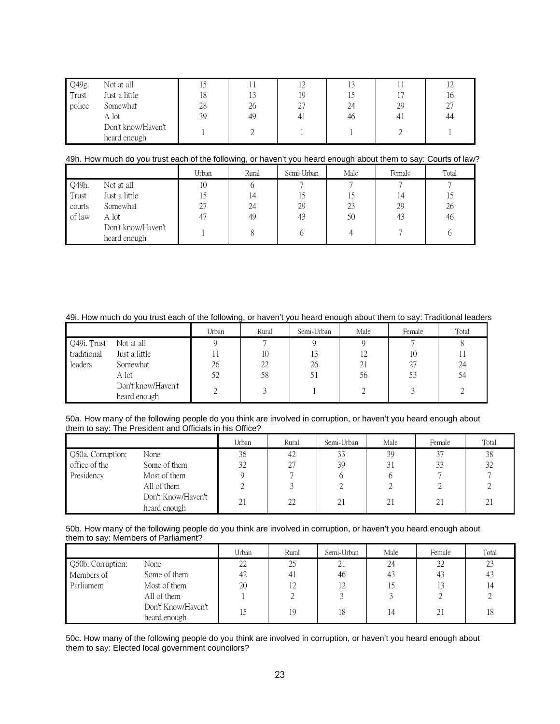| Q49g.  | Not at all                         |    |    |    |    |    | ⊥∠ |
|--------|------------------------------------|----|----|----|----|----|----|
| Trust  | Just a little                      | 18 | 13 | 19 |    |    | 10 |
| police | Somewhat                           | 28 | 26 | Δ. | 24 | 29 | 27 |
|        | A lot                              | 39 | 49 |    | 46 |    | 44 |
|        | Don't know/Haven't<br>heard enough |    |    |    |    |    |    |

#### 49h. How much do you trust each of the following, or haven't you heard enough about them to say: Courts of law?

|        |                                    | Urban | Rural | Semi-Urban | Male | Female | Total |
|--------|------------------------------------|-------|-------|------------|------|--------|-------|
| Q49h.  | Not at all                         | 10    |       |            |      |        |       |
| Trust  | Just a little                      | 1     | 14    |            |      |        | 15    |
| courts | Somewhat                           | 27    | 24    | 29         | 23   | 29     | 26    |
| of law | A lot                              | 47    | 49    | 43         | 50   | 43     | 46    |
|        | Don't know/Haven't<br>heard enough |       |       |            |      |        |       |

# 49i. How much do you trust each of the following, or haven't you heard enough about them to say: Traditional leaders

|             |                                    | Urban | Rural | Semi-Urban | Male                             | Female | Total |
|-------------|------------------------------------|-------|-------|------------|----------------------------------|--------|-------|
| Q49i. Trust | Not at all                         |       |       |            |                                  |        |       |
| traditional | Just a little                      |       | 10    | 13         | 1 <sub>2</sub><br>$\overline{1}$ | 10     |       |
| leaders     | Somewhat                           | 26    | 22    | 26         | 21                               | 27     | 24    |
|             | A lot                              | 52    | 58    | 51         | 56                               | 53     | 54    |
|             | Don't know/Haven't<br>heard enough |       |       |            |                                  |        |       |

#### 50a. How many of the following people do you think are involved in corruption, or haven't you heard enough about them to say: The President and Officials in his Office?

|                   |                                    | Urban | Rural | Semi-Urban | Male | Female | Total |
|-------------------|------------------------------------|-------|-------|------------|------|--------|-------|
| Q50a. Corruption: | None                               | 36    | 42    | 33         | 39   | 37     | 38    |
| office of the     | Some of them                       | 32    | 27    | 39         | 31   | 33     | 32    |
| Presidency        | Most of them                       |       |       |            |      |        |       |
|                   | All of them                        |       |       |            |      |        |       |
|                   | Don't Know/Haven't<br>heard enough | 21    | 22    | 21         | 21   | 21     | 21    |

### 50b. How many of the following people do you think are involved in corruption, or haven't you heard enough about them to say: Members of Parliament?

|                   |                                    | Urban | Rural      | Semi-Urban | Male | Female | Total |
|-------------------|------------------------------------|-------|------------|------------|------|--------|-------|
| Q50b. Corruption: | None                               | 22    | 25         | 21         | 24   | 22     | 23    |
| Members of        | Some of them                       | 42    | 41         | 46         | 43   | 43     | 43    |
| Parliament        | Most of them                       | 20    | $\sqrt{2}$ | 12         | 15   | 13     |       |
|                   | All of them                        |       |            |            |      |        |       |
|                   | Don't Know/Haven't<br>heard enough |       | 19         | 18         | 14   | 21     | 18    |

50c. How many of the following people do you think are involved in corruption, or haven't you heard enough about them to say: Elected local government councilors?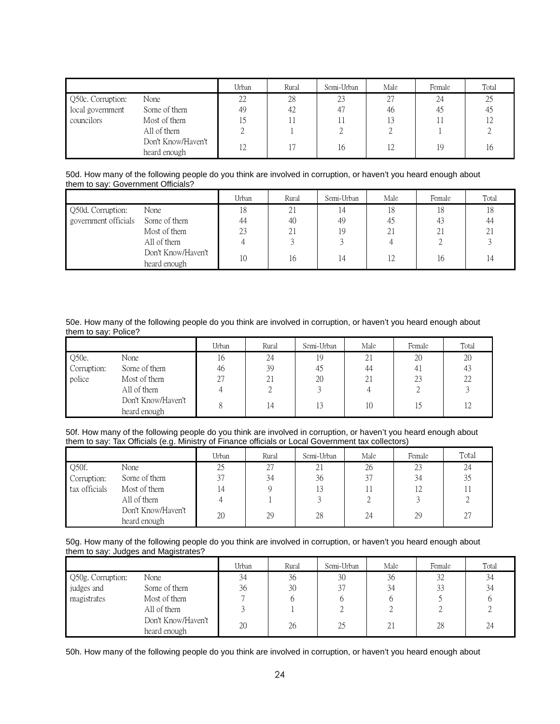|                   |                                    | Urban | Rural | Semi-Urban | Male | Female | Total |
|-------------------|------------------------------------|-------|-------|------------|------|--------|-------|
| Q50c. Corruption: | None                               | 22    | 28    | 23         | 27   | 24     | 25    |
| local government  | Some of them                       | 49    | 42    |            | 46   | 45     | 45    |
| councilors        | Most of them                       |       |       |            | 13   |        | 12    |
|                   | All of them                        |       |       |            |      |        |       |
|                   | Don't Know/Haven't<br>heard enough | 12    |       | 16         | 12   | 19     | 16    |

#### 50d. How many of the following people do you think are involved in corruption, or haven't you heard enough about them to say: Government Officials?

|                      |                                    | Urban | Rural | Semi-Urban | Male | Female | Total |
|----------------------|------------------------------------|-------|-------|------------|------|--------|-------|
| Q50d. Corruption:    | None                               | 18    | ∠⊥    | , 4        | 18   | 18     | 18    |
| government officials | Some of them                       | 44    | 40    | 49         | 45   | 43     | 44    |
|                      | Most of them                       | 23    | 21    | 19         | 21   | 21     | 21    |
|                      | All of them                        |       |       |            |      |        |       |
|                      | Don't Know/Haven't<br>heard enough | 10    | 16    | ، 4        | 12   | 16     | 14    |

#### 50e. How many of the following people do you think are involved in corruption, or haven't you heard enough about them to say: Police?

|             |                    | Urban | Rural | Semi-Urban | Male | Female | Total |
|-------------|--------------------|-------|-------|------------|------|--------|-------|
| Q50e.       | None               | 16    | 24    | 19         | 21   | 20     | 20    |
| Corruption: | Some of them       | 46    | 39    | 45         | 44   | 41     | 43    |
| police      | Most of them       | 27    | 21    | 20         | 21   | 23     | 22    |
|             | All of them        |       |       |            |      |        |       |
|             | Don't Know/Haven't |       | 4     | 13         | 10   |        |       |
|             | heard enough       |       |       |            |      |        |       |

#### 50f. How many of the following people do you think are involved in corruption, or haven't you heard enough about them to say: Tax Officials (e.g. Ministry of Finance officials or Local Government tax collectors)

|               |                                    | Urban | Rural | Semi-Urban | Male | Female | Total |
|---------------|------------------------------------|-------|-------|------------|------|--------|-------|
| Q50f.         | None                               | 25    | 27    | 21         | 26   | 23     | 24    |
| Corruption:   | Some of them                       | 37    | 34    | 36         | 37   | 34     | 35    |
| tax officials | Most of them                       | 14    |       | 13         |      | 12     |       |
|               | All of them                        |       |       |            |      |        |       |
|               | Don't Know/Haven't<br>heard enough | 20    | 29    | 28         | 24   | 29     | 27    |

#### 50g. How many of the following people do you think are involved in corruption, or haven't you heard enough about them to say: Judges and Magistrates?

|                   |                                    | Urban | Rural | Semi-Urban | Male | Female | Total |
|-------------------|------------------------------------|-------|-------|------------|------|--------|-------|
| Q50g. Corruption: | None                               | 34    | 36    | 30         | 36   | 32     | 34    |
| judges and        | Some of them                       | 36    | 30    | 37         | 34   | 33     | 34    |
| magistrates       | Most of them                       |       |       |            |      |        |       |
|                   | All of them                        |       |       |            |      |        |       |
|                   | Don't Know/Haven't<br>heard enough | 20    | 26    | 25         | 21   | 28     | 24    |

50h. How many of the following people do you think are involved in corruption, or haven't you heard enough about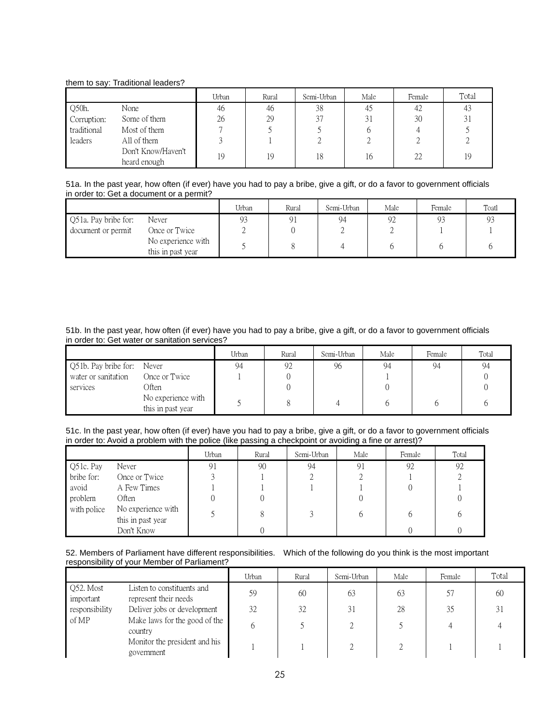# them to say: Traditional leaders?

|             |                                    | Urban | Rural | Semi-Urban | Male | Female | Total |
|-------------|------------------------------------|-------|-------|------------|------|--------|-------|
| Q50h.       | None                               | 46    | 46    | 38         | 45   | 42     | 43    |
| Corruption: | Some of them                       | 26    | 29    | 37         | 31   | 30     | 31    |
| traditional | Most of them                       |       |       |            |      | 4      |       |
| leaders     | All of them                        |       |       |            |      |        |       |
|             | Don't Know/Haven't<br>heard enough | 19    | 19    | 18         | 16   | 22     | 19    |

51a. In the past year, how often (if ever) have you had to pay a bribe, give a gift, or do a favor to government officials in order to: Get a document or a permit?

|                      |                                         | Urban          | Rural | Semi-Urban | Male | Female | Toatl |
|----------------------|-----------------------------------------|----------------|-------|------------|------|--------|-------|
| Q51a. Pay bribe for: | Never                                   | 0 <sup>2</sup> |       | 94         | 92   | 93     | 93    |
| document or permit   | Once or Twice                           |                |       |            |      |        |       |
|                      | No experience with<br>this in past year |                |       |            |      |        |       |

51b. In the past year, how often (if ever) have you had to pay a bribe, give a gift, or do a favor to government officials in order to: Get water or sanitation services?

|                      |                                         | Urban | Rural | Semi-Urban | Male | Female | Total |
|----------------------|-----------------------------------------|-------|-------|------------|------|--------|-------|
| Q51b. Pay bribe for: | Never                                   | 94    | 92    | 96         | 94   | 94     |       |
| water or sanitation  | Once or Twice                           |       |       |            |      |        |       |
| services             | Often                                   |       |       |            |      |        |       |
|                      | No experience with<br>this in past year |       |       |            |      |        |       |

51c. In the past year, how often (if ever) have you had to pay a bribe, give a gift, or do a favor to government officials in order to: Avoid a problem with the police (like passing a checkpoint or avoiding a fine or arrest)?

|             |                                         | Urban | Rural | Semi-Urban | Male | Female | Total |
|-------------|-----------------------------------------|-------|-------|------------|------|--------|-------|
| Q51c. Pay   | Never                                   | 91    | 90    | 94         | 91   | 92     | 92    |
| bribe for:  | Once or Twice                           |       |       |            |      |        |       |
| avoid       | A Few Times                             |       |       |            |      |        |       |
| problem     | Often                                   |       |       |            |      |        |       |
| with police | No experience with<br>this in past year |       |       |            | h    |        |       |
|             | Don't Know                              |       |       |            |      |        |       |

## 52. Members of Parliament have different responsibilities. Which of the following do you think is the most important responsibility of your Member of Parliament?

|                        |                                                     | Urban | Rural | Semi-Urban | Male | Female | Total |
|------------------------|-----------------------------------------------------|-------|-------|------------|------|--------|-------|
| Q52. Most<br>important | Listen to constituents and<br>represent their needs | 59    | 60    | 63         | 63   | 57     | -60   |
| responsibility         | Deliver jobs or development                         | 32    | 32    | 31         | 28   | 35     | 31    |
| of MP                  | Make laws for the good of the<br>country            | b     |       |            |      |        |       |
|                        | Monitor the president and his<br>government         |       |       |            |      |        |       |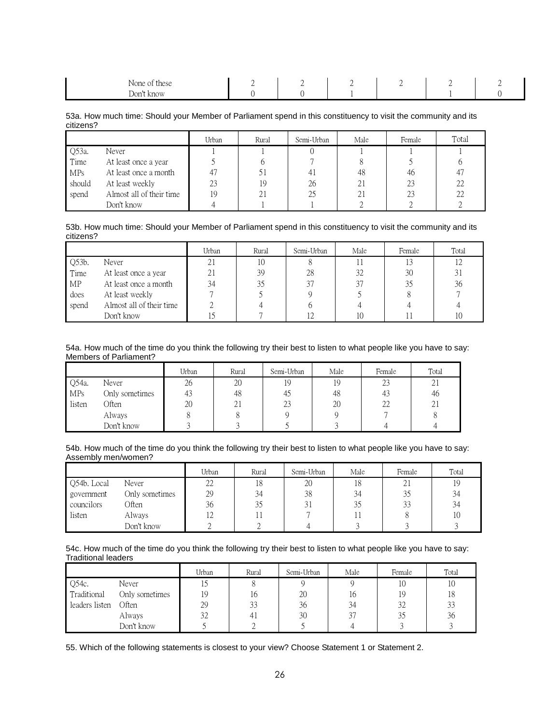| $\mathbf{r}$<br>None of these | <u>_</u> | <u>_</u> |  |  |
|-------------------------------|----------|----------|--|--|
| Don't know                    |          |          |  |  |

53a. How much time: Should your Member of Parliament spend in this constituency to visit the community and its citizens?

|            |                          | Urban | Rural | Semi-Urban | Male           | Female | Total |
|------------|--------------------------|-------|-------|------------|----------------|--------|-------|
| Q53a.      | Never                    |       |       |            |                |        |       |
| Time       | At least once a year     |       |       |            |                |        |       |
| <b>MPs</b> | At least once a month    | 47    |       | 41         | 48             | 46     | 47    |
| should     | At least weekly          | 23    | 19    | 26         | $\overline{2}$ | 23     | 22    |
| spend      | Almost all of their time | 19    | 4.    | 25         | 21             | 23     | 22    |
|            | Don't know               |       |       |            |                |        |       |

53b. How much time: Should your Member of Parliament spend in this constituency to visit the community and its citizens?

|          |                          | Urban | Rural | Semi-Urban | Male | Female | Total |
|----------|--------------------------|-------|-------|------------|------|--------|-------|
| $Q53b$ . | Never                    | 21    | 10    |            |      |        |       |
| Time     | At least once a year     | 21    | 39    | 28         | 32   | 30     |       |
| MP       | At least once a month    | 34    | 35    |            | 37   |        | 36    |
| does     | At least weekly          |       |       |            |      |        |       |
| spend    | Almost all of their time |       |       |            |      |        |       |
|          | Don't know               |       |       |            | 10   |        | 10    |

54a. How much of the time do you think the following try their best to listen to what people like you have to say: Members of Parliament?

|            |                | Urban | Rural           | Semi-Urban | Male | Female | Total |
|------------|----------------|-------|-----------------|------------|------|--------|-------|
| Q54a.      | Never          | 26    | 20              | 19         | 19   | 23     | ∠⊥    |
| <b>MPs</b> | Only sometimes |       | 48              | 45         | 48   | 43     | 46    |
| listen     | Often          | 20    | $\bigcap$<br>ΖI | 23         | 20   | 22     | 21    |
|            | Always         |       |                 |            |      |        |       |
|            | Don't know     |       |                 |            |      |        |       |

54b. How much of the time do you think the following try their best to listen to what people like you have to say: Assembly men/women?

|             |                | Urban | Rural | Semi-Urban | Male | Female | Total |
|-------------|----------------|-------|-------|------------|------|--------|-------|
| Q54b. Local | Never          | 22    | 18    | 20         | 18   | 41     | 19    |
| government  | Only sometimes | 29    | 34    | 38         | 34   |        | 34    |
| councilors  | Often          | 36    | 35    |            | 35   | 33     | 34    |
| listen      | Always         | 12    |       |            |      |        | 10    |
|             | Don't know     |       |       |            |      |        |       |

54c. How much of the time do you think the following try their best to listen to what people like you have to say: Traditional leaders

|                |                | Urban | Rural | Semi-Urban | Male | Female | Total |
|----------------|----------------|-------|-------|------------|------|--------|-------|
| Q54c.          | Never          |       |       |            |      | 10     | 10    |
| Traditional    | Only sometimes | 19    | 16    | 20         | 10   | 19     | 18    |
| leaders listen | Often          | 29    | 33    | 36         | 34   | 32     | 33    |
|                | Always         | 32    | 41    | 30         | 37   |        | 36    |
|                | Don't know     |       |       |            |      |        |       |

55. Which of the following statements is closest to your view? Choose Statement 1 or Statement 2.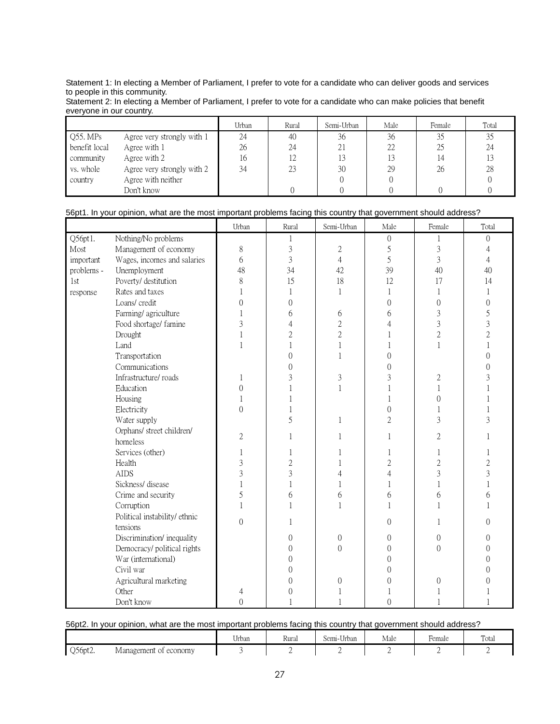Statement 1: In electing a Member of Parliament, I prefer to vote for a candidate who can deliver goods and services to people in this community.

Statement 2: In electing a Member of Parliament, I prefer to vote for a candidate who can make policies that benefit everyone in our country.

|               |                            | Urban | Rural | Semi-Urban | Male | Female | Total |
|---------------|----------------------------|-------|-------|------------|------|--------|-------|
| Q55. MPs      | Agree very strongly with 1 | 24    | 40    | 36         | 36   | 35     |       |
| benefit local | Agree with 1               | 26    | 24    | 21         | 22   | 25     | 24    |
| community     | Agree with 2               | 16    |       | 13         |      |        |       |
| vs. whole     | Agree very strongly with 2 | 34    |       | 30         | 29   | 26     | 28    |
| country       | Agree with neither         |       |       |            |      |        |       |
|               | Don't know                 |       |       |            |      |        |       |

# 56pt1. In your opinion, what are the most important problems facing this country that government should address?

|            |                              | Urban          | Rural          | Semi-Urban       | Male             | Female         | Total          |
|------------|------------------------------|----------------|----------------|------------------|------------------|----------------|----------------|
| Q56pt1.    | Nothing/No problems          |                |                |                  | $\boldsymbol{0}$ | 1              | $\Omega$       |
| Most       | Management of economy        | 8              | $\overline{3}$ | $\mathbf{2}$     | 5                | 3              | 4              |
| important  | Wages, incomes and salaries  | 6              | $\overline{3}$ | $\overline{4}$   | 5                | 3              | $\overline{4}$ |
| problems - | Unemployment                 | 48             | 34             | 42               | 39               | 40             | 40             |
| 1st        | Poverty/ destitution         | 8              | 15             | 18               | 12               | 17             | 14             |
| response   | Rates and taxes              | 1              | 1              | $\mathbf 1$      | 1                | 1              |                |
|            | Loans/ credit                | $\overline{0}$ | $\overline{0}$ |                  | $\Omega$         | $\Omega$       | $\Omega$       |
|            | Farming/agriculture          | 1              | 6              | 6                | 6                | 3              | 5              |
|            | Food shortage/ famine        | 3              | 4              | $\sqrt{2}$       | 4                | 3              | 3              |
|            | Drought                      | 1              | $\overline{c}$ | $\overline{2}$   |                  | $\overline{c}$ | $\overline{c}$ |
|            | Land                         | $\mathbf{1}$   |                | 1                |                  | 1              |                |
|            | Transportation               |                | $\overline{0}$ | 1                | $\Omega$         |                | $\Omega$       |
|            | Communications               |                | $\mathbf{0}$   |                  | 0                |                | 0              |
|            | Infrastructure/roads         | 1              | 3              | 3                | 3                | $\overline{c}$ | 3              |
|            | Education                    | $\Omega$       | 1              | $\mathbf{1}$     |                  | 1              |                |
|            | Housing                      | 1              |                |                  |                  | $\theta$       |                |
|            | Electricity                  | $\Omega$       |                |                  | $\Omega$         |                |                |
|            | Water supply                 |                | 5              | 1                | $\overline{c}$   | 3              | 3              |
|            | Orphans/ street children/    | 2              | 1              |                  |                  | 2              |                |
|            | homeless                     |                |                |                  |                  |                |                |
|            | Services (other)             | 1              |                |                  |                  |                |                |
|            | Health                       | 3              | $\overline{c}$ | 1                | $\overline{c}$   | $\overline{c}$ | 2              |
|            | <b>AIDS</b>                  | 3              | 3              | $\overline{4}$   | $\overline{4}$   | 3              | 3              |
|            | Sickness/disease             | 1              | 1              | 1                | 1                | 1              |                |
|            | Crime and security           | 5              | 6              | 6                | 6                | 6              | 6              |
|            | Corruption                   | 1              | 1              | $\mathbf{1}$     |                  |                |                |
|            | Political instability/ethnic | $\overline{0}$ |                |                  | $\theta$         |                | $\Omega$       |
|            | tensions                     |                |                |                  |                  |                |                |
|            | Discrimination/inequality    |                | $\theta$       | $\boldsymbol{0}$ | $\mathbf{0}$     | $\mathbf{0}$   | $\Omega$       |
|            | Democracy/ political rights  |                | $\Omega$       | $\overline{0}$   | $\Omega$         | $\Omega$       | 0              |
|            | War (international)          |                | 0              |                  | 0                |                | 0              |
|            | Civil war                    |                | 0              |                  | 0                |                | ∩              |
|            | Agricultural marketing       |                | 0              | $\theta$         | 0                | $\Omega$       |                |
|            | Other                        | 4              | $\Omega$       |                  |                  |                |                |
|            | Don't know                   | $\Omega$       |                |                  | $\theta$         |                |                |

# 56pt2. In your opinion, what are the most important problems facing this country that government should address?

|         |                          | $  -$<br>Urban | Rural | $T$ $T$ $T$<br>Semi-<br>·Urban | Male | $\overline{\phantom{a}}$<br>Female | Total |
|---------|--------------------------|----------------|-------|--------------------------------|------|------------------------------------|-------|
| Q56pt2. | Management<br>of economy |                |       |                                |      |                                    |       |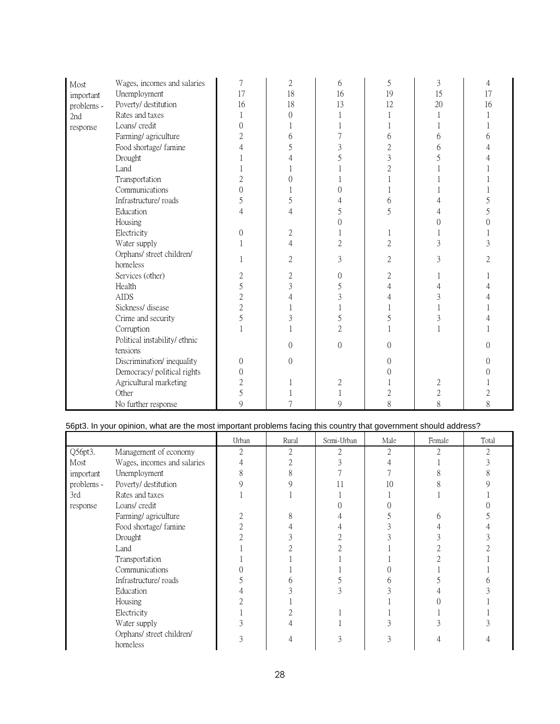| Most       | Wages, incomes and salaries   | 7              | 2              | 6              | 5              | 3              |    |
|------------|-------------------------------|----------------|----------------|----------------|----------------|----------------|----|
| important  | Unemployment                  | 17             | 18             | 16             | 19             | 15             | 17 |
| problems - | Poverty/ destitution          | 16             | 18             | 13             | 12             | 20             | 16 |
| 2nd        | Rates and taxes               |                | $\Omega$       |                |                |                |    |
| response   | Loans/ credit                 | $\Omega$       |                |                |                |                |    |
|            | Farming/agriculture           | $\overline{2}$ | 6              |                | 6              | 6              |    |
|            | Food shortage/ famine         |                |                | 3              | $\overline{c}$ | 6              |    |
|            | Drought                       |                |                |                | 3              |                |    |
|            | Land                          |                |                |                | $\overline{c}$ |                |    |
|            | Transportation                | $\overline{2}$ | 0              |                |                |                |    |
|            | Communications                | $\Omega$       |                | ∩              |                |                |    |
|            | Infrastructure/roads          | 5              | 5              |                | 6              |                |    |
|            | Education                     | 4              | Δ              | 5              | 5              |                |    |
|            | Housing                       |                |                |                |                |                |    |
|            | Electricity                   | $\Omega$       | 2              |                |                |                |    |
|            | Water supply                  |                | 4              | $\overline{2}$ | $\overline{2}$ | 3              |    |
|            | Orphans/ street children/     |                |                |                |                |                |    |
|            | homeless                      |                | $\overline{2}$ | 3              | $\overline{2}$ | 3              |    |
|            | Services (other)              | 2              | $\overline{2}$ | 0              | $\overline{2}$ |                |    |
|            | Health                        | 5              | 3              | 5              | 4              |                |    |
|            | <b>AIDS</b>                   | $\overline{2}$ |                | 3              |                | 3              |    |
|            | Sickness/disease              | $\overline{2}$ |                |                |                |                |    |
|            | Crime and security            | 5              | 3              | 5              |                | 3              |    |
|            | Corruption                    |                |                | $\overline{2}$ |                |                |    |
|            | Political instability/ ethnic |                |                |                |                |                |    |
|            | tensions                      |                | $\Omega$       | 0              |                |                |    |
|            | Discrimination/inequality     | $\theta$       | $\Omega$       |                | ∩              |                |    |
|            | Democracy/ political rights   | $\Omega$       |                |                |                |                |    |
|            | Agricultural marketing        | 2              |                | 2              |                | 2              |    |
|            | Other                         | 5              |                |                | $\overline{2}$ | $\overline{c}$ |    |
|            | No further response           | 9              |                | 9              | 8              | 8              | 8  |

# 56pt3. In your opinion, what are the most important problems facing this country that government should address?

|            |                                       | Urban | Rural | Semi-Urban | Male | Female | Total |
|------------|---------------------------------------|-------|-------|------------|------|--------|-------|
| Q56pt3.    | Management of economy                 | 2     |       |            | 2    | 2      | 2     |
| Most       | Wages, incomes and salaries           |       |       |            |      |        |       |
| important  | Unemployment                          |       |       |            |      |        |       |
| problems - | Poverty/ destitution                  |       |       |            | 10   |        |       |
| 3rd        | Rates and taxes                       |       |       |            |      |        |       |
| response   | Loans/credit                          |       |       |            |      |        |       |
|            | Farming/agriculture                   |       |       |            |      |        |       |
|            | Food shortage/ famine                 |       |       |            |      |        |       |
|            | Drought                               |       |       |            |      |        |       |
|            | Land                                  |       |       |            |      |        |       |
|            | Transportation                        |       |       |            |      |        |       |
|            | Communications                        |       |       |            |      |        |       |
|            | Infrastructure/roads                  |       |       |            |      |        |       |
|            | Education                             |       |       |            |      |        |       |
|            | Housing                               |       |       |            |      |        |       |
|            | Electricity                           |       |       |            |      |        |       |
|            | Water supply                          |       |       |            |      |        |       |
|            | Orphans/ street children/<br>homeless |       |       |            |      |        |       |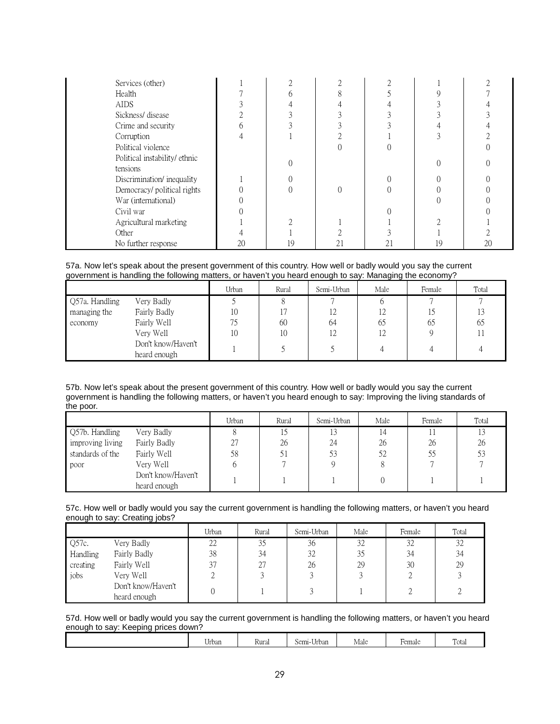| Services (other)                          |    |    |    |    |    |    |
|-------------------------------------------|----|----|----|----|----|----|
| Health                                    |    |    |    |    |    |    |
| <b>AIDS</b>                               |    |    |    |    |    |    |
| Sickness/disease                          |    |    |    |    |    |    |
| Crime and security                        |    |    |    |    |    |    |
| Corruption                                |    |    |    |    |    |    |
| Political violence                        |    |    |    |    |    |    |
| Political instability/ ethnic<br>tensions |    |    |    |    |    |    |
| Discrimination/inequality                 |    |    |    |    |    |    |
| Democracy/ political rights               |    |    |    |    |    |    |
| War (international)                       |    |    |    |    |    |    |
| Civil war                                 |    |    |    |    |    |    |
| Agricultural marketing                    |    |    |    |    |    |    |
| Other                                     |    |    |    |    |    |    |
| No further response                       | 20 | 19 | 21 | 21 | 19 | 20 |

57a. Now let's speak about the present government of this country. How well or badly would you say the current government is handling the following matters, or haven't you heard enough to say: Managing the economy?

|                |                    | Urban | Rural | Semi-Urban | Male | Female | Total |
|----------------|--------------------|-------|-------|------------|------|--------|-------|
| Q57a. Handling | Very Badly         |       |       |            |      |        |       |
| managing the   | Fairly Badly       | 10    |       | 12         | 12   |        |       |
| economy        | Fairly Well        | 75    | 60    | 64         | 65   | 65     | 65    |
|                | Very Well          | 10    | 10    | 12         | 12   |        |       |
|                | Don't know/Haven't |       |       |            |      |        |       |
|                | heard enough       |       |       |            |      |        |       |

57b. Now let's speak about the present government of this country. How well or badly would you say the current government is handling the following matters, or haven't you heard enough to say: Improving the living standards of the poor.

|                  |                                    | Urban   | Rural | Semi-Urban | Male | Female | Total |
|------------------|------------------------------------|---------|-------|------------|------|--------|-------|
| Q57b. Handling   | Very Badly                         |         |       |            | 14   |        |       |
| improving living | Fairly Badly                       | רר<br>∠ | 26    | 24         | 26   | 26     | 26    |
| standards of the | Fairly Well                        | 58      |       |            | 52   | 55     |       |
| poor             | Very Well                          |         |       |            |      |        |       |
|                  | Don't know/Haven't<br>heard enough |         |       |            |      |        |       |

57c. How well or badly would you say the current government is handling the following matters, or haven't you heard enough to say: Creating jobs?

|          |                                    | Urban | Rural | Semi-Urban | Male | Female | Total |
|----------|------------------------------------|-------|-------|------------|------|--------|-------|
| Q57c.    | Very Badly                         | 22    | 35    | 36         | 32   | 32     | 32    |
| Handling | Fairly Badly                       | 38    | 34    | 32         | 35   | 34     | 34    |
| creating | Fairly Well                        | 37    | 27    | 26         | 29   | 30     | 29    |
| iobs     | Very Well                          |       |       |            |      |        |       |
|          | Don't know/Haven't<br>heard enough |       |       |            |      |        |       |

57d. How well or badly would you say the current government is handling the following matters, or haven't you heard enough to say: Keeping prices down?

| m<br>Male<br>Fotal<br>$Sem1$ -<br>Rural<br>≁emale<br>Urban<br>-Urban |
|----------------------------------------------------------------------|
|----------------------------------------------------------------------|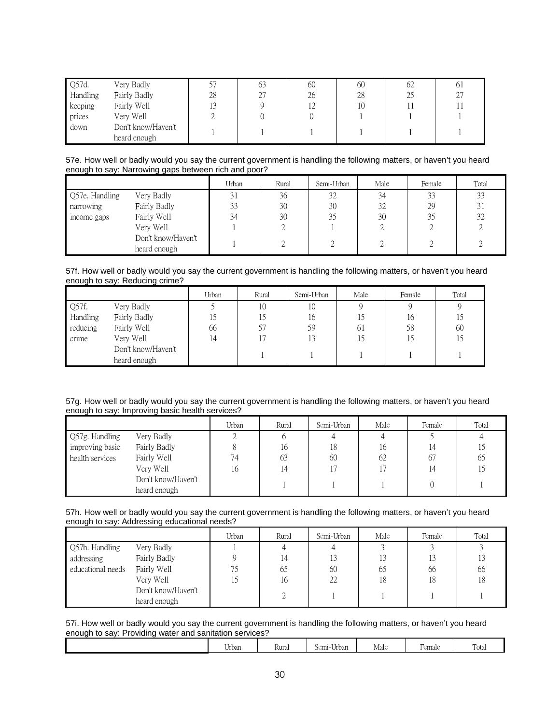| Q57d.    | Very Badly         |    | 63 | 60 | 60 | 62 | 01 |
|----------|--------------------|----|----|----|----|----|----|
| Handling | Fairly Badly       | 28 | 27 | 26 | 28 | 25 | 27 |
| keeping  | Fairly Well        | 13 |    | 12 | 10 |    |    |
| prices   | Very Well          |    |    |    |    |    |    |
| down     | Don't know/Haven't |    |    |    |    |    |    |
|          | heard enough       |    |    |    |    |    |    |

| 57e. How well or badly would you say the current government is handling the following matters, or haven't you heard |  |
|---------------------------------------------------------------------------------------------------------------------|--|
| enough to say: Narrowing gaps between rich and poor?                                                                |  |

|                |                                    | Urban | Rural | Semi-Urban | Male | Female | Total |
|----------------|------------------------------------|-------|-------|------------|------|--------|-------|
| Q57e. Handling | Very Badly                         | 31    | 36    | 32         | 34   | 33     | 33    |
| narrowing      | Fairly Badly                       | 33    | 30    | 30         | 32   | 29     | 31    |
| income gaps    | Fairly Well                        | 34    | 30    | 35         | 30   | 35     | 32    |
|                | Very Well                          |       |       |            |      |        |       |
|                | Don't know/Haven't<br>heard enough |       |       |            |      |        |       |

57f. How well or badly would you say the current government is handling the following matters, or haven't you heard enough to say: Reducing crime?

|          |                    | Urban | Rural | Semi-Urban | Male | Female | Total |
|----------|--------------------|-------|-------|------------|------|--------|-------|
| Q57f.    | Very Badly         |       | 10    | 10         |      |        |       |
| Handling | Fairly Badly       | 15    |       | 16         |      | 16     |       |
| reducing | Fairly Well        | 66    | 57    | 59         | -61  | 58     | 60    |
| crime    | Very Well          | 14    |       | 13         |      |        | 15    |
|          | Don't know/Haven't |       |       |            |      |        |       |
|          | heard enough       |       |       |            |      |        |       |

57g. How well or badly would you say the current government is handling the following matters, or haven't you heard enough to say: Improving basic health services?

|                 |                    | Urban | Rural | Semi-Urban | Male | Female | Total |
|-----------------|--------------------|-------|-------|------------|------|--------|-------|
| Q57g. Handling  | Very Badly         |       |       |            |      |        |       |
| improving basic | Fairly Badly       |       | 16    | 18         | 16   | 14     |       |
| health services | Fairly Well        | 74    | 63    | 60         | 62   | 67     | 65    |
|                 | Very Well          | 16    | 14    | 17         |      | 14     |       |
|                 | Don't know/Haven't |       |       |            |      |        |       |
|                 | heard enough       |       |       |            |      |        |       |

57h. How well or badly would you say the current government is handling the following matters, or haven't you heard enough to say: Addressing educational needs?

|                   |                    | Urban | Rural | Semi-Urban | Male | Female | Total |
|-------------------|--------------------|-------|-------|------------|------|--------|-------|
| Q57h. Handling    | Very Badly         |       |       |            |      |        |       |
| addressing        | Fairly Badly       |       |       |            | 13   | 13     |       |
| educational needs | Fairly Well        |       | 65    | 60         | 65   | 66     | 66    |
|                   | Very Well          |       | 16    | 22         | 18   | 18     | 18    |
|                   | Don't know/Haven't |       |       |            |      |        |       |
|                   | heard enough       |       |       |            |      |        |       |

57i. How well or badly would you say the current government is handling the following matters, or haven't you heard enough to say: Providing water and sanitation services?

| $\sim$ $\sim$<br>Urban | -<br>Rural | ---<br>Semi-<br>-Urban | Male | Hemale | Total |
|------------------------|------------|------------------------|------|--------|-------|
|                        |            |                        |      |        |       |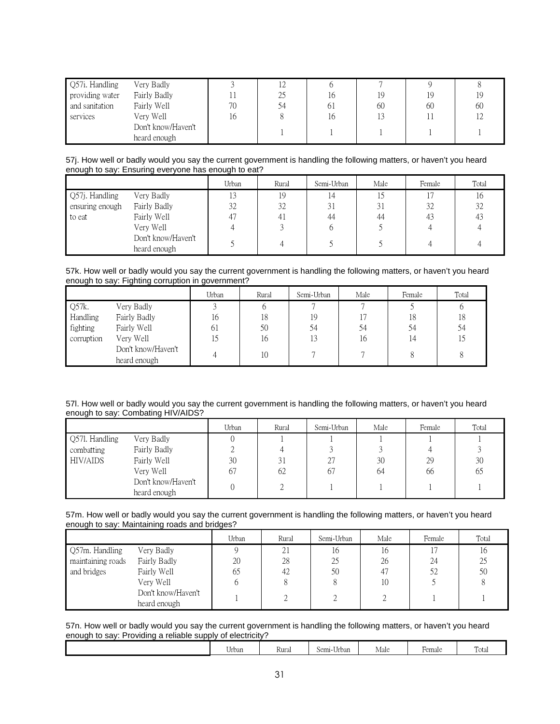| Q57i. Handling  | Very Badly         |    |    |    |    |    |    |
|-----------------|--------------------|----|----|----|----|----|----|
| providing water | Fairly Badly       |    | 25 | ıb | 19 | 19 | 19 |
| and sanitation  | Fairly Well        | 70 | 54 | 61 | 60 | 60 | 60 |
| services        | Verv Well          | 16 |    | 16 |    |    |    |
|                 | Don't know/Haven't |    |    |    |    |    |    |
|                 | heard enough       |    |    |    |    |    |    |

57j. How well or badly would you say the current government is handling the following matters, or haven't you heard enough to say: Ensuring everyone has enough to eat?

|                 |                    | Urban | Rural | Semi-Urban | Male | Female | Total |
|-----------------|--------------------|-------|-------|------------|------|--------|-------|
| Q57j. Handling  | Very Badly         | 13    | 19    |            |      |        | 16    |
| ensuring enough | Fairly Badly       | 32    | 32    | 31         | 31   | 32     | 32    |
| to eat          | Fairly Well        | 47    | 41    | 44         | 44   | 43     | 43    |
|                 | Very Well          |       |       |            |      |        |       |
|                 | Don't know/Haven't |       |       |            |      |        |       |
|                 | heard enough       |       |       |            |      |        |       |

57k. How well or badly would you say the current government is handling the following matters, or haven't you heard enough to say: Fighting corruption in government?

|            |                    | Urban | Rural | Semi-Urban | Male | Female | Total |
|------------|--------------------|-------|-------|------------|------|--------|-------|
| Q57k.      | Very Badly         |       |       |            |      |        |       |
| Handling   | Fairly Badly       | 16    | 18    | 19         |      | 18     | 18    |
| fighting   | Fairly Well        | 61    | 50    | 54         |      | 54     | 54    |
| corruption | Very Well          |       | 16    | 13         | 16   | 14     |       |
|            | Don't know/Haven't |       | 10    |            |      |        |       |
|            | heard enough       |       |       |            |      |        |       |

57l. How well or badly would you say the current government is handling the following matters, or haven't you heard enough to say: Combating HIV/AIDS?

|                              |                                    | Urban    | Rural                    | Semi-Urban | Male     | Female   | Total    |
|------------------------------|------------------------------------|----------|--------------------------|------------|----------|----------|----------|
| Q571. Handling<br>combatting | Very Badly<br>Fairly Badly         | U        |                          |            |          |          |          |
| HIV/AIDS                     | Fairly Well<br>Very Well           | 30<br>67 | $\cap$ :<br>$\sim$<br>62 | 27<br>67   | 30<br>64 | 29<br>66 | 30<br>65 |
|                              | Don't know/Haven't<br>heard enough | U        |                          |            |          |          |          |

|                                               | 57m. How well or badly would you say the current government is handling the following matters, or haven't you heard |  |
|-----------------------------------------------|---------------------------------------------------------------------------------------------------------------------|--|
| enough to say: Maintaining roads and bridges? |                                                                                                                     |  |

|                   |                                    | Urban | Rural | Semi-Urban | Male | Female         | Total |
|-------------------|------------------------------------|-------|-------|------------|------|----------------|-------|
| Q57m. Handling    | Very Badly                         |       | 4     | 16         | 16   | 1 <sub>7</sub> |       |
| maintaining roads | Fairly Badly                       | 20    | 28    | 25         | 26   | 24             | $2^5$ |
| and bridges       | Fairly Well                        | 65    | 42    | 50         | 47   | 52             | 50    |
|                   | Very Well                          |       |       |            | 10   |                |       |
|                   | Don't know/Haven't<br>heard enough |       |       |            |      |                |       |

57n. How well or badly would you say the current government is handling the following matters, or haven't you heard enough to say: Providing a reliable supply of electricity?

| $\sim$ $\sim$<br>Urban | -<br>Kura, | $\sim$ $\sim$<br>Semi-I<br>-Urban | $\overline{ }$<br>Male | $\overline{\phantom{a}}$<br>∀emale | Total |
|------------------------|------------|-----------------------------------|------------------------|------------------------------------|-------|
|                        |            |                                   |                        |                                    |       |
|                        |            |                                   |                        |                                    |       |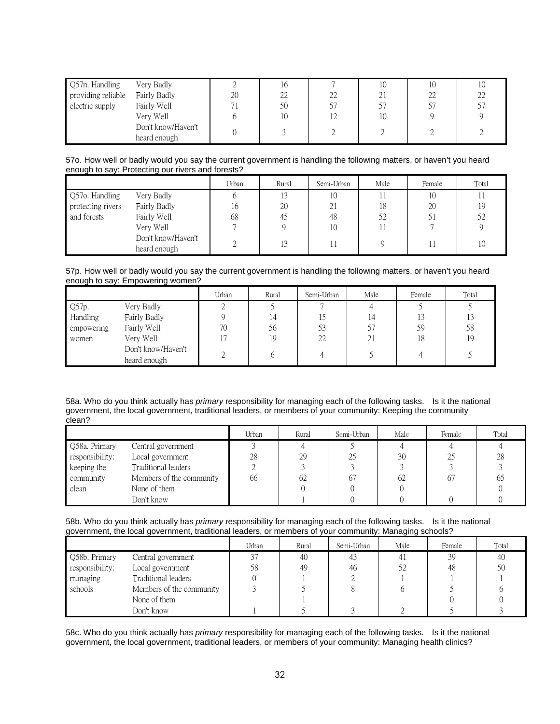| Q57n. Handling     | Very Badly         |    | TO. |     | 10 | 10 |    |
|--------------------|--------------------|----|-----|-----|----|----|----|
| providing reliable | Fairly Badly       | 20 | 22  | 22  |    | 22 | 22 |
| electric supply    | Fairly Well        |    | 50  |     |    | 57 |    |
|                    | Very Well          |    | 10  | 1 ೧ | 10 |    |    |
|                    | Don't know/Haven't |    |     |     |    |    |    |
|                    | heard enough       |    |     |     |    |    |    |

57o. How well or badly would you say the current government is handling the following matters, or haven't you heard enough to say: Protecting our rivers and forests?

|                   |                                    | Urban | Rural | Semi-Urban | Male | Female | Total |
|-------------------|------------------------------------|-------|-------|------------|------|--------|-------|
| Q57o. Handling    | Very Badly                         |       | 13    | 10         |      | 10     |       |
| protecting rivers | Fairly Badly                       | 16    | 20    | 21         | 18   | 20     | 19    |
| and forests       | Fairly Well                        | 68    | 45    | 48         | 52   | 51     | 52    |
|                   | Very Well                          |       |       | 10         |      |        |       |
|                   | Don't know/Haven't<br>heard enough |       | 13    |            |      |        | 10    |

57p. How well or badly would you say the current government is handling the following matters, or haven't you heard enough to say: Empowering women?

|            |                    | Urban | Rural | Semi-Urban | Male | Female | Total |
|------------|--------------------|-------|-------|------------|------|--------|-------|
| Q57p.      | Very Badly         |       |       |            |      |        |       |
| Handling   | Fairly Badly       |       | 14    |            | 14   | 13     |       |
| empowering | Fairly Well        | 70    | 56    | 53         |      | 59     | 58    |
| women      | Very Well          | 17    | 19    | 22         | 21   | 18     | 19    |
|            | Don't know/Haven't |       |       |            |      |        |       |
|            | heard enough       |       |       |            |      |        |       |

58a. Who do you think actually has *primary* responsibility for managing each of the following tasks. Is it the national government, the local government, traditional leaders, or members of your community: Keeping the community clean?

|                 |                          | Urban | Rural | Semi-Urban | Male | Female | Total |
|-----------------|--------------------------|-------|-------|------------|------|--------|-------|
| Q58a. Primary   | Central government       |       |       |            |      |        |       |
| responsibility: | Local government         | 28    | 29    | 25         | 30   | 25     | 28    |
| keeping the     | Traditional leaders      |       |       |            |      |        |       |
| community       | Members of the community | 66    | 62    | 67         | 62   | 67     | 62    |
| clean           | None of them             |       |       |            |      |        |       |
|                 | Don't know               |       |       |            |      |        |       |

58b. Who do you think actually has *primary* responsibility for managing each of the following tasks. Is it the national government, the local government, traditional leaders, or members of your community: Managing schools?

|                 |                          | Urban | Rural | Semi-Urban | Male           | Female | Total |
|-----------------|--------------------------|-------|-------|------------|----------------|--------|-------|
| Q58b. Primary   | Central government       | 37    | 40    | 43         | 4 <sub>1</sub> | 39     | -46   |
| responsibility: | Local government         | 58    | 49    | 46         | 52             | 48     | 50    |
| managing        | Traditional leaders      |       |       |            |                |        |       |
| schools         | Members of the community |       |       |            |                |        |       |
|                 | None of them             |       |       |            |                |        |       |
|                 | Don't know               |       |       |            |                |        |       |

58c. Who do you think actually has *primary* responsibility for managing each of the following tasks. Is it the national government, the local government, traditional leaders, or members of your community: Managing health clinics?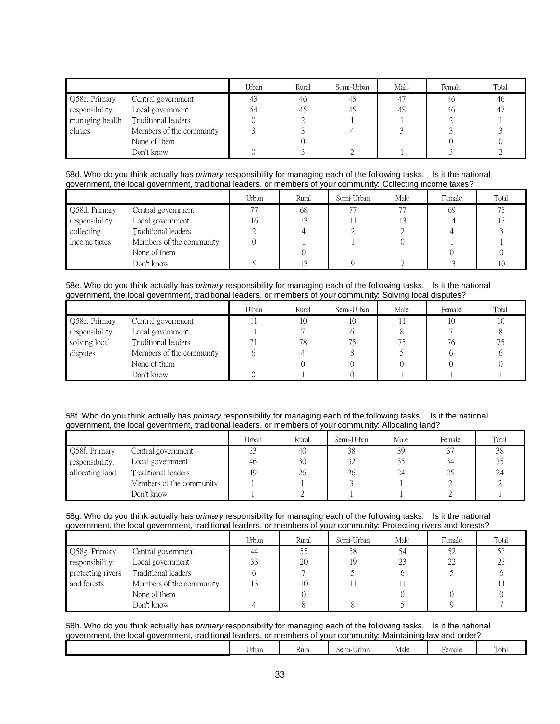|                 |                          | Urban | Rural | Semi-Urban | Male | Female | Total          |
|-----------------|--------------------------|-------|-------|------------|------|--------|----------------|
| Q58c. Primary   | Central government       | 43    | 46    | 48         | 47   | 46     | -46            |
| responsibility: | Local government         | 54    | 45    | 45         | 48   | 46     | 4 <sup>7</sup> |
| managing health | Traditional leaders      |       |       |            |      |        |                |
| clinics         | Members of the community |       |       |            |      |        |                |
|                 | None of them             |       |       |            |      |        |                |
|                 | Don't know               |       |       |            |      |        |                |

58d. Who do you think actually has *primary* responsibility for managing each of the following tasks. Is it the national government, the local government, traditional leaders, or members of your community: Collecting income taxes?

|                 |                          | Urban | Rural | Semi-Urban | Male | Female | Total |
|-----------------|--------------------------|-------|-------|------------|------|--------|-------|
| Q58d. Primary   | Central government       | 77    | 68    | 77         | 77   | 69     |       |
| responsibility: | Local government         | 16    |       |            |      |        |       |
| collecting      | Traditional leaders      |       |       |            |      |        |       |
| income taxes    | Members of the community |       |       |            |      |        |       |
|                 | None of them             |       |       |            |      |        |       |
|                 | Don't know               |       |       |            |      |        |       |

58e. Who do you think actually has *primary* responsibility for managing each of the following tasks. Is it the national government, the local government, traditional leaders, or members of your community: Solving local disputes?

|                 |                          | Urban | Rural | Semi-Urban | Male | Female | Total |
|-----------------|--------------------------|-------|-------|------------|------|--------|-------|
| Q58e. Primary   | Central government       |       | 10    | 10         |      |        |       |
| responsibility: | Local government         |       |       |            |      |        |       |
| solving local   | Traditional leaders      |       | 78    |            |      | 76     |       |
| disputes        | Members of the community |       |       |            |      |        |       |
|                 | None of them             |       |       |            |      |        |       |
|                 | Don't know               |       |       |            |      |        |       |

#### 58f. Who do you think actually has *primary* responsibility for managing each of the following tasks. Is it the national government, the local government, traditional leaders, or members of your community: Allocating land?

|                 |                          | Urban | Rural | Semi-Urban | Male | Female | Total |
|-----------------|--------------------------|-------|-------|------------|------|--------|-------|
| Q58f. Primary   | Central government       | 33    | 40    | 38         | 39   | 37     | 38    |
| responsibility: | Local government         | 46    | 30    | 32         | 35   | 34     |       |
| allocating land | Traditional leaders      | 19    | 26    | 26         | 24   | 25     | 24    |
|                 | Members of the community |       |       |            |      |        |       |
|                 | Don't know               |       |       |            |      |        |       |

58g. Who do you think actually has *primary* responsibility for managing each of the following tasks. Is it the national government, the local government, traditional leaders, or members of your community: Protecting rivers and forests?

|                   |                          | Urban | Rural | Semi-Urban | Male | Female | Total |
|-------------------|--------------------------|-------|-------|------------|------|--------|-------|
| Q58g. Primary     | Central government       | 44    |       | 58         |      |        |       |
| responsibility:   | Local government         | 33    | 20    |            | 23   |        |       |
| protecting rivers | Traditional leaders      |       |       |            |      |        |       |
| and forests       | Members of the community |       |       |            |      |        |       |
|                   | None of them             |       |       |            |      |        |       |
|                   | Don't know               |       |       |            |      |        |       |

58h. Who do you think actually has *primary* responsibility for managing each of the following tasks. Is it the national government, the local government, traditional leaders, or members of your community: Maintaining law and order?

| --<br>Urban | Rural | .<br>Semi-<br>Urban | . .<br>Male | Female | -<br><u>та</u><br>rotal |
|-------------|-------|---------------------|-------------|--------|-------------------------|
|             |       |                     |             |        |                         |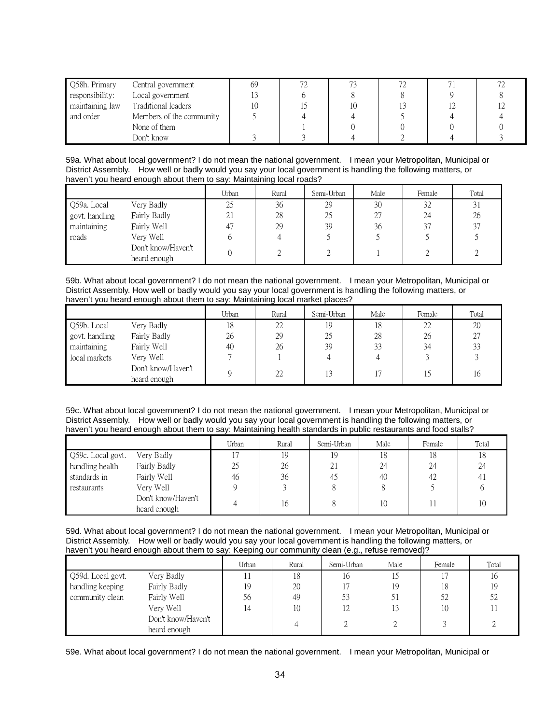| Q58h. Primary   | Central government       | 69 | 70 |  |  |
|-----------------|--------------------------|----|----|--|--|
| responsibility: | Local government         |    |    |  |  |
| maintaining law | Traditional leaders      |    |    |  |  |
| and order       | Members of the community |    |    |  |  |
|                 | None of them             |    |    |  |  |
|                 | Don't know               |    |    |  |  |

59a. What about local government? I do not mean the national government. I mean your Metropolitan, Municipal or District Assembly. How well or badly would you say your local government is handling the following matters, or haven't you heard enough about them to say: Maintaining local roads?

|                |                                    | Urban | Rural | Semi-Urban | Male | Female | Total |
|----------------|------------------------------------|-------|-------|------------|------|--------|-------|
| Q59a. Local    | Very Badly                         | 25    | 36    | 29         | 30   | 32     | 31    |
| govt. handling | Fairly Badly                       | 21    | 28    | 25         | 27   | 24     | 26    |
| maintaining    | Fairly Well                        | 47    | 29    | 39         | 36   | 37     | 37    |
| roads          | Very Well                          |       |       |            |      |        |       |
|                | Don't know/Haven't<br>heard enough |       |       |            |      |        |       |

59b. What about local government? I do not mean the national government. I mean your Metropolitan, Municipal or District Assembly. How well or badly would you say your local government is handling the following matters, or haven't you heard enough about them to say: Maintaining local market places?

|                |                                    | Urban | Rural | Semi-Urban | Male | Female | Total |
|----------------|------------------------------------|-------|-------|------------|------|--------|-------|
| Q59b. Local    | Very Badly                         | 18    | 22    | 19         | 18   | 22     | 20    |
| govt. handling | Fairly Badly                       | 26    | 29    | 25         | 28   | 26     | 27    |
| maintaining    | Fairly Well                        | 40    | 26    | 39         | 33   | 34     | 33    |
| local markets  | Very Well                          |       |       |            |      |        |       |
|                | Don't know/Haven't<br>heard enough |       | 22    | 13         |      | 15     | 16    |

59c. What about local government? I do not mean the national government. I mean your Metropolitan, Municipal or District Assembly. How well or badly would you say your local government is handling the following matters, or haven't you heard enough about them to say: Maintaining health standards in public restaurants and food stalls?

|                   |                                    | Urban    | Rural | Semi-Urban | Male | Female | Total |
|-------------------|------------------------------------|----------|-------|------------|------|--------|-------|
| Q59c. Local govt. | Very Badly                         |          | 19    | 19         | 18   | 18     |       |
| handling health   | Fairly Badly                       | 25       | 26    | 21         | 24   | 24     | 24    |
| standards in      | Fairly Well                        | 46       | 36    | 45         | 40   | 42     | 4,    |
| restaurants       | Verv Well                          |          |       |            |      |        |       |
|                   | Don't know/Haven't<br>heard enough | $\Delta$ | 16    |            | 10   |        |       |

59d. What about local government? I do not mean the national government. I mean your Metropolitan, Municipal or District Assembly. How well or badly would you say your local government is handling the following matters, or haven't you heard enough about them to say: Keeping our community clean (e.g., refuse removed)?

|                   |                                    | Urban | Rural | Semi-Urban | Male | Female | Total |
|-------------------|------------------------------------|-------|-------|------------|------|--------|-------|
| Q59d. Local govt. | Very Badly                         |       | 18    | 16         |      |        | 10    |
| handling keeping  | Fairly Badly                       | 19    | 20    |            | 19   | 18     | 19    |
| community clean   | Fairly Well                        | 56    | 49    | 53         | 51   | 52     | 52    |
|                   | Very Well                          | 4     | 10    | 12         | 13   | 10     |       |
|                   | Don't know/Haven't<br>heard enough |       |       |            |      |        |       |

59e. What about local government? I do not mean the national government. I mean your Metropolitan, Municipal or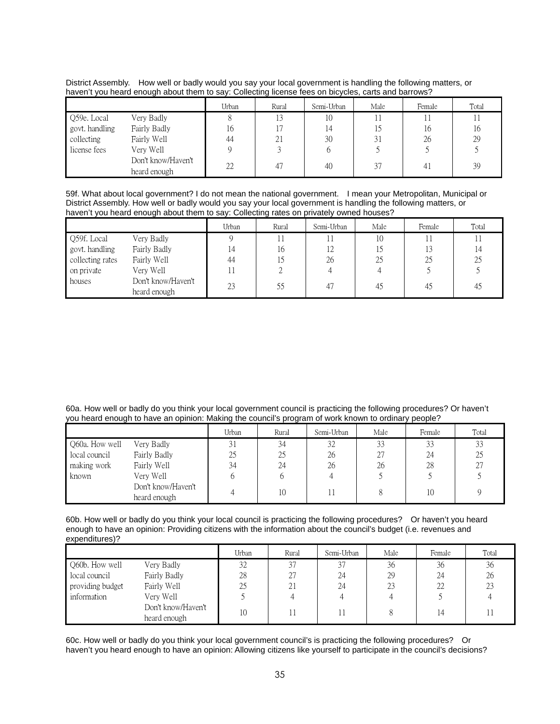District Assembly. How well or badly would you say your local government is handling the following matters, or haven't you heard enough about them to say: Collecting license fees on bicycles, carts and barrows?

|                |                                    | Urban | Rural | Semi-Urban | Male | Female | Total |
|----------------|------------------------------------|-------|-------|------------|------|--------|-------|
| Q59e. Local    | Very Badly                         |       |       | 10         |      |        |       |
| govt. handling | Fairly Badly                       | 16    |       | 14         |      | 16     | 16    |
| collecting     | Fairly Well                        | 44    | 21    | 30         |      | 26     | 29    |
| license fees   | Very Well                          |       |       |            |      |        |       |
|                | Don't know/Haven't<br>heard enough | 22    | 47    | 40         | 37   | 41     | 39    |

59f. What about local government? I do not mean the national government. I mean your Metropolitan, Municipal or District Assembly. How well or badly would you say your local government is handling the following matters, or haven't you heard enough about them to say: Collecting rates on privately owned houses?

|                  |                                    | Urban | Rural | Semi-Urban | Male | Female | Total |
|------------------|------------------------------------|-------|-------|------------|------|--------|-------|
| Q59f. Local      | Very Badly                         |       |       |            | 10   |        |       |
| govt. handling   | Fairly Badly                       | 14    | 16    | 12         |      | 13     |       |
| collecting rates | Fairly Well                        | 44    |       | 26         | 25   | 25     | 25    |
| on private       | Very Well                          |       |       |            |      |        |       |
| houses           | Don't know/Haven't<br>heard enough | 23    | 55    | 47         | 45   | 45     | 45    |

<sup>60</sup>a. How well or badly do you think your local government council is practicing the following procedures? Or haven't you heard enough to have an opinion: Making the council's program of work known to ordinary people?

|                |                    | Urban | Rural | Semi-Urban | Male | Female | Total |
|----------------|--------------------|-------|-------|------------|------|--------|-------|
| Q60a. How well | Very Badly         | 31    | 34    | 32         | 33   | 33     | 33    |
| local council  | Fairly Badly       | 25    | 25    | 26         | 27   | 24     | 25    |
| making work    | Fairly Well        | 34    | 24    | 26         | 26   | 28     | 27    |
| known          | Very Well          |       |       |            |      |        |       |
|                | Don't know/Haven't |       | 10    |            |      | 10     |       |
|                | heard enough       |       |       |            |      |        |       |

60b. How well or badly do you think your local council is practicing the following procedures? Or haven't you heard enough to have an opinion: Providing citizens with the information about the council's budget (i.e. revenues and expenditures)?

|                  |                                    | Urban | Rural      | Semi-Urban | Male | Female | Total |
|------------------|------------------------------------|-------|------------|------------|------|--------|-------|
| Q60b. How well   | Very Badly                         | 32    | 37         | 37         | 36   | 36     | 36    |
| local council    | Fairly Badly                       | 28    | 27         | 24         | 29   | 24     | 26    |
| providing budget | Fairly Well                        | 25    | $\angle$ 1 | 24         | 23   | 22     | 23    |
| information      | Very Well                          |       |            |            |      |        |       |
|                  | Don't know/Haven't<br>heard enough | 10    |            |            |      | 14     |       |

60c. How well or badly do you think your local government council's is practicing the following procedures? Or haven't you heard enough to have an opinion: Allowing citizens like yourself to participate in the council's decisions?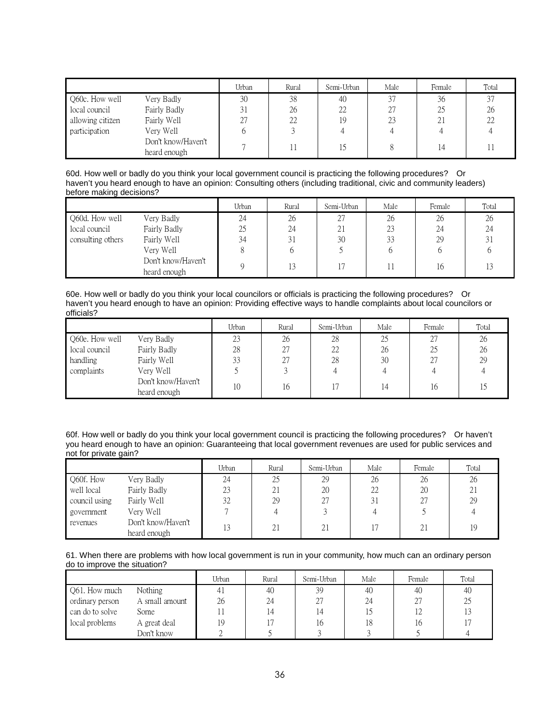|                  |                                    | Urban | Rural | Semi-Urban | Male | Female | Total |
|------------------|------------------------------------|-------|-------|------------|------|--------|-------|
| Q60c. How well   | Very Badly                         | 30    | 38    | 40         | 37   | 36     | 37    |
| local council    | Fairly Badly                       | 31    | 26    | 22         | 27   | 25     | 26    |
| allowing citizen | Fairly Well                        | 27    | 22    | 19         | 23   | 21     | 22    |
| participation    | Very Well                          |       |       |            |      |        |       |
|                  | Don't know/Haven't<br>heard enough |       |       | 5          |      | 14     |       |

60d. How well or badly do you think your local government council is practicing the following procedures? Or haven't you heard enough to have an opinion: Consulting others (including traditional, civic and community leaders) before making decisions?

|                   |                                    | Urban | Rural  | Semi-Urban | Male | Female | Total |
|-------------------|------------------------------------|-------|--------|------------|------|--------|-------|
| Q60d. How well    | Very Badly                         | 24    | 26     | 27         | 26   | 26     | 26    |
| local council     | Fairly Badly                       | 25    | 24     | 21         | 23   | 24     | 24    |
| consulting others | Fairly Well                        | 34    |        | 30         | 33   | 29     | 31    |
|                   | Very Well                          |       |        |            |      |        |       |
|                   | Don't know/Haven't<br>heard enough |       | $\sim$ |            | Ħ    | 16     |       |

60e. How well or badly do you think your local councilors or officials is practicing the following procedures? Or haven't you heard enough to have an opinion: Providing effective ways to handle complaints about local councilors or officials?

|                |                                    | Urban | Rural | Semi-Urban | Male | Female | Total |
|----------------|------------------------------------|-------|-------|------------|------|--------|-------|
| Q60e. How well | Very Badly                         | 23    | 26    | 28         | 25   | 27     | 26    |
| local council  | Fairly Badly                       | 28    | 27    | 22         | 26   | 25     | 26    |
| handling       | Fairly Well                        | 33    | 27    | 28         | 30   | 27     | 29    |
| complaints     | Very Well                          |       |       |            |      |        |       |
|                | Don't know/Haven't<br>heard enough | 10    | 16    |            | 14   | 16     |       |

60f. How well or badly do you think your local government council is practicing the following procedures? Or haven't you heard enough to have an opinion: Guaranteeing that local government revenues are used for public services and not for private gain?

|               |                                    | Urban | Rural | Semi-Urban | Male | Female | Total |
|---------------|------------------------------------|-------|-------|------------|------|--------|-------|
| Q60f. How     | Very Badly                         | 24    | 25    | 29         | 26   | 26     | 26    |
| well local    | Fairly Badly                       | 23    | 21    | 20         | 22   | 20     | 21    |
| council using | Fairly Well                        | 32    | 29    | רר         | 31   | 27     | 29    |
| government    | Very Well                          |       |       |            |      |        |       |
| revenues      | Don't know/Haven't<br>heard enough | 13    | 21    | 21         |      | 21     | 19    |

| 61. When there are problems with how local government is run in your community, how much can an ordinary person |  |  |
|-----------------------------------------------------------------------------------------------------------------|--|--|
| do to improve the situation?                                                                                    |  |  |

|                 |                | Urban | Rural | Semi-Urban | Male | Female | Total |
|-----------------|----------------|-------|-------|------------|------|--------|-------|
| Q61. How much   | Nothing        |       | 40    | 39         | 40   | 40     | 40    |
| ordinary person | A small amount | 26    | 24    | 27         | 24   | 27     | 25    |
| can do to solve | Some           |       | ، 4   |            |      | 12     |       |
| local problems  | A great deal   | 19    |       | It         | 18   | 16     |       |
|                 | Don't know     |       |       |            |      |        |       |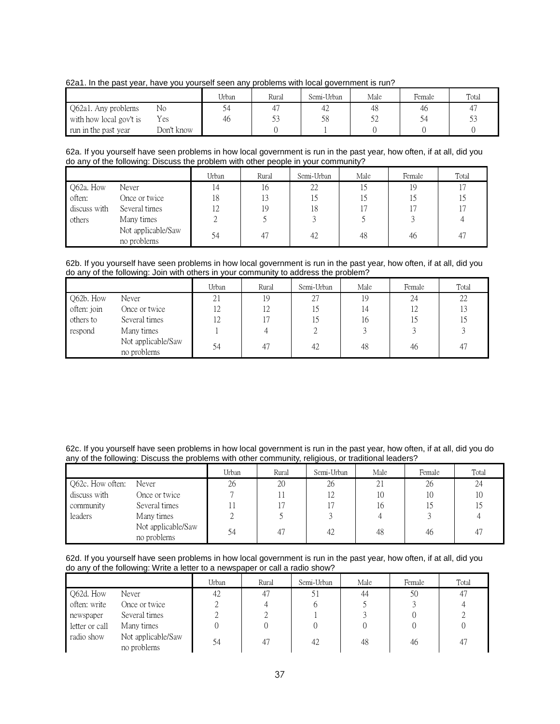62a1. In the past year, have you yourself seen any problems with local government is run?

|                         |            | Urban | Rural | Semi-Urban | Male | Female | Total |
|-------------------------|------------|-------|-------|------------|------|--------|-------|
| Q62a1. Any problems     | No         |       |       | 42         | 48   | 46     | 4     |
| with how local gov't is | Yes        | 46    | 53    | 58         |      |        | ر ر   |
| run in the past year    | Don't know |       |       |            |      |        |       |

62a. If you yourself have seen problems in how local government is run in the past year, how often, if at all, did you do any of the following: Discuss the problem with other people in your community?

|              |                                   | Urban               | Rural | Semi-Urban | Male | Female | Total |
|--------------|-----------------------------------|---------------------|-------|------------|------|--------|-------|
| Q62a. How    | Never                             | 14                  | 16    | 22         |      | 19     |       |
| often:       | Once or twice                     | 18                  | 13    | 15         |      |        |       |
| discuss with | Several times                     | $1^{\prime}$<br>1 Z | 19    | 18         |      |        |       |
| others       | Many times                        |                     |       |            |      |        |       |
|              | Not applicable/Saw<br>no problems | 54                  |       | 42         | 48   | 46     | 47    |

62b. If you yourself have seen problems in how local government is run in the past year, how often, if at all, did you do any of the following: Join with others in your community to address the problem?

|             |                                   | Urban | Rural | Semi-Urban | Male | Female | Total |
|-------------|-----------------------------------|-------|-------|------------|------|--------|-------|
| Q62b. How   | Never                             | 21    | 19    | 27         | 19   | 24     | 22    |
| often: join | Once or twice                     | 12    | 12    |            | 14   | 12     | 13    |
| others to   | Several times                     | 12    |       |            | 16   |        |       |
| respond     | Many times                        |       |       |            |      |        |       |
|             | Not applicable/Saw<br>no problems | 54    |       | 42         | 48   | 46     | 47    |

62c. If you yourself have seen problems in how local government is run in the past year, how often, if at all, did you do any of the following: Discuss the problems with other community, religious, or traditional leaders?

|                  |                                   | Urban | Rural | Semi-Urban | Male | Female | Total |
|------------------|-----------------------------------|-------|-------|------------|------|--------|-------|
| Q62c. How often: | Never                             | 26    | 20    | 26         | 21   | 26     | 24    |
| discuss with     | Once or twice                     |       |       | 12         | 10   | 10     | 10    |
| community        | Several times                     |       |       |            | 16   |        |       |
| leaders          | Many times                        | ∠     |       |            |      |        |       |
|                  | Not applicable/Saw<br>no problems | 54    | 47    | 42         | 48   | 46     | 47    |

62d. If you yourself have seen problems in how local government is run in the past year, how often, if at all, did you do any of the following: Write a letter to a newspaper or call a radio show?

|                |                                   | Urban | Rural | Semi-Urban | Male | Female | Total |
|----------------|-----------------------------------|-------|-------|------------|------|--------|-------|
| Q62d. How      | Never                             | 42    |       | 51         | 44   | 50     | 47    |
| often: write   | Once or twice                     |       |       |            |      |        |       |
| newspaper      | Several times                     |       |       |            |      |        |       |
| letter or call | Many times                        |       |       |            |      |        |       |
| radio show     | Not applicable/Saw<br>no problems | 54    |       | 42         | 48   | 46     | 47    |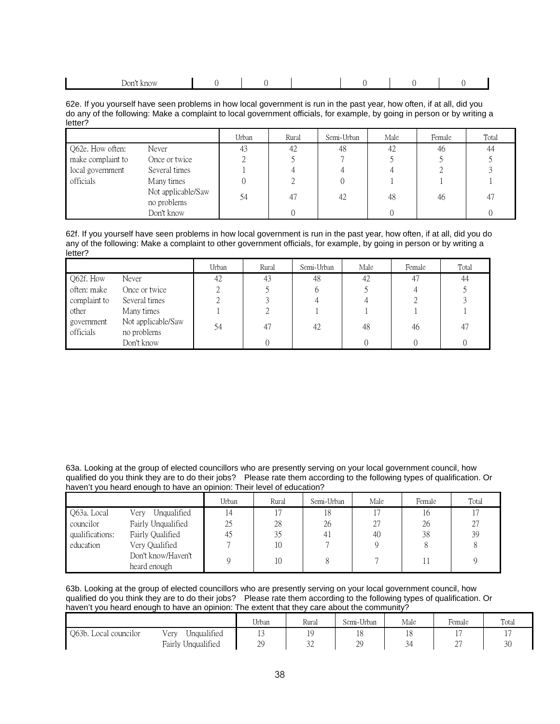| know<br>Don' |  |  |  |
|--------------|--|--|--|

62e. If you yourself have seen problems in how local government is run in the past year, how often, if at all, did you do any of the following: Make a complaint to local government officials, for example, by going in person or by writing a letter?

|                   |                                   | Urban | Rural | Semi-Urban | Male | Female | Total |
|-------------------|-----------------------------------|-------|-------|------------|------|--------|-------|
| Q62e. How often:  | Never                             | 43    | 42    | 48         | 42   | 46     | 44    |
| make complaint to | Once or twice                     |       |       |            |      |        |       |
| local government  | Several times                     |       |       |            |      |        |       |
| officials         | Many times                        |       |       |            |      |        |       |
|                   | Not applicable/Saw<br>no problems | 54    | 47    | 42         | 48   | 46     | 47    |
|                   | Don't know                        |       |       |            |      |        |       |

62f. If you yourself have seen problems in how local government is run in the past year, how often, if at all, did you do any of the following: Make a complaint to other government officials, for example, by going in person or by writing a letter?

|                         |                                   | Urban | Rural | Semi-Urban | Male | Female | Total |
|-------------------------|-----------------------------------|-------|-------|------------|------|--------|-------|
| Q62f. How               | Never                             | 42    | 43    | 48         | 42   | 47     | 44    |
| often: make             | Once or twice                     |       |       |            |      |        |       |
| complaint to            | Several times                     |       |       |            |      |        |       |
| other                   | Many times                        |       |       |            |      |        |       |
| government<br>officials | Not applicable/Saw<br>no problems | 54    | 47    | 42         | 48   | 46     | 47    |
|                         | Don't know                        |       |       |            |      |        |       |

63a. Looking at the group of elected councillors who are presently serving on your local government council, how qualified do you think they are to do their jobs? Please rate them according to the following types of qualification. Or haven't you heard enough to have an opinion: Their level of education?

|                 |                     | Urban | Rural | Semi-Urban | Male | Female | Total |
|-----------------|---------------------|-------|-------|------------|------|--------|-------|
| Q63a. Local     | Unqualified<br>Very | ι4    |       | 18         |      | 16     |       |
| councilor       | Fairly Unqualified  | 25    | 28    | 26         | 27   | 26     | 27    |
| qualifications: | Fairly Qualified    | 45    | 35    | 41         | 40   | 38     | 39    |
| education       | Very Qualified      |       | 10    |            |      |        |       |
|                 | Don't know/Haven't  |       | 10    |            |      |        |       |
|                 | heard enough        |       |       |            |      |        |       |

63b. Looking at the group of elected councillors who are presently serving on your local government council, how qualified do you think they are to do their jobs? Please rate them according to the following types of qualification. Or haven't you heard enough to have an opinion: The extent that they care about the community?

|                       |                                 | TT <sub>1</sub><br>Urban | Rural        | Semi-Urban | Male              | ь.<br>Female  | Total |
|-----------------------|---------------------------------|--------------------------|--------------|------------|-------------------|---------------|-------|
| Q63b. Local councilor | $\cdots$<br>Unqualitied<br>very | $\overline{ }$           |              | πO         | ∗∪                | . .           | . .   |
|                       | Unqualified<br>Fairly U         | $\gamma$<br>ر ر          | $\sim$<br>ےر | nc<br>رت   | ⌒<br>$\checkmark$ | $\sim$<br>، ت | 30    |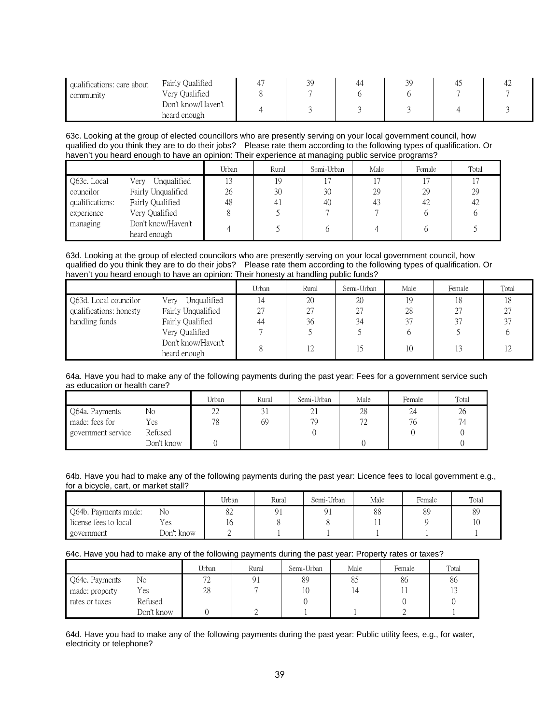| qualifications: care about<br>community | Fairly Qualified<br>Very Qualified | 30<br>ر ر | 44 | 3C<br>ر ب | $+2$ |
|-----------------------------------------|------------------------------------|-----------|----|-----------|------|
|                                         | Don't know/Haven't<br>heard enough |           |    |           |      |

63c. Looking at the group of elected councillors who are presently serving on your local government council, how qualified do you think they are to do their jobs? Please rate them according to the following types of qualification. Or haven't you heard enough to have an opinion: Their experience at managing public service programs?

|                 |                                    | Urban | Rural          | Semi-Urban | Male | Female | Total |
|-----------------|------------------------------------|-------|----------------|------------|------|--------|-------|
| O63c. Local     | Unqualified<br>Very                | 13    | 19             |            |      |        |       |
| councilor       | Fairly Unqualified                 | 26    | 30             | 30         | 29   | 29     | 29    |
| qualifications: | Fairly Qualified                   | 48    | 4 <sub>1</sub> | 40         | 43   | 42     | -42   |
| experience      | Very Qualified                     | 8     |                |            |      |        |       |
| managing        | Don't know/Haven't<br>heard enough |       |                |            |      |        |       |

63d. Looking at the group of elected councilors who are presently serving on your local government council, how qualified do you think they are to do their jobs? Please rate them according to the following types of qualification. Or haven't you heard enough to have an opinion: Their honesty at handling public funds?

|                         |                     | Urban | Rural | Semi-Urban | Male | Female | Total |
|-------------------------|---------------------|-------|-------|------------|------|--------|-------|
| Q63d. Local councilor   | Unqualified<br>Very |       | 20    | 20         |      | 18     | 18    |
| qualifications: honesty | Fairly Unqualified  | 27    | 27    | 27         | 28   | 27     | 27    |
| handling funds          | Fairly Qualified    | 44    | 36    | 34         | 37   | 37     | 37    |
|                         | Very Qualified      |       |       |            |      |        |       |
|                         | Don't know/Haven't  |       | 12    |            |      |        | 12    |
|                         | heard enough        |       |       |            |      |        |       |

#### 64a. Have you had to make any of the following payments during the past year: Fees for a government service such as education or health care?

|                    |            | Urban          | Rural | Semi-Urban | Male                     | Female | Total |
|--------------------|------------|----------------|-------|------------|--------------------------|--------|-------|
| Q64a. Payments     | No         | $\gamma$<br>∠∠ |       | ZΙ         | 28                       | 24     | 26    |
| made: fees for     | Yes        | 78             | 69    | 79         | $\overline{\phantom{a}}$ | 76     | 74    |
| government service | Refused    |                |       |            |                          |        |       |
|                    | Don't know |                |       |            |                          |        |       |

#### 64b. Have you had to make any of the following payments during the past year: Licence fees to local government e.g., for a bicycle, cart, or market stall?

|                       |            | Urban | Rural | Semi-Urban | Male | Female | Total |
|-----------------------|------------|-------|-------|------------|------|--------|-------|
| Q64b. Payments made:  | No         | 82    |       |            | 88   | 89     | 89    |
| license fees to local | Yes        | 10    |       |            | * *  |        | 10    |
| government            | Don't know |       |       |            |      |        |       |

# 64c. Have you had to make any of the following payments during the past year: Property rates or taxes?

|                |            | Urban      | Rural | Semi-Urban | Male | Female | Total |
|----------------|------------|------------|-------|------------|------|--------|-------|
| Q64c. Payments | No         | $\sqrt{2}$ | 91    | 89         | 85   | 86     | 86    |
| made: property | Yes        | 28         |       | ΙU         | 14   |        | 13    |
| rates or taxes | Refused    |            |       |            |      |        |       |
|                | Don't know |            |       |            |      |        |       |

64d. Have you had to make any of the following payments during the past year: Public utility fees, e.g., for water, electricity or telephone?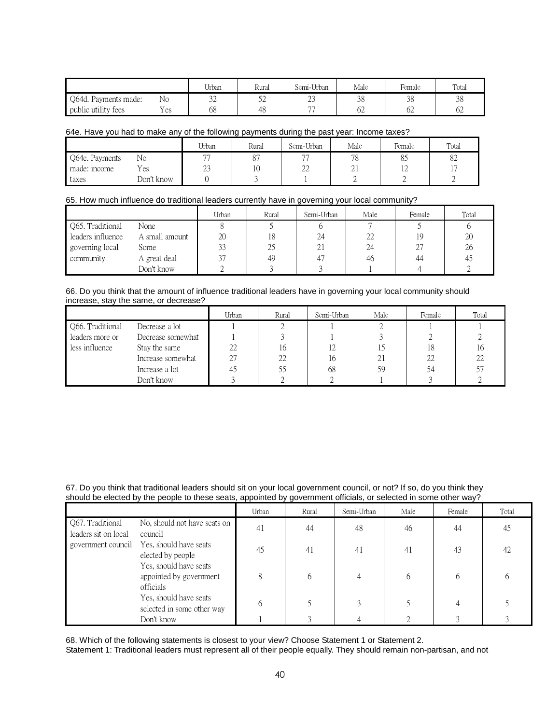|                      |     | Urban    | Rural | Semi-Urban     | Male     | -<br>Female | Total    |
|----------------------|-----|----------|-------|----------------|----------|-------------|----------|
| Q64d. Payments made: | No  | っっ<br>∠ر | ىدر   | $\sim$<br>ر ے  | 2C<br>JО | 38          | ΩC<br>ుర |
| public utility fees  | Yes | 68       | 48    | $\overline{a}$ | UZ       | 62          | 62       |

#### 64e. Have you had to make any of the following payments during the past year: Income taxes?

|                |            | Urban                    | Rural                | Semi-Urban               | Male     | Female         | Total          |
|----------------|------------|--------------------------|----------------------|--------------------------|----------|----------------|----------------|
| Q64e. Payments | No         | $\overline{\phantom{a}}$ | O <sub>7</sub><br>Ο. | $\overline{\phantom{a}}$ | 78       | ◡              | $\circ$<br>٥Z  |
| made: income   | Yes        | $\sim$<br>ے کے           | 10                   | $\cap$<br>∠∠             | $\sim$ 1 | $\overline{1}$ | $\overline{ }$ |
| taxes          | Don't know |                          |                      |                          |          |                |                |

#### 65. How much influence do traditional leaders currently have in governing your local community?

|                   |                | Urban | Rural | Semi-Urban | Male | Female | Total |
|-------------------|----------------|-------|-------|------------|------|--------|-------|
| Q65. Traditional  | None           |       |       |            |      |        |       |
| leaders influence | A small amount | 20    | 18    | 24         | 22   | 19     | 20    |
| governing local   | Some           | 33    | 25    | 21         | 24   | 27     | 26    |
| community         | A great deal   | 37    | 49    | 41         | 46   | 44     | 42    |
|                   | Don't know     |       |       |            |      |        |       |

#### 66. Do you think that the amount of influence traditional leaders have in governing your local community should increase, stay the same, or decrease?

|                  |                   | Urban | Rural | Semi-Urban | Male | Female | Total |
|------------------|-------------------|-------|-------|------------|------|--------|-------|
| Q66. Traditional | Decrease a lot    |       |       |            |      |        |       |
| leaders more or  | Decrease somewhat |       |       |            |      |        |       |
| less influence   | Stay the same     | 22    | 16    |            |      | 18     | 16    |
|                  | Increase somewhat | 27    | 22    | l b        | 21   | 22     | 22    |
|                  | Increase a lot    | 4.    | 55    | 68         | 59   |        | 57    |
|                  | Don't know        |       |       |            |      |        |       |

#### 67. Do you think that traditional leaders should sit on your local government council, or not? If so, do you think they should be elected by the people to these seats, appointed by government officials, or selected in some other way?

|                                          |                                                                | Urban | Rural | Semi-Urban | Male | Female | Total |
|------------------------------------------|----------------------------------------------------------------|-------|-------|------------|------|--------|-------|
| Q67. Traditional<br>leaders sit on local | No, should not have seats on<br>council                        | 41    | 44    | 48         | 46   | 44     | 45    |
| government council                       | Yes, should have seats<br>elected by people                    | 45    | 41    | 41         | 41   | 43     | 42    |
|                                          | Yes, should have seats<br>appointed by government<br>officials | 8     |       |            | h    | h      |       |
|                                          | Yes, should have seats<br>selected in some other way           |       |       |            |      |        |       |
|                                          | Don't know                                                     |       |       |            |      |        |       |

68. Which of the following statements is closest to your view? Choose Statement 1 or Statement 2.

Statement 1: Traditional leaders must represent all of their people equally. They should remain non-partisan, and not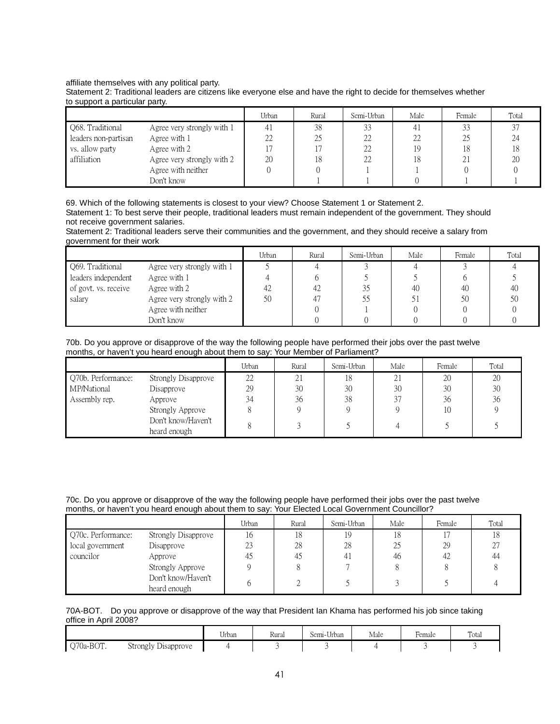#### affiliate themselves with any political party.

|                                |  |  | Statement 2: Traditional leaders are citizens like everyone else and have the right to decide for themselves whether |  |
|--------------------------------|--|--|----------------------------------------------------------------------------------------------------------------------|--|
| to support a particular party. |  |  |                                                                                                                      |  |

|                      |                            | Urban | Rural | Semi-Urban | Male | Female | Total |
|----------------------|----------------------------|-------|-------|------------|------|--------|-------|
| Q68. Traditional     | Agree very strongly with 1 |       | 38    | 33         |      |        | J.    |
| leaders non-partisan | Agree with 1               | 22    | 25    | 22         | 22   |        | 24    |
| vs. allow party      | Agree with 2               |       |       | 22         | 19   |        | 18    |
| affiliation          | Agree very strongly with 2 | 20    | 18    | 22         | 18   | 4.     | 20    |
|                      | Agree with neither         |       |       |            |      |        |       |
|                      | Don't know                 |       |       |            |      |        |       |

69. Which of the following statements is closest to your view? Choose Statement 1 or Statement 2. Statement 1: To best serve their people, traditional leaders must remain independent of the government. They should not receive government salaries.

Statement 2: Traditional leaders serve their communities and the government, and they should receive a salary from government for their work

|                      |                            | Urban | Rural | Semi-Urban | Male | Female | Total |
|----------------------|----------------------------|-------|-------|------------|------|--------|-------|
| Q69. Traditional     | Agree very strongly with 1 |       |       |            |      |        |       |
| leaders independent  | Agree with 1               |       |       |            |      |        |       |
| of govt. vs. receive | Agree with 2               |       | 42    | 35         | 40   | 40     | 40    |
| salary               | Agree very strongly with 2 | 50    |       | 55         |      | 50     | 50    |
|                      | Agree with neither         |       |       |            |      |        |       |
|                      | Don't know                 |       |       |            |      |        |       |

70b. Do you approve or disapprove of the way the following people have performed their jobs over the past twelve months, or haven't you heard enough about them to say: Your Member of Parliament?

|                    |                     | Urban | Rural | Semi-Urban | Male | Female | Total |
|--------------------|---------------------|-------|-------|------------|------|--------|-------|
| Q70b. Performance: | Strongly Disapprove | 22    | 21    | 18         | 21   | 20     | 20    |
| MP/National        | Disapprove          | 29    | 30    | 30         | 30   | 30     | 30    |
| Assembly rep.      | Approve             | 34    | 36    | 38         | 37   | 36     | 36    |
|                    | Strongly Approve    |       |       |            |      | 10     |       |
|                    | Don't know/Haven't  |       |       |            |      |        |       |
|                    | heard enough        |       |       |            |      |        |       |

70c. Do you approve or disapprove of the way the following people have performed their jobs over the past twelve months, or haven't you heard enough about them to say: Your Elected Local Government Councillor?

|                    |                                    | Urban | Rural | Semi-Urban | Male | Female | Total |
|--------------------|------------------------------------|-------|-------|------------|------|--------|-------|
| Q70c. Performance: | Strongly Disapprove                | 16    | 18    | 19         | 18   |        | 18    |
| local government   | Disapprove                         | 23    | 28    | 28         | 25   | 29     | 27    |
| councilor          | Approve                            | 45    | 45    | 41         | 46   | 42     | 44    |
|                    | Strongly Approve                   |       |       |            |      |        |       |
|                    | Don't know/Haven't<br>heard enough |       |       |            |      |        |       |

#### 70A-BOT. Do you approve or disapprove of the way that President Ian Khama has performed his job since taking office in April 2008?

|           |                          | $- + -$<br>Urban | Rural | Semi-Urban | Male | $\mathbf{r}$<br>Female | Total |
|-----------|--------------------------|------------------|-------|------------|------|------------------------|-------|
| Q70a-BOT. | Strongly '<br>Disapprove |                  |       |            |      |                        |       |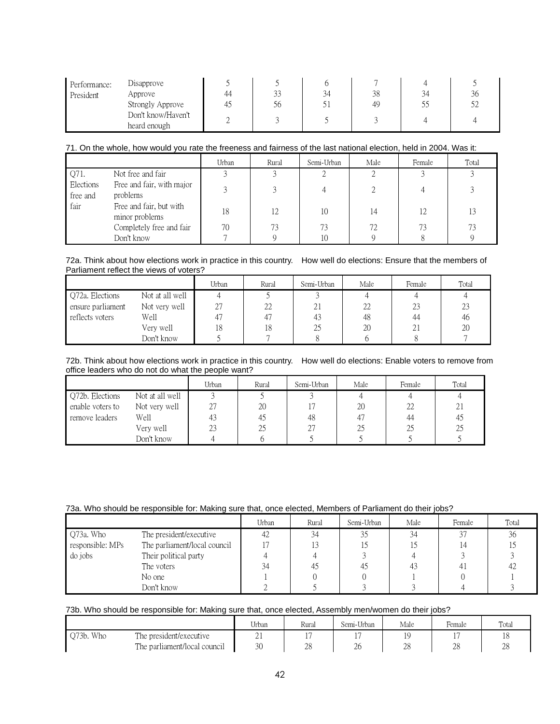| Performance: | Disapprove         |    |    |    |    |     |            |
|--------------|--------------------|----|----|----|----|-----|------------|
| President    | Approve            | 44 | 33 | 34 | 38 | 34  | 20         |
|              | Strongly Approve   |    | 56 | ◡  | 49 | ں ر | م ح<br>ے ر |
|              | Don't know/Haven't |    |    |    |    |     |            |
|              | heard enough       |    |    |    |    |     |            |

#### 71. On the whole, how would you rate the freeness and fairness of the last national election, held in 2004. Was it:

|                       |                                           | Urban | Rural | Semi-Urban | Male | Female | Total |
|-----------------------|-------------------------------------------|-------|-------|------------|------|--------|-------|
| Q71.                  | Not free and fair                         |       |       |            |      |        |       |
| Elections<br>free and | Free and fair, with major<br>problems     |       |       |            |      |        |       |
| fair                  | Free and fair, but with<br>minor problems | 18    | 12    | 10         | 14   | 12     | 13    |
|                       | Completely free and fair                  | 70    | 73    | 73         | 72   | 73     | 73    |
|                       | Don't know                                |       |       | 10         |      |        |       |

#### 72a. Think about how elections work in practice in this country. How well do elections: Ensure that the members of Parliament reflect the views of voters?

|                   |                 | Urban                                 | Rural | Semi-Urban | Male | Female | Total |
|-------------------|-----------------|---------------------------------------|-------|------------|------|--------|-------|
| Q72a. Elections   | Not at all well |                                       |       |            |      |        |       |
| ensure parliament | Not very well   | $\cap$<br>$\mathcal{L}_{\mathcal{A}}$ | 22    | 21         | 22   | 23     | 23    |
| reflects voters   | Well            |                                       |       | 43         | 48   | 44     | 46    |
|                   | Very well       | 18                                    | 18    | 25         | 20   | 21     | 20    |
|                   | Don't know      |                                       |       |            |      |        |       |

72b. Think about how elections work in practice in this country. How well do elections: Enable voters to remove from office leaders who do not do what the people want?

|                  |                 | Urban | Rural | Semi-Urban | Male | Female | Total |
|------------------|-----------------|-------|-------|------------|------|--------|-------|
| Q72b. Elections  | Not at all well |       |       |            |      |        |       |
| enable voters to | Not very well   | 27    | 20    |            | 20   | 22     | 21    |
| remove leaders   | Well            | 43    | 40    | 48         | 47   | 44     | 45    |
|                  | Very well       | 23    | 25    | 27         | 25   | 25     | 25    |
|                  | Don't know      |       |       |            |      |        |       |

# 73a. Who should be responsible for: Making sure that, once elected, Members of Parliament do their jobs?

|                  |                              | Urban | Rural | Semi-Urban | Male | Female         | Total |
|------------------|------------------------------|-------|-------|------------|------|----------------|-------|
| Q73a. Who        | The president/executive      | 42    | 34    | 35         | 34   | 37             | 36    |
| responsible: MPs | The parliament/local council |       |       |            |      | 14             |       |
| do jobs          | Their political party        |       |       |            |      |                |       |
|                  | The voters                   | 34    | 45    | 45         | 43   | 4 <sub>1</sub> |       |
|                  | No one                       |       |       |            |      |                |       |
|                  | Don't know                   |       |       |            |      |                |       |

# 73b. Who should be responsible for: Making sure that, once elected, Assembly men/women do their jobs?

|           |                              | Urban    | Rural                           | Semi-Urban     | Male     | Female   | Total        |
|-----------|------------------------------|----------|---------------------------------|----------------|----------|----------|--------------|
| Q73b. Who | The president/executive      | $\sim$ 1 | $\overline{\phantom{0}}$<br>. . |                |          |          | 10           |
|           | The parliament/local council | 30       | ററ<br>20                        | $\gamma$<br>∠∪ | ററ<br>∠∪ | ററ<br>∠∪ | $\cap$<br>∠∪ |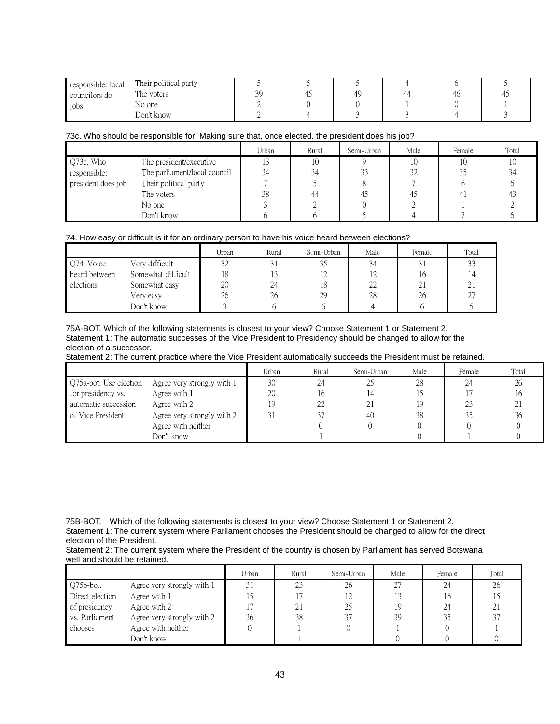| responsible: local | Their political party |           |    |    |    |  |
|--------------------|-----------------------|-----------|----|----|----|--|
| councilors do      | The voters            | 30<br>ر ر | 49 | 44 | Дr |  |
| jobs               | No one                | ∸         |    |    |    |  |
|                    | Don't know            |           |    |    |    |  |

# 73c. Who should be responsible for: Making sure that, once elected, the president does his job?

|                    |                              | Urban | Rural | Semi-Urban | Male | Female | Total |
|--------------------|------------------------------|-------|-------|------------|------|--------|-------|
| Q73c. Who          | The president/executive      |       |       |            | 10   | 10     |       |
| responsible:       | The parliament/local council | 34    | 34    | 33         | 32   |        |       |
| president does job | Their political party        |       |       |            |      |        |       |
|                    | The voters                   | 38    | 44    |            |      |        |       |
|                    | No one                       |       |       |            |      |        |       |
|                    | Don't know                   |       |       |            |      |        |       |

# 74. How easy or difficult is it for an ordinary person to have his voice heard between elections?

|               |                    | Urban | Rural | Semi-Urban | Male | Female | Total          |
|---------------|--------------------|-------|-------|------------|------|--------|----------------|
| Q74. Voice    | Very difficult     | 32    |       | ں ر        | 34   |        | $\Omega$<br>32 |
| heard between | Somewhat difficult | 18    | 13    |            |      | 16     |                |
| elections     | Somewhat easy      | 20    | 24    | 18         | 22   | 21     | ∠⊥             |
|               | Very easy          | 26    | 26    | 29         | 28   | 26     | -27            |
|               | Don't know         |       |       |            |      |        |                |

75A-BOT. Which of the following statements is closest to your view? Choose Statement 1 or Statement 2. Statement 1: The automatic successes of the Vice President to Presidency should be changed to allow for the election of a successor.

Statement 2: The current practice where the Vice President automatically succeeds the President must be retained.

|                        |                            | Urban | Rural | Semi-Urban | Male | Female | Total |
|------------------------|----------------------------|-------|-------|------------|------|--------|-------|
| Q75a-bot. Use election | Agree very strongly with 1 | 30    | 24    | 25         | 28   |        | 26    |
| for presidency vs.     | Agree with 1               | 20    | l6    | 14         |      |        | 16    |
| automatic succession   | Agree with 2               | 19    | 22    | 21         |      |        | 21    |
| of Vice President      | Agree very strongly with 2 | 31    |       | 40         | 38   |        | 36    |
|                        | Agree with neither         |       |       |            |      |        |       |
|                        | Don't know                 |       |       |            |      |        |       |

75B-BOT. Which of the following statements is closest to your view? Choose Statement 1 or Statement 2. Statement 1: The current system where Parliament chooses the President should be changed to allow for the direct election of the President.

Statement 2: The current system where the President of the country is chosen by Parliament has served Botswana well and should be retained.

|                 |                            | Urban | Rural | Semi-Urban | Male | Female | Total |
|-----------------|----------------------------|-------|-------|------------|------|--------|-------|
| Q75b-bot.       | Agree very strongly with 1 | 31    | 23    | 26         |      | 24     | 26    |
| Direct election | Agree with 1               |       |       | 12         |      | Ιb     |       |
| of presidency   | Agree with 2               |       | 21    | 25         | 19   | 24     | 21    |
| vs. Parliament  | Agree very strongly with 2 | 36    | 38    | 37         | 39   | 35     |       |
| chooses         | Agree with neither         |       |       |            |      |        |       |
|                 | Don't know                 |       |       |            |      |        |       |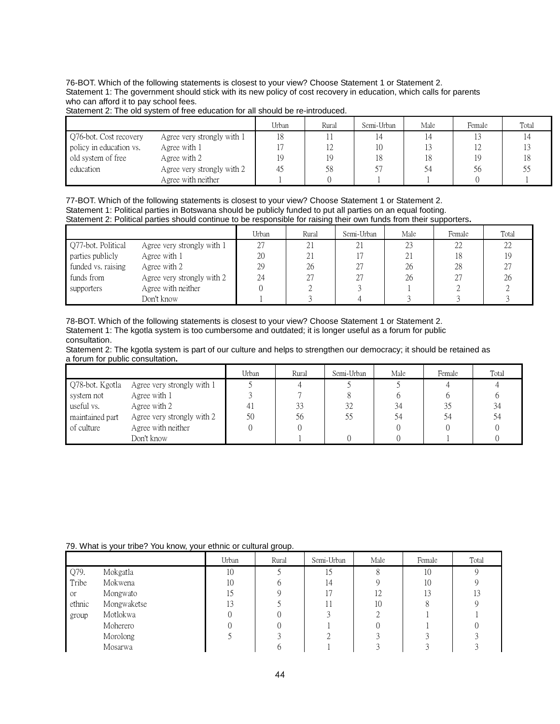76-BOT. Which of the following statements is closest to your view? Choose Statement 1 or Statement 2. Statement 1: The government should stick with its new policy of cost recovery in education, which calls for parents who can afford it to pay school fees.

|  | Statement 2: The old system of free education for all should be re-introduced. |
|--|--------------------------------------------------------------------------------|

|                         |                            | Urban | Rural | Semi-Urban | Male | Female | Total |
|-------------------------|----------------------------|-------|-------|------------|------|--------|-------|
| Q76-bot. Cost recovery  | Agree very strongly with 1 | 18    |       |            |      |        |       |
| policy in education vs. | Agree with 1               |       | 14    | 10         |      |        |       |
| old system of free      | Agree with 2               | 19    |       | 18         | 18   | 19     |       |
| education               | Agree very strongly with 2 | 45    | 58    | 57         | 54   | 56     |       |
|                         | Agree with neither         |       |       |            |      |        |       |

77-BOT. Which of the following statements is closest to your view? Choose Statement 1 or Statement 2. Statement 1: Political parties in Botswana should be publicly funded to put all parties on an equal footing. Statement 2: Political parties should continue to be responsible for raising their own funds from their supporters**.** 

|                    |                            | Urban | Rural | Semi-Urban | Male | Female | Total |
|--------------------|----------------------------|-------|-------|------------|------|--------|-------|
| Q77-bot. Political | Agree very strongly with 1 |       |       |            | 23   | 22     | 22    |
| parties publicly   | Agree with 1               | 20    |       |            | 21   | 18     | 19    |
| funded vs. raising | Agree with 2               | 29    | 26    | רר         | 26   | 28     | 27    |
| funds from         | Agree very strongly with 2 | 24    |       |            | 26   | 27     | 26    |
| supporters         | Agree with neither         |       |       |            |      |        |       |
|                    | Don't know                 |       |       |            |      |        |       |

78-BOT. Which of the following statements is closest to your view? Choose Statement 1 or Statement 2. Statement 1: The kgotla system is too cumbersome and outdated; it is longer useful as a forum for public consultation.

Statement 2: The kgotla system is part of our culture and helps to strengthen our democracy; it should be retained as a forum for public consultation**.**

|                 |                            | Urban | Rural | Semi-Urban | Male | Female | Total |
|-----------------|----------------------------|-------|-------|------------|------|--------|-------|
| Q78-bot. Kgotla | Agree very strongly with 1 |       |       |            |      |        |       |
| system not      | Agree with 1               |       |       |            |      |        |       |
| useful vs.      | Agree with 2               | 41    | 33    | 32         | 34   |        |       |
| maintained part | Agree very strongly with 2 | 50    | 56    |            | 54   |        |       |
| of culture      | Agree with neither         |       |       |            |      |        |       |
|                 | Don't know                 |       |       |            |      |        |       |

#### 79. What is your tribe? You know, your ethnic or cultural group.

|               |             | Urban | Rural | Semi-Urban     | Male | Female | Total |
|---------------|-------------|-------|-------|----------------|------|--------|-------|
| Q79.          | Mokgatla    | 10    |       |                |      | 10     |       |
| Tribe         | Mokwena     | 10    |       | 14             |      | 10     |       |
| <sub>or</sub> | Mongwato    | 15    |       | $\overline{ }$ | 12   | 13     |       |
| ethnic        | Mongwaketse | 13    |       |                | 10   |        |       |
| group         | Motlokwa    |       |       |                |      |        |       |
|               | Moherero    |       |       |                |      |        |       |
|               | Morolong    |       |       |                |      |        |       |
|               | Mosarwa     |       |       |                |      |        |       |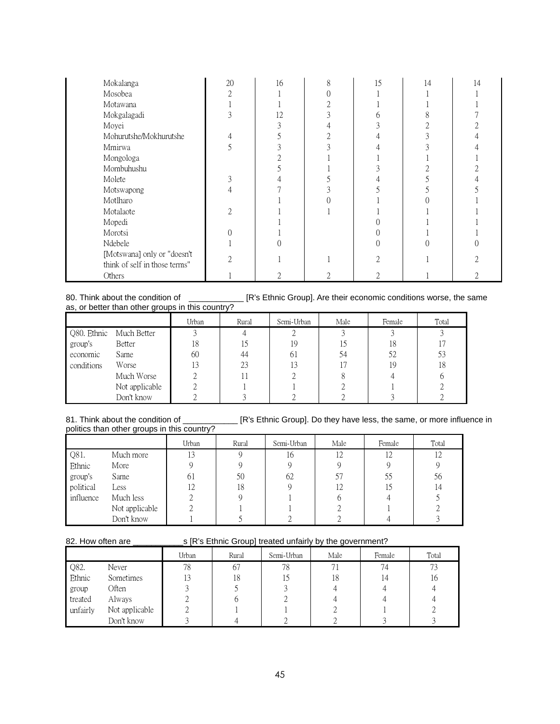| Mokalanga                                                    | 20 | 16 | 15 | 14 | 14 |
|--------------------------------------------------------------|----|----|----|----|----|
| Mosobea                                                      | ◠  |    |    |    |    |
| Motawana                                                     |    |    |    |    |    |
| Mokgalagadi                                                  |    | 12 |    |    |    |
| Moyei                                                        |    |    |    |    |    |
| Mohurutshe/Mokhurutshe                                       |    |    |    |    |    |
| Mmirwa                                                       |    |    |    |    |    |
| Mongologa                                                    |    |    |    |    |    |
| Mombuhushu                                                   |    |    |    |    |    |
| Molete                                                       |    |    |    |    |    |
| Motswapong                                                   |    |    |    |    |    |
| Motlharo                                                     |    |    |    |    |    |
| Motalaote                                                    |    |    |    |    |    |
| Mopedi                                                       |    |    |    |    |    |
| Morotsi                                                      |    |    |    |    |    |
| Ndebele                                                      |    |    |    |    |    |
| [Motswana] only or "doesn't<br>think of self in those terms" |    |    |    |    |    |
| Others                                                       |    |    |    |    |    |

#### 80. Think about the condition of \_\_\_\_\_\_\_\_\_\_\_\_ [R's Ethnic Group]. Are their economic conditions worse, the same as, or better than other groups in this country?

|            |                         | Urban | Rural | Semi-Urban | Male | Female | Total |
|------------|-------------------------|-------|-------|------------|------|--------|-------|
|            | Q80. Ethnic Much Better |       |       |            |      |        |       |
| group's    | Better                  | 18    |       | 19         |      | 18     |       |
| economic   | Same                    | 60    | 44    | 61         | 54   | 52     | 53    |
| conditions | Worse                   | 13    | 23    | 13         |      | 19     | 18    |
|            | Much Worse              |       |       |            |      |        |       |
|            | Not applicable          |       |       |            |      |        |       |
|            | Don't know              |       |       |            |      |        |       |

# politics than other groups in this country?

81. Think about the condition of \_\_\_\_\_\_\_\_\_\_\_\_ [R's Ethnic Group]. Do they have less, the same, or more influence in

|           |                | Urban | Rural | Semi-Urban | Male | Female | Total |
|-----------|----------------|-------|-------|------------|------|--------|-------|
| Q81.      | Much more      |       |       | 16         | 12   | 12     | 12    |
| Ethnic    | More           |       |       |            |      |        |       |
| group's   | Same           | 61    | 50    | 62         |      |        | 56    |
| political | Less           | 12    | 18    |            |      |        | 14    |
| influence | Much less      |       |       |            |      |        |       |
|           | Not applicable |       |       |            |      |        |       |
|           | Don't know     |       |       |            |      |        |       |

# 82. How often are \_\_\_\_\_\_\_\_\_\_\_s [R's Ethnic Group] treated unfairly by the government?

|          |                | Urban | Rural | Semi-Urban | Male | Female | Total |
|----------|----------------|-------|-------|------------|------|--------|-------|
| Q82.     | Never          | 78    | 67    | 78         |      | 74     | 73    |
| Ethnic   | Sometimes      | 13    | 18    | 15         | 18   | 14     | 10    |
| group    | Often          |       |       |            |      |        |       |
| treated  | Always         |       |       |            |      |        |       |
| unfairly | Not applicable |       |       |            |      |        |       |
|          | Don't know     |       |       |            |      |        |       |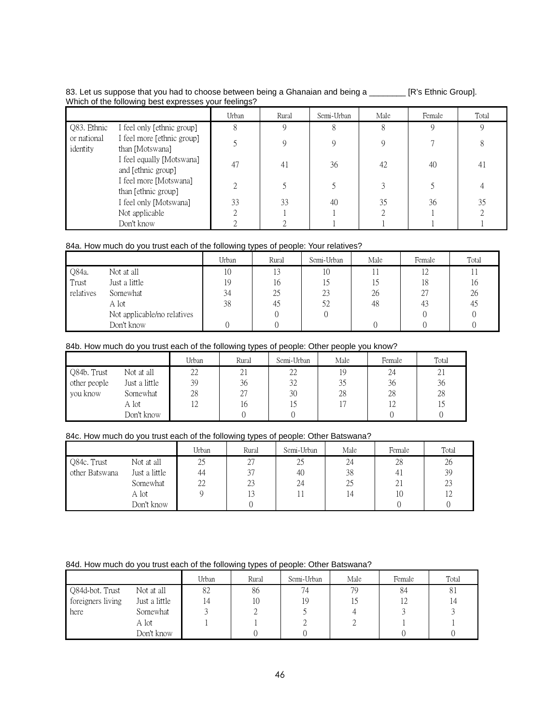# 83. Let us suppose that you had to choose between being a Ghanaian and being a \_\_\_\_\_\_\_\_ [R's Ethnic Group]. Which of the following best expresses your feelings?

|                         |                                                 | Urban | Rural | Semi-Urban | Male | Female | Total |
|-------------------------|-------------------------------------------------|-------|-------|------------|------|--------|-------|
| Q83. Ethnic             | I feel only [ethnic group]                      |       |       |            |      | 9      | Q     |
| or national<br>identity | I feel more [ethnic group]<br>than [Motswana]   |       |       |            |      |        |       |
|                         | I feel equally [Motswana]<br>and [ethnic group] | 47    | 41    | 36         | 42   | 40     | 41    |
|                         | I feel more [Motswana]<br>than [ethnic group]   | ◠     |       |            |      |        |       |
|                         | I feel only [Motswana]                          | 33    | 33    | 40         | 35   | 36     | 35    |
|                         | Not applicable                                  |       |       |            |      |        |       |
|                         | Don't know                                      |       |       |            |      |        |       |

# 84a. How much do you trust each of the following types of people: Your relatives?

|           |                             | Urban | Rural | Semi-Urban | Male | Female | Total |
|-----------|-----------------------------|-------|-------|------------|------|--------|-------|
| Q84a.     | Not at all                  | 10    | 13    | 10         |      | 0 ו    |       |
| Trust     | Just a little               | 19    | 16    |            | د،   | 18     | 16    |
| relatives | Somewhat                    | 34    | 25    | 23         | 26   |        | 26    |
|           | A lot                       | 38    | 45    | 52         | 48   | 43     | 45    |
|           | Not applicable/no relatives |       |       |            |      |        |       |
|           | Don't know                  |       |       |            |      |        |       |

# 84b. How much do you trust each of the following types of people: Other people you know?

|              |               | Urban | Rural | Semi-Urban | Male | Female | Total |
|--------------|---------------|-------|-------|------------|------|--------|-------|
| Q84b. Trust  | Not at all    | 22    | 21    | 22         | 19   | 24     | 21    |
| other people | Just a little | 39    | 36    | 32         | 35   | 36     | 36    |
| you know     | Somewhat      | 28    |       | 30         | 28   | 28     | 28    |
|              | A lot         |       | 16    |            |      |        |       |
|              | Don't know    |       |       |            |      |        |       |

# 84c. How much do you trust each of the following types of people: Other Batswana?

|                |               | Urban | Rural | Semi-Urban | Male | Female | Total |
|----------------|---------------|-------|-------|------------|------|--------|-------|
| Q84c. Trust    | Not at all    | 25    | 27    | 25         | 24   | 28     | 26    |
| other Batswana | Just a little | 44    | 37    | 40         | 38   | 41     | 39    |
|                | Somewhat      | 22    | 23    | 24         | 25   | 21     | 23    |
|                | A lot         |       | 13    |            | 14   | 10     |       |
|                | Don't know    |       |       |            |      |        |       |

# 84d. How much do you trust each of the following types of people: Other Batswana?

|                   |               | Urban | Rural | Semi-Urban | Male | Female | Total |
|-------------------|---------------|-------|-------|------------|------|--------|-------|
| Q84d-bot. Trust   | Not at all    | 82    | 86    | 74         | 79   | 84     | 81    |
| foreigners living | Just a little |       | 10    | 19         |      |        | 14    |
| here              | Somewhat      |       |       |            |      |        |       |
|                   | A lot         |       |       |            |      |        |       |
|                   | Don't know    |       |       |            |      |        |       |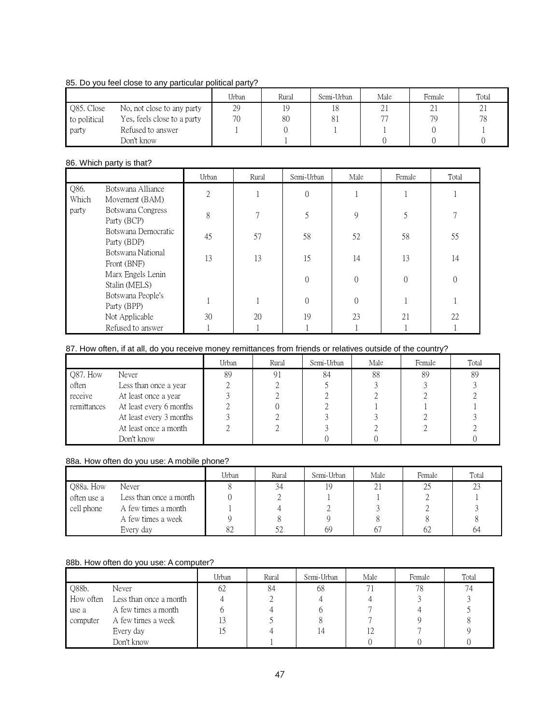# 85. Do you feel close to any particular political party?

|              |                             | Urban | Rural | Semi-Urban | Male         | Female | Total |
|--------------|-----------------------------|-------|-------|------------|--------------|--------|-------|
| Q85. Close   | No, not close to any party  | 29    |       |            | $^{\circ}$ 1 | 21     | ∠⊥    |
| to political | Yes, feels close to a party | 70    | 80    | 81         |              | 79     | 78    |
| party        | Refused to answer           |       |       |            |              |        |       |
|              | Don't know                  |       |       |            |              |        |       |

# 86. Which party is that?

|               |                                     | Urban          | Rural          | Semi-Urban | Male     | Female   | Total    |
|---------------|-------------------------------------|----------------|----------------|------------|----------|----------|----------|
| Q86.<br>Which | Botswana Alliance<br>Movement (BAM) | $\overline{2}$ |                | $\Omega$   |          |          |          |
| party         | Botswana Congress<br>Party (BCP)    | 8              | $\overline{ }$ |            | 9        |          |          |
|               | Botswana Democratic<br>Party (BDP)  | 45             | 57             | 58         | 52       | 58       | 55       |
|               | Botswana National<br>Front (BNF)    | 13             | 13             | 15         | 14       | 13       | 14       |
|               | Marx Engels Lenin<br>Stalin (MELS)  |                |                | $\Omega$   | $\theta$ | $\Omega$ | $\Omega$ |
|               | Botswana People's<br>Party (BPP)    |                |                | $\Omega$   | $\Omega$ |          |          |
|               | Not Applicable                      | 30             | 20             | 19         | 23       | 21       | 22       |
|               | Refused to answer                   |                |                |            |          |          |          |

# 87. How often, if at all, do you receive money remittances from friends or relatives outside of the country?

|             |                         | Urban | Rural | Semi-Urban | Male | Female | Total |
|-------------|-------------------------|-------|-------|------------|------|--------|-------|
| Q87. How    | Never                   | 89    | 91    | 84         | 88   | 89     | 89    |
| often       | Less than once a year   |       |       |            |      |        |       |
| receive     | At least once a year    |       |       |            |      |        |       |
| remittances | At least every 6 months |       |       |            |      |        |       |
|             | At least every 3 months |       |       |            |      |        |       |
|             | At least once a month   |       |       |            |      |        |       |
|             | Don't know              |       |       |            |      |        |       |

# 88a. How often do you use: A mobile phone?

|             |                        | Urban | Rural | Semi-Urban | Male | Female | Total |
|-------------|------------------------|-------|-------|------------|------|--------|-------|
| Q88a. How   | Never                  |       | 34    |            | 21   |        | 23    |
| often use a | Less than once a month |       |       |            |      |        |       |
| cell phone  | A few times a month    |       |       |            |      |        |       |
|             | A few times a week     |       |       |            |      |        |       |
|             | Every day              | 82    |       | 69         |      | 62     | 64    |

# 88b. How often do you use: A computer?

|           |                        | Urban | Rural | Semi-Urban | Male | Female | Total |
|-----------|------------------------|-------|-------|------------|------|--------|-------|
| Q88b.     | Never                  | 62    | 84    | 68         |      | 78     |       |
| How often | Less than once a month |       |       |            |      |        |       |
| use a     | A few times a month    |       |       |            |      |        |       |
| computer  | A few times a week     |       |       |            |      |        |       |
|           | Every day              |       |       |            |      |        |       |
|           | Don't know             |       |       |            |      |        |       |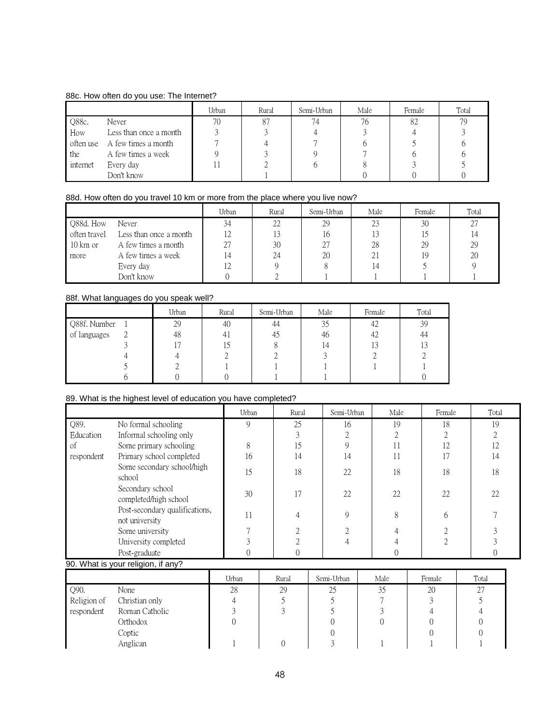# 88c. How often do you use: The Internet?

|          |                               | Urban | Rural | Semi-Urban | Male | Female | Total |
|----------|-------------------------------|-------|-------|------------|------|--------|-------|
| Q88c.    | Never                         | 70    | 87    | 74         | 76   | 82     | 79    |
| How      | Less than once a month        |       |       |            |      |        |       |
|          | often use A few times a month |       |       |            |      |        |       |
| the      | A few times a week            |       |       |            |      |        |       |
| internet | Every day                     |       |       |            |      |        |       |
|          | Don't know                    |       |       |            |      |        |       |

# 88d. How often do you travel 10 km or more from the place where you live now?

|                     |                        | Urban | Rural | Semi-Urban | Male | Female | Total |
|---------------------|------------------------|-------|-------|------------|------|--------|-------|
| Q88d. How           | Never                  | 34    | 22    | 29         | 23   | 30     | 27    |
| often travel        | Less than once a month | 12    |       | 16         |      |        |       |
| $10 \mathrm{km}$ or | A few times a month    | 27    | 30    |            | 28   | 29     | 29    |
| more                | A few times a week     | 14    | 24    | 20         | 21   | 19     | 20    |
|                     | Every day              | Z     |       |            | 14   |        |       |
|                     | Don't know             |       |       |            |      |        |       |

# 88f. What languages do you speak well?

|              | Urban | Rural | Semi-Urban | Male      | Female | Total |
|--------------|-------|-------|------------|-----------|--------|-------|
| Q88f. Number | 29    | 40    | 44         | 34<br>ں ر | 42     | 39    |
| of languages | 48    |       | 45         | 46        | 42     | 44    |
|              |       |       |            |           |        |       |
|              |       |       |            |           |        |       |
|              |       |       |            |           |        |       |
|              |       |       |            |           |        |       |

# 89. What is the highest level of education you have completed?

|            |                                                  | Urban | Rural | Semi-Urban | Male | Female       | Total |
|------------|--------------------------------------------------|-------|-------|------------|------|--------------|-------|
| Q89.       | No formal schooling                              | 9     | 25    | 16         | 19   | 18           | 19    |
| Education  | Informal schooling only                          |       |       | ◠          |      |              |       |
| οf         | Some primary schooling                           | χ.    | 15    | 9          | 11   | 12           | 12    |
| respondent | Primary school completed                         | 16    | 14    | 14         | 11   |              | 14    |
|            | Some secondary school/high<br>school             | 15    | 18    | 22         | 18   | 18           | 18    |
|            | Secondary school<br>completed/high school        | 30    | īΤ    | 22         | 22   | 22           | 22    |
|            | Post-secondary qualifications,<br>not university |       |       | 9          | 8    | <sub>b</sub> |       |
|            | Some university                                  |       |       |            |      |              |       |
|            | University completed                             |       |       |            |      |              |       |
|            | Post-graduate                                    |       |       |            |      |              |       |

# 90. What is your religion, if any?

|             |                | Urban | Rural | Semi-Urban | Male | Female | Total |
|-------------|----------------|-------|-------|------------|------|--------|-------|
| Q90.        | None           | 28    | 29    | 25         | 35   | 20     | 27    |
| Religion of | Christian only |       |       |            |      |        |       |
| respondent  | Roman Catholic |       |       |            |      |        |       |
|             | Orthodox       |       |       |            |      |        |       |
|             | Coptic         |       |       |            |      |        |       |
|             | Anglican       |       |       |            |      |        |       |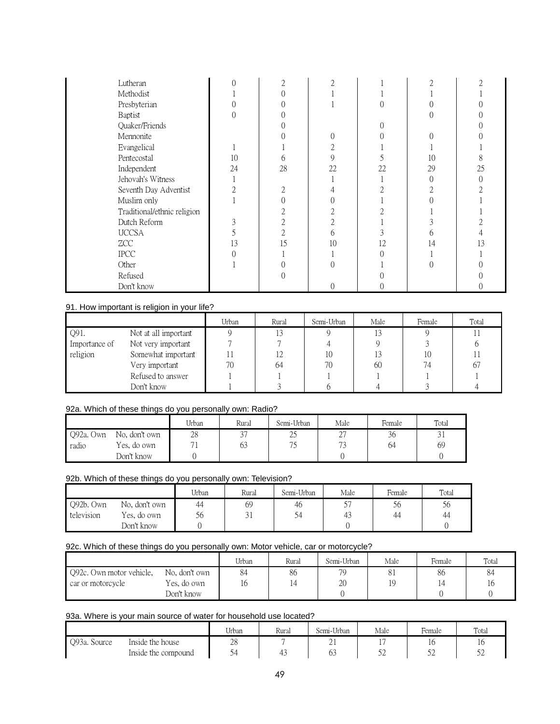| Lutheran                    |    | 2  | ◠  |    | $\bigcap$ |    |
|-----------------------------|----|----|----|----|-----------|----|
| Methodist                   |    |    |    |    |           |    |
| Presbyterian                |    |    |    |    |           |    |
| Baptist                     |    |    |    |    |           |    |
| Quaker/Friends              |    |    |    |    |           |    |
| Mennonite                   |    |    |    |    |           |    |
| Evangelical                 |    |    | ∩  |    |           |    |
| Pentecostal                 | 10 | h  | 9  |    | 10        |    |
| Independent                 | 24 | 28 | 22 | 22 | 29        | 25 |
| Jehovah's Witness           |    |    |    |    | 0         |    |
| Seventh Day Adventist       |    |    |    |    |           |    |
| Muslim only                 |    |    |    |    |           |    |
| Traditional/ethnic religion |    |    |    |    |           |    |
| Dutch Reform                | 3  |    |    |    |           |    |
| <b>UCCSA</b>                |    |    | h  | ↑  | h         |    |
| ZCC                         | 13 | 15 | 10 | 12 | 14        | 3  |
| <b>IPCC</b>                 |    |    |    |    |           |    |
| Other                       |    |    |    |    |           |    |
| Refused                     |    |    |    |    |           |    |
| Don't know                  |    |    |    |    |           |    |

# 91. How important is religion in your life?

|               |                      | Urban | Rural | Semi-Urban | Male | Female | Total |
|---------------|----------------------|-------|-------|------------|------|--------|-------|
| Q91.          | Not at all important |       |       |            |      |        |       |
| Importance of | Not very important   |       |       |            |      |        |       |
| religion      | Somewhat important   |       | 12    | 10         |      | 10     |       |
|               | Very important       | 70    | 64    | 70         | 60   | 74     | 67    |
|               | Refused to answer    |       |       |            |      |        |       |
|               | Don't know           |       |       |            |      |        |       |

# 92a. Which of these things do you personally own: Radio?

|           |               | Urban | Rural | Semi-Urban | Male         | Female       | Total            |
|-----------|---------------|-------|-------|------------|--------------|--------------|------------------|
| Q92a. Own | No, don't own | 28    |       | ገና<br>سک   | $\sim$<br>∠. | $\sim$<br>36 | $\bigcap$<br>۰۰, |
| radio     | Yes, do own   | 71    | ხა    | 75         | $\sqrt{2}$   |              | 69               |
|           | Don't know    |       |       |            |              |              |                  |

# 92b. Which of these things do you personally own: Television?

|            |               | Urban | Rural | Semi-Urban | Male | Female | Total |
|------------|---------------|-------|-------|------------|------|--------|-------|
| Q92b. Own  | No, don't own | 44    | 69    | 46         | гm   | СC     | 56    |
| television | Yes, do own   | 56    | ັ     |            | 41   | ΔД     | 44    |
|            | Don't know    |       |       |            |      |        |       |

# 92c. Which of these things do you personally own: Motor vehicle, car or motorcycle?

|                          |                           | Urban | Rural          | Semi-Urban | Male | Female | Total |
|--------------------------|---------------------------|-------|----------------|------------|------|--------|-------|
| Q92c. Own motor vehicle, | No. don't own             | 84    | 86             | 70         |      | 86     | 84    |
| car or motorcycle        | Yes, do own<br>Don't know |       | $\overline{4}$ | 20         | 19   | 14     | 16    |

# 93a. Where is your main source of water for household use located?

|              |                     | Urban | Rural | Semi-Urban | Male | Female   | Total    |
|--------------|---------------------|-------|-------|------------|------|----------|----------|
| Q93a. Source | Inside the house    | 28    |       | ∠⊥         |      | 10       | ΙO       |
|              | Inside the compound | ٣     | . .   | UJ         | ےر   | ہم<br>ےر | σ٥<br>ےر |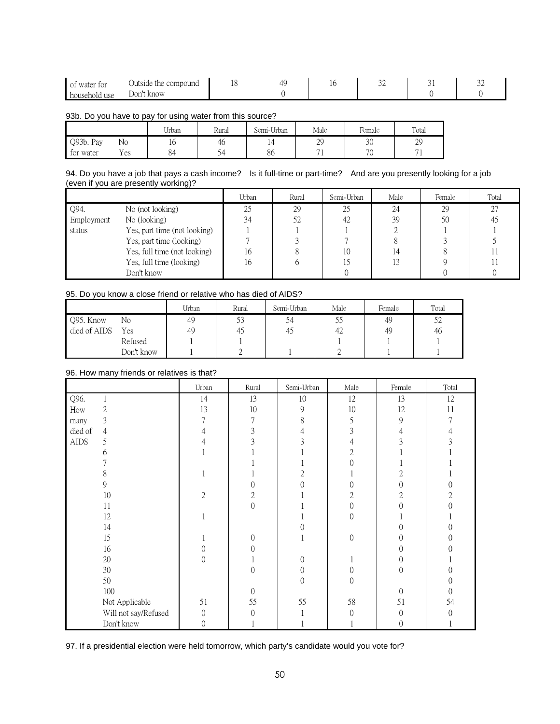| of water for     | Outside the compound |  | ◡ |  |
|------------------|----------------------|--|---|--|
| household<br>use | Don't know           |  |   |  |

#### 93b. Do you have to pay for using water from this source?

|           |     | Urban | Rural                    | Semi-Urban | Male                     | Female         | Total           |
|-----------|-----|-------|--------------------------|------------|--------------------------|----------------|-----------------|
| Q93b. Pay | No  | 10    | 46                       | 4          | 29                       | 30             | 29              |
| tor water | Yes | 84    | $\overline{\phantom{0}}$ | 86         | $\overline{\phantom{a}}$ | 7 <sup>c</sup> | $\mathbf{\tau}$ |

# 94. Do you have a job that pays a cash income? Is it full-time or part-time? And are you presently looking for a job (even if you are presently working)?

|            |                              | Urban | Rural | Semi-Urban | Male | Female | Total |
|------------|------------------------------|-------|-------|------------|------|--------|-------|
| Q94.       | No (not looking)             | 25    | 29    | 25         | 24   | 29     | 27    |
| Employment | No (looking)                 | 34    | 52    | 42         | 39   | 50     | 45    |
| status     | Yes, part time (not looking) |       |       |            |      |        |       |
|            | Yes, part time (looking)     |       |       |            |      |        |       |
|            | Yes, full time (not looking) | 16    |       | 10         | 14   |        |       |
|            | Yes, full time (looking)     | 16    |       | L5         | 13   |        |       |
|            | Don't know                   |       |       |            |      |        |       |

# 95. Do you know a close friend or relative who has died of AIDS?

|              |            | Urban | Rural | Semi-Urban | Male | Female | Total |
|--------------|------------|-------|-------|------------|------|--------|-------|
| Q95. Know    | No         | 49    | ں ر   | 54         | ں ر  | 49     | 52    |
| died of AIDS | Yes        | 49    | 40    | 43         | 42   | 49     | 46    |
|              | Refused    |       |       |            |      |        |       |
|              | Don't know |       |       |            |      |        |       |

# 96. How many friends or relatives is that?

|             |                      | Urban          | Rural    | Semi-Urban | Male     | Female           | Total            |
|-------------|----------------------|----------------|----------|------------|----------|------------------|------------------|
| Q96.        |                      | 14             | 13       | $10\,$     | 12       | 13               | 12               |
| How         | $\mathbf{2}$         | 13             | 10       | 9          | 10       | 12               | 11               |
| many        | 3                    | 7              | 7        | 8          | 5        | 9                |                  |
| died of     | $\overline{4}$       | 4              | 3        |            | 3        |                  |                  |
| <b>AIDS</b> | 5                    |                |          |            |          |                  |                  |
|             | 6                    |                |          |            | 2        |                  |                  |
|             |                      |                |          |            |          |                  |                  |
|             | 8                    |                |          |            |          |                  |                  |
|             | 9                    |                |          |            | 0        |                  |                  |
|             | 10                   | $\overline{2}$ | 2        |            | 2        |                  |                  |
|             | 11                   |                | $\Omega$ |            | 0        |                  |                  |
|             | 12                   |                |          |            | $\Omega$ |                  |                  |
|             | 14                   |                |          |            |          |                  |                  |
|             | 15                   |                | $\Omega$ |            | $\theta$ |                  |                  |
|             | 16                   | 0              | 0        |            |          | $\left( \right)$ |                  |
|             | 20                   | $\Omega$       |          | $\Omega$   |          | $\left( \right)$ |                  |
|             | 30                   |                | $\Omega$ | $\Omega$   | 0        | $\Omega$         |                  |
|             | 50                   |                |          | $\Omega$   | $\Omega$ |                  |                  |
|             | 100                  |                | $\theta$ |            |          | $\Omega$         | $\left( \right)$ |
|             | Not Applicable       | 51             | 55       | 55         | 58       | 51               | 54               |
|             | Will not say/Refused | $\theta$       | $\theta$ |            | $\theta$ | $\theta$         | 0                |
|             | Don't know           | $\theta$       |          |            |          | $\theta$         |                  |

# 97. If a presidential election were held tomorrow, which party's candidate would you vote for?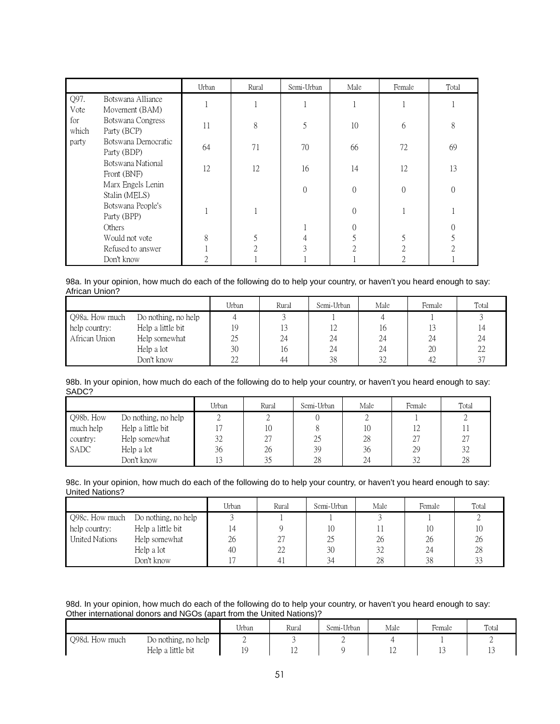|              |                                     | Urban | Rural                                                                                                                                                                                                                                                                                                                                                                                                  | Semi-Urban | Male           | Female   | Total    |
|--------------|-------------------------------------|-------|--------------------------------------------------------------------------------------------------------------------------------------------------------------------------------------------------------------------------------------------------------------------------------------------------------------------------------------------------------------------------------------------------------|------------|----------------|----------|----------|
| Q97.<br>Vote | Botswana Alliance<br>Movement (BAM) |       |                                                                                                                                                                                                                                                                                                                                                                                                        |            |                |          |          |
| for<br>which | Botswana Congress<br>Party (BCP)    | 11    | 8                                                                                                                                                                                                                                                                                                                                                                                                      | 5          | 10             | 6        | 8        |
| party        | Botswana Democratic<br>Party (BDP)  | 64    | 71                                                                                                                                                                                                                                                                                                                                                                                                     | 70         | 66             | 72       | 69       |
|              | Botswana National<br>Front (BNF)    | 12    | 12                                                                                                                                                                                                                                                                                                                                                                                                     | 16         | 14             | 12       | 13       |
|              | Marx Engels Lenin<br>Stalin (MELS)  |       |                                                                                                                                                                                                                                                                                                                                                                                                        | $\Omega$   | $\theta$       | $\Omega$ | $\Omega$ |
|              | Botswana People's<br>Party (BPP)    |       |                                                                                                                                                                                                                                                                                                                                                                                                        |            | $\Omega$       |          |          |
|              | <b>Others</b>                       |       |                                                                                                                                                                                                                                                                                                                                                                                                        |            | $\Omega$       |          |          |
|              | Would not vote                      | 8     | 5                                                                                                                                                                                                                                                                                                                                                                                                      | 4          |                |          |          |
|              | Refused to answer                   |       | $\mathfrak{D}_{1}^{(1)}=\mathfrak{D}_{2}^{(2)}=\mathfrak{D}_{2}^{(1)}=\mathfrak{D}_{2}^{(1)}=\mathfrak{D}_{2}^{(1)}=\mathfrak{D}_{2}^{(1)}=\mathfrak{D}_{2}^{(1)}=\mathfrak{D}_{2}^{(1)}=\mathfrak{D}_{2}^{(1)}=\mathfrak{D}_{2}^{(1)}=\mathfrak{D}_{2}^{(1)}=\mathfrak{D}_{2}^{(1)}=\mathfrak{D}_{2}^{(1)}=\mathfrak{D}_{2}^{(1)}=\mathfrak{D}_{2}^{(1)}=\mathfrak{D}_{2}^{(1)}=\mathfrak{D}_{2}^{(1$ | $\bigcap$  | $\mathfrak{D}$ | ↑        | C        |
|              | Don't know                          |       |                                                                                                                                                                                                                                                                                                                                                                                                        |            |                |          |          |

98a. In your opinion, how much do each of the following do to help your country, or haven't you heard enough to say: African Union?

|                |                     | Urban          | Rural | Semi-Urban | Male | Female | Total  |
|----------------|---------------------|----------------|-------|------------|------|--------|--------|
| Q98a. How much | Do nothing, no help |                |       |            |      |        |        |
| help country:  | Help a little bit   |                |       | 12         | 16   |        |        |
| African Union  | Help somewhat       | 25             | 24    | 24         | 24   | 24     | 24     |
|                | Help a lot          | 30             | 16    | 24         | 24   | 20     | 22     |
|                | Don't know          | $\gamma$<br>LL | 44    | 38         | 32   | 42     | $\cap$ |

98b. In your opinion, how much do each of the following do to help your country, or haven't you heard enough to say: SADC?

|           |                     | Urban | Rural | Semi-Urban | Male | Female | Total |
|-----------|---------------------|-------|-------|------------|------|--------|-------|
| Q98b. How | Do nothing, no help |       |       |            |      |        |       |
| much help | Help a little bit   |       | 10    |            | 10   |        |       |
| country:  | Help somewhat       | 32    | 27    | 25         | 28   | 27     | 27    |
| SADC      | Help a lot          | 36    | 26    | 39         | 36   | 29     | 32    |
|           | Don't know          |       |       | 28         | 24   | 32     | 28    |

98c. In your opinion, how much do each of the following do to help your country, or haven't you heard enough to say: United Nations?

|                |                     | Urban | Rural | Semi-Urban | Male | Female | Total |
|----------------|---------------------|-------|-------|------------|------|--------|-------|
| Q98c. How much | Do nothing, no help |       |       |            |      |        |       |
| help country:  | Help a little bit   | 14    |       | 10         |      | 10     | 10    |
| United Nations | Help somewhat       | 26    | 27    | 25         | 26   | 26     | 26    |
|                | Help a lot          | 40    | 22    | 30         | 32   | 24     | 28    |
|                | Don't know          |       |       | 34         | 28   | 38     | 33    |

98d. In your opinion, how much do each of the following do to help your country, or haven't you heard enough to say: Other international donors and NGOs (apart from the United Nations)?

|                |                     | $+ + +$<br>Jrban | Rural       | Semi-Urban | Male | Female         | Total  |
|----------------|---------------------|------------------|-------------|------------|------|----------------|--------|
| Q98d. How much | Do nothing, no help |                  |             | ∸          |      |                | -      |
|                | Help a little bit   |                  | $\sim$<br>ᅩ |            | ᅩ    | $\overline{ }$ | $\sim$ |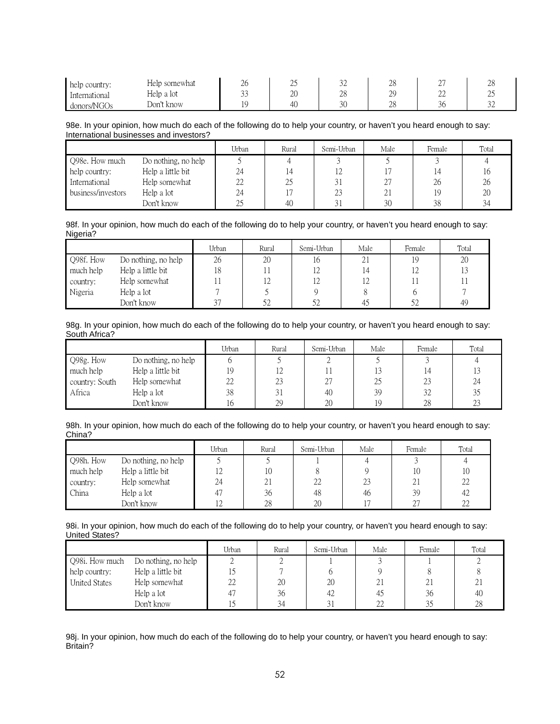| help country: | Help somewhat | $\sim$<br>∠∪ | سد | $\sim$<br>ے ب    | ററ<br>20                     | $\sim$<br>∼  | ററ<br>∠∪     |
|---------------|---------------|--------------|----|------------------|------------------------------|--------------|--------------|
| International | Help a lot    | $\sim$<br>-- | 20 | nο<br>$\angle$ 0 | $\gamma$ <sup>O</sup><br>ر ر | $\sim$<br>∠∠ | $\sim$<br>سد |
| donors/NGOs   | Dor'<br>know  |              | 40 | 20<br>υU         | $\cap$<br>$\angle$ 0         | n.<br>υU     | $\sim$<br>-  |

#### 98e. In your opinion, how much do each of the following do to help your country, or haven't you heard enough to say: International businesses and investors?

|                    |                     | Urban | Rural | Semi-Urban | Male | Female | Total |
|--------------------|---------------------|-------|-------|------------|------|--------|-------|
| Q98e. How much     | Do nothing, no help |       |       |            |      |        |       |
| help country:      | Help a little bit   | 24    |       | 12         |      |        |       |
| International      | Help somewhat       | 22    | 25    |            | 27   | 26     | 26    |
| business/investors | Help a lot          | 24    |       | 23         | 21   | 19     | 20    |
|                    | Don't know          |       | 40    |            | 30   | 38     | 34    |

#### 98f. In your opinion, how much do each of the following do to help your country, or haven't you heard enough to say: Nigeria?

|           |                     | Urban  | Rural      | Semi-Urban | Male | Female | Total |
|-----------|---------------------|--------|------------|------------|------|--------|-------|
| Q98f. How | Do nothing, no help | 26     | 20         | 16         |      | 19     | 20    |
| much help | Help a little bit   | 18     |            |            |      |        |       |
| country:  | Help somewhat       |        | $1 \angle$ |            |      |        |       |
| Nigeria   | Help a lot          |        |            |            |      |        |       |
|           | Don't know          | $\cap$ | 57         | 52         |      |        | 49    |

# 98g. In your opinion, how much do each of the following do to help your country, or haven't you heard enough to say: South Africa?

|                |                     | Urban | Rural | Semi-Urban | Male | Female | Total |
|----------------|---------------------|-------|-------|------------|------|--------|-------|
| Q98g. How      | Do nothing, no help |       |       |            |      |        |       |
| much help      | Help a little bit   | 19    | 12    |            |      | 14     |       |
| country: South | Help somewhat       | 22    | 23    | $\cap$     | 25   | 23     | 24    |
| Africa         | Help a lot          | 38    | 31    | 40         | 39   | 32     | 35    |
|                | Don't know          | l6    | 29    | 20         | 19   | 28     | 23    |

# 98h. In your opinion, how much do each of the following do to help your country, or haven't you heard enough to say: China?

|           |                     | Urban | Rural      | Semi-Urban | Male | Female | Total  |
|-----------|---------------------|-------|------------|------------|------|--------|--------|
| Q98h. How | Do nothing, no help |       |            |            |      |        |        |
| much help | Help a little bit   | 12    | 10         |            |      | 10     |        |
| country:  | Help somewhat       | 24    | $\angle$ 1 | 22         | 23   | 21     | 22     |
| China     | Help a lot          | 47    | 36         | 48         | 46   | 39     | 42     |
|           | Don't know          | 12    | 28         | 20         |      | ገገ     | $\cap$ |

#### 98i. In your opinion, how much do each of the following do to help your country, or haven't you heard enough to say: United States?

|                      |                     | Urban | Rural | Semi-Urban | Male           | Female | Total |
|----------------------|---------------------|-------|-------|------------|----------------|--------|-------|
| Q98i. How much       | Do nothing, no help |       |       |            |                |        |       |
| help country:        | Help a little bit   | 15    |       |            |                |        |       |
| <b>United States</b> | Help somewhat       | 22    | 20    | 20         | $\overline{a}$ | 21     | 21    |
|                      | Help a lot          | 47    | 36    | 42         | 45             | 36     | 40    |
|                      | Don't know          |       | 34    |            |                | 35     | 28    |

98j. In your opinion, how much do each of the following do to help your country, or haven't you heard enough to say: Britain?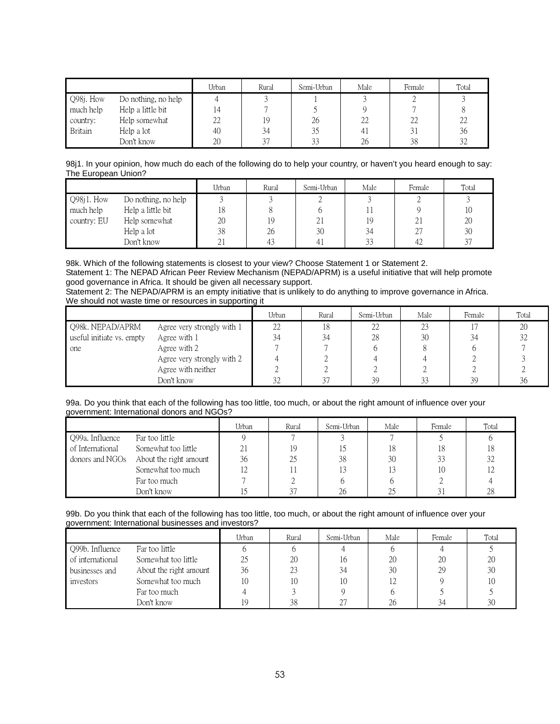|                |                     | Urban | Rural | Semi-Urban | Male           | Female | Total |
|----------------|---------------------|-------|-------|------------|----------------|--------|-------|
| Q98j. How      | Do nothing, no help |       |       |            |                |        |       |
| much help      | Help a little bit   | ,4    |       |            |                |        |       |
| country:       | Help somewhat       | 22    | 19    | 26         | 22             | 22     | 22    |
| <b>Britain</b> | Help a lot          | 40    | 34    | 35         | 4 <sub>1</sub> |        | 36    |
|                | Don't know          | 20    | 27    | 33         | 26             | 38     | 32    |

98j1. In your opinion, how much do each of the following do to help your country, or haven't you heard enough to say: The European Union?

|             |                     | Urban          | Rural | Semi-Urban | Male   | Female  | Total  |
|-------------|---------------------|----------------|-------|------------|--------|---------|--------|
| Q98j1. How  | Do nothing, no help |                |       |            |        |         |        |
| much help   | Help a little bit   | 18             |       |            |        |         |        |
| country: EU | Help somewhat       | 20             | 19    | 21         | 19     | ∠⊥      | 20     |
|             | Help a lot          | 38             | 26    | 30         | 34     | 27<br>∠ | 30     |
|             | Don't know          | $\overline{v}$ | 43    | 4.         | $\sim$ | 42      | $\cap$ |

98k. Which of the following statements is closest to your view? Choose Statement 1 or Statement 2. Statement 1: The NEPAD African Peer Review Mechanism (NEPAD/APRM) is a useful initiative that will help promote good governance in Africa. It should be given all necessary support.

Statement 2: The NEPAD/APRM is an empty initiative that is unlikely to do anything to improve governance in Africa. We should not waste time or resources in supporting it

|                           |                            | Urban | Rural | Semi-Urban | Male | Female | Total |
|---------------------------|----------------------------|-------|-------|------------|------|--------|-------|
| Q98k. NEPAD/APRM          | Agree very strongly with 1 | 22    | 18    | 22         | 23   |        | 20    |
| useful initiate vs. empty | Agree with 1               | 34    | 34    | 28         | 30   | 34     | 32    |
| one                       | Agree with 2               |       |       |            |      |        |       |
|                           | Agree very strongly with 2 |       |       |            |      |        |       |
|                           | Agree with neither         |       |       |            |      |        |       |
|                           | Don't know                 | 32    | 27    | 39         | 33   | 39     | 36    |

#### 99a. Do you think that each of the following has too little, too much, or about the right amount of influence over your government: International donors and NGOs?

|                  |                        | Urban | Rural | Semi-Urban | Male | Female | Total |
|------------------|------------------------|-------|-------|------------|------|--------|-------|
| Q99a. Influence  | Far too little         |       |       |            |      |        |       |
| of International | Somewhat too little    | ΖI    | 19    |            | 18   | 18     |       |
| donors and NGOs  | About the right amount | 36    | 25    | 38         | 30   | 33     | 32    |
|                  | Somewhat too much      |       |       | 13         |      | 10     |       |
|                  | Far too much           |       |       |            |      |        |       |
|                  | Don't know             |       |       | 26         |      |        | 28    |

# 99b. Do you think that each of the following has too little, too much, or about the right amount of influence over your government: International businesses and investors?

|                  |                        | Urban | Rural | Semi-Urban | Male | Female | Total |
|------------------|------------------------|-------|-------|------------|------|--------|-------|
| Q99b. Influence  | Far too little         |       |       |            |      |        |       |
| of international | Somewhat too little    |       | 20    | 16         | 20   | 20     | 20    |
| businesses and   | About the right amount | 36    | 23    | 34         | 30   | 29     | 30    |
| investors        | Somewhat too much      | 10    | 10    | 10         | 12   |        | 10    |
|                  | Far too much           |       |       |            |      |        |       |
|                  | Don't know             |       | 38    | 27         | 26   | 34     | 30    |